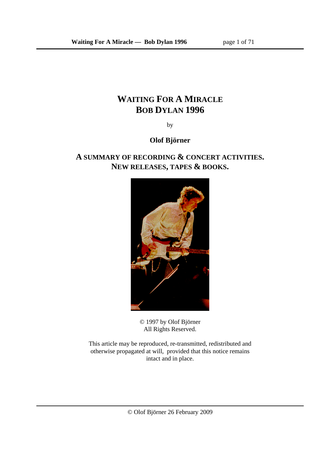# **WAITING FOR A MIRACLE BOB DYLAN 1996**

by

## **Olof Björner**

## **A SUMMARY OF RECORDING & CONCERT ACTIVITIES. NEW RELEASES, TAPES & BOOKS.**



© 1997 by Olof Björner All Rights Reserved.

This article may be reproduced, re-transmitted, redistributed and otherwise propagated at will, provided that this notice remains intact and in place.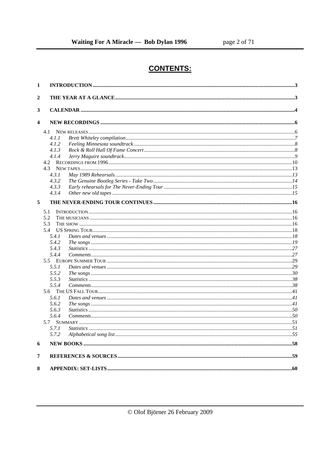# **CONTENTS:**

| 1                       |                       |  |
|-------------------------|-----------------------|--|
| $\boldsymbol{2}$        |                       |  |
| 3                       |                       |  |
|                         |                       |  |
| $\overline{\mathbf{4}}$ |                       |  |
|                         | 4.1                   |  |
|                         | 4.1.1                 |  |
|                         | 4.1.2                 |  |
|                         | 4.1.3                 |  |
|                         | 4.1.4                 |  |
|                         | 4.2                   |  |
|                         | 4.3                   |  |
|                         | 4.3.1                 |  |
|                         | 4.3.2                 |  |
|                         | 4.3.3                 |  |
|                         | 4.3.4                 |  |
| 5                       |                       |  |
|                         | 5.1                   |  |
|                         | 5.2                   |  |
|                         | 5.3                   |  |
|                         | 5.4                   |  |
|                         | 5.4.1                 |  |
|                         | 5.4.2                 |  |
|                         | 5.4.3                 |  |
|                         | 5.4.4<br>Comment 5127 |  |
|                         |                       |  |
|                         | 5.5.1                 |  |
|                         | 5.5.2                 |  |
|                         | 5.5.3                 |  |
|                         | 5.5.4                 |  |
|                         |                       |  |
|                         | 5.6.1                 |  |
|                         | 5.6.2<br>5.6.3        |  |
|                         | 5.6.4                 |  |
|                         | 57 SUMMARY            |  |
|                         | 5.7.1                 |  |
|                         | 5.7.2                 |  |
| 6                       |                       |  |
|                         |                       |  |
| 7                       |                       |  |
| 8                       |                       |  |
|                         |                       |  |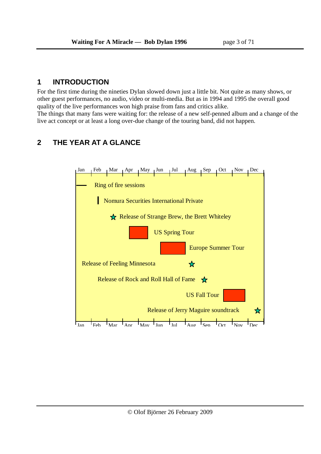## **1 INTRODUCTION**

For the first time during the nineties Dylan slowed down just a little bit. Not quite as many shows, or other guest performances, no audio, video or multi-media. But as in 1994 and 1995 the overall good quality of the live performances won high praise from fans and critics alike.

The things that many fans were waiting for: the release of a new self-penned album and a change of the live act concept or at least a long over-due change of the touring band, did not happen.

# **2 THE YEAR AT A GLANCE**

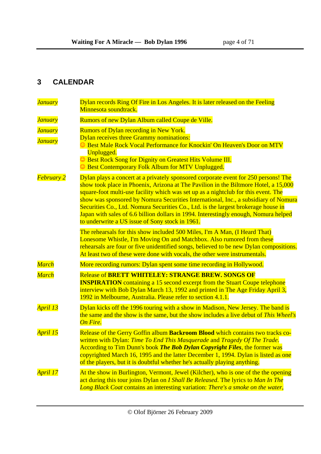# **3 CALENDAR**

| <b>January</b>                                                                                                                                                                                                                                                                                                  | Dylan records Ring Of Fire in Los Angeles. It is later released on the Feeling<br>Minnesota soundtrack.                                                                                                                                                                                                                                                                                                                                                                                                                                                                                  |  |  |  |
|-----------------------------------------------------------------------------------------------------------------------------------------------------------------------------------------------------------------------------------------------------------------------------------------------------------------|------------------------------------------------------------------------------------------------------------------------------------------------------------------------------------------------------------------------------------------------------------------------------------------------------------------------------------------------------------------------------------------------------------------------------------------------------------------------------------------------------------------------------------------------------------------------------------------|--|--|--|
| <b>January</b>                                                                                                                                                                                                                                                                                                  | Rumors of new Dylan Album called Coupe de Ville.                                                                                                                                                                                                                                                                                                                                                                                                                                                                                                                                         |  |  |  |
| <b>January</b><br><b>January</b>                                                                                                                                                                                                                                                                                | <b>Rumors of Dylan recording in New York.</b><br><b>Dylan receives three Grammy nominations:</b><br>C Best Male Rock Vocal Performance for Knockin' On Heaven's Door on MTV<br>Unplugged.<br><b>C</b> Best Rock Song for Dignity on Greatest Hits Volume III.<br>© Best Contemporary Folk Album for MTV Unplugged.                                                                                                                                                                                                                                                                       |  |  |  |
| <b>February 2</b>                                                                                                                                                                                                                                                                                               | Dylan plays a concert at a privately sponsored corporate event for 250 persons! The<br>show took place in Phoenix, Arizona at The Pavilion in the Biltmore Hotel, a 15,000<br>square-foot multi-use facility which was set up as a nightclub for this event. The<br>show was sponsored by Nomura Securities International, Inc., a subsidiary of Nomura<br>Securities Co., Ltd. Nomura Securities Co., Ltd. is the largest brokerage house in<br>Japan with sales of 6.6 billion dollars in 1994. Interestingly enough, Nomura helped<br>to underwrite a US issue of Sony stock in 1961. |  |  |  |
|                                                                                                                                                                                                                                                                                                                 | The rehearsals for this show included 500 Miles, I'm A Man, (I Heard That)<br>Lonesome Whistle, I'm Moving On and Matchbox. Also rumored from these<br>rehearsals are four or five unidentified songs, believed to be new Dylan compositions.<br>At least two of these were done with vocals, the other were instrumentals.                                                                                                                                                                                                                                                              |  |  |  |
| <b>March</b>                                                                                                                                                                                                                                                                                                    | More recording rumors: Dylan spent some time recording in Hollywood.                                                                                                                                                                                                                                                                                                                                                                                                                                                                                                                     |  |  |  |
| <b>March</b><br><b>Release of BRETT WHITELEY: STRANGE BREW. SONGS OF</b><br><b>INSPIRATION</b> containing a 15 second excerpt from the Stuart Coupe telephone<br>interview with Bob Dylan March 13, 1992 and printed in The Age Friday April 3,<br>1992 in Melbourne, Australia. Please refer to section 4.1.1. |                                                                                                                                                                                                                                                                                                                                                                                                                                                                                                                                                                                          |  |  |  |
| April 13                                                                                                                                                                                                                                                                                                        | Dylan kicks off the 1996 touring with a show in Madison, New Jersey. The band is<br>the same and the show is the same, but the show includes a live debut of This Wheel's<br><b>On Fire.</b>                                                                                                                                                                                                                                                                                                                                                                                             |  |  |  |
| April 15                                                                                                                                                                                                                                                                                                        | Release of the Gerry Goffin album Backroom Blood which contains two tracks co-<br>written with Dylan: Time To End This Masquerade and Tragedy Of The Trade.<br>According to Tim Dunn's book The Bob Dylan Copyright Files, the former was<br>copyrighted March 16, 1995 and the latter December 1, 1994. Dylan is listed as one<br>of the players, but it is doubtful whether he's actually playing anything.                                                                                                                                                                            |  |  |  |
| April 17                                                                                                                                                                                                                                                                                                        | At the show in Burlington, Vermont, Jewel (Kilcher), who is one of the the opening<br>act during this tour joins Dylan on I Shall Be Released. The lyrics to Man In The<br>Long Black Coat contains an interesting variation: There's a smoke on the water,                                                                                                                                                                                                                                                                                                                              |  |  |  |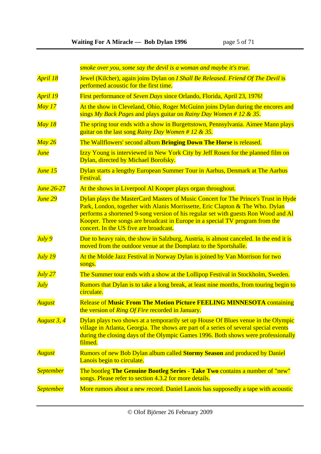|                        | smoke over you, some say the devil is a woman and maybe it's true.                                                                                                                                                                                                                                                                                                                  |  |  |
|------------------------|-------------------------------------------------------------------------------------------------------------------------------------------------------------------------------------------------------------------------------------------------------------------------------------------------------------------------------------------------------------------------------------|--|--|
| <mark>April 18</mark>  | Jewel (Kilcher), again joins Dylan on <i>I Shall Be Released. Friend Of The Devil</i> is<br>performed acoustic for the first time.                                                                                                                                                                                                                                                  |  |  |
| <mark>April 19</mark>  | First performance of Seven Days since Orlando, Florida, April 23, 1976!                                                                                                                                                                                                                                                                                                             |  |  |
| <b>May 17</b>          | At the show in Cleveland, Ohio, Roger McGuinn joins Dylan during the encores and<br>sings My Back Pages and plays guitar on Rainy Day Women # 12 & 35.                                                                                                                                                                                                                              |  |  |
| <b>May 18</b>          | The spring tour ends with a show in Burgettstown, Pennsylvania. Aimee Mann plays<br>guitar on the last song Rainy Day Women # 12 & 35.                                                                                                                                                                                                                                              |  |  |
| May 26                 | The Wallflowers' second album <b>Bringing Down The Horse</b> is released.                                                                                                                                                                                                                                                                                                           |  |  |
| <b>June</b>            | Izzy Young is interviewed in New York City by Jeff Rosen for the planned film on<br>Dylan, directed by Michael Borofsky.                                                                                                                                                                                                                                                            |  |  |
| June 15                | Dylan starts a lengthy European Summer Tour in Aarhus, Denmark at The Aarhus<br>Festival.                                                                                                                                                                                                                                                                                           |  |  |
| June 26-27             | At the shows in Liverpool Al Kooper plays organ throughout.                                                                                                                                                                                                                                                                                                                         |  |  |
| June 29                | Dylan plays the MasterCard Masters of Music Concert for The Prince's Trust in Hyde<br>Park, London, together with Alanis Morrissette, Eric Clapton & The Who. Dylan<br>performs a shortened 9-song version of his regular set with guests Ron Wood and Al<br>Kooper. Three songs are broadcast in Europe in a special TV program from the<br>concert. In the US five are broadcast. |  |  |
| July 9                 | Due to heavy rain, the show in Salzburg, Austria, is almost canceled. In the end it is<br>moved from the outdoor venue at the Domplatz to the Sportshalle.                                                                                                                                                                                                                          |  |  |
| July 19                | At the Molde Jazz Festival in Norway Dylan is joined by Van Morrison for two<br>songs.                                                                                                                                                                                                                                                                                              |  |  |
| July 27                | The Summer tour ends with a show at the Lollipop Festival in Stockholm, Sweden.                                                                                                                                                                                                                                                                                                     |  |  |
| July                   | Rumors that Dylan is to take a long break, at least nine months, from touring begin to<br>circulate.                                                                                                                                                                                                                                                                                |  |  |
| <b>August</b>          | <b>Release of Music From The Motion Picture FEELING MINNESOTA containing</b><br>the version of Ring Of Fire recorded in January.                                                                                                                                                                                                                                                    |  |  |
| August 3, 4            | Dylan plays two shows at a temporarily set up House Of Blues venue in the Olympic<br>village in Atlanta, Georgia. The shows are part of a series of several special events<br>during the closing days of the Olympic Games 1996. Both shows were professionally<br>filmed.                                                                                                          |  |  |
| <b>August</b>          | Rumors of new Bob Dylan album called Stormy Season and produced by Daniel<br>Lanois begin to circulate.                                                                                                                                                                                                                                                                             |  |  |
| <mark>September</mark> | The bootleg The Genuine Bootleg Series - Take Two contains a number of "new"<br>songs. Please refer to section 4.3.2 for more details.                                                                                                                                                                                                                                              |  |  |
| September              | More rumors about a new record. Daniel Lanois has supposedly a tape with acoustic                                                                                                                                                                                                                                                                                                   |  |  |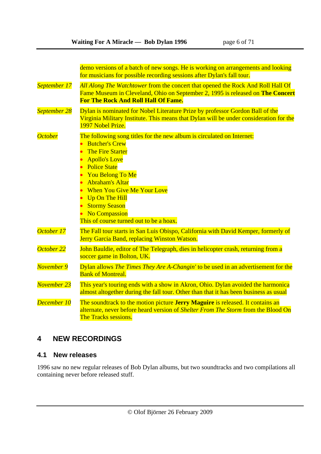|                           | demo versions of a batch of new songs. He is working on arrangements and looking<br>for musicians for possible recording sessions after Dylan's fall tour.                                                                                                                                                                                                                       |  |  |
|---------------------------|----------------------------------------------------------------------------------------------------------------------------------------------------------------------------------------------------------------------------------------------------------------------------------------------------------------------------------------------------------------------------------|--|--|
| September 17              | All Along The Watchtower from the concert that opened the Rock And Roll Hall Of<br>Fame Museum in Cleveland, Ohio on September 2, 1995 is released on The Concert<br><b>For The Rock And Roll Hall Of Fame.</b>                                                                                                                                                                  |  |  |
| <mark>September 28</mark> | Dylan is nominated for Nobel Literature Prize by professor Gordon Ball of the<br>Virginia Military Institute. This means that Dylan will be under consideration for the<br>1997 Nobel Prize.                                                                                                                                                                                     |  |  |
| <b>October</b>            | The following song titles for the new album is circulated on Internet:<br><b>Butcher's Crew</b><br><b>The Fire Starter</b><br><b>Apollo's Love</b><br><b>Police State</b><br><b>You Belong To Me</b><br><b>Abraham's Altar</b><br><b>When You Give Me Your Love</b><br>Up On The Hill<br><b>Stormy Season</b><br><b>No Compassion</b><br>This of course turned out to be a hoax. |  |  |
| October 17                | The Fall tour starts in San Luis Obispo, California with David Kemper, formerly of<br>Jerry Garcia Band, replacing Winston Watson.                                                                                                                                                                                                                                               |  |  |
| October 22                | John Bauldie, editor of The Telegraph, dies in helicopter crash, returning from a<br>soccer game in Bolton, UK.                                                                                                                                                                                                                                                                  |  |  |
| <mark>November 9</mark>   | Dylan allows The Times They Are A-Changin' to be used in an advertisement for the<br><b>Bank of Montreal.</b>                                                                                                                                                                                                                                                                    |  |  |
| <mark>November 23</mark>  | This year's touring ends with a show in Akron, Ohio. Dylan avoided the harmonica<br>almost altogether during the fall tour. Other than that it has been business as usual                                                                                                                                                                                                        |  |  |
| December 10               | The soundtrack to the motion picture <b>Jerry Maguire</b> is released. It contains an<br>alternate, never before heard version of <i>Shelter From The Storm</i> from the Blood On<br>The Tracks sessions.                                                                                                                                                                        |  |  |

## **4 NEW RECORDINGS**

## **4.1 New releases**

1996 saw no new regular releases of Bob Dylan albums, but two soundtracks and two compilations all containing never before released stuff.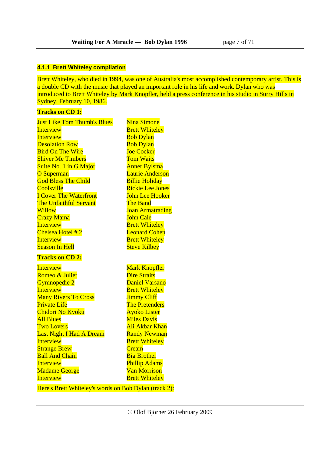#### **4.1.1 Brett Whiteley compilation**

Brett Whiteley, who died in 1994, was one of Australia's most accomplished contemporary artist. This is a double CD with the music that played an important role in his life and work. Dylan who was introduced to Brett Whiteley by Mark Knopfler, held a press conference in his studio in Surry Hills in Sydney, February 10, 1986.

### **Tracks on CD 1:**

| <b>Just Like Tom Thumb's Blues</b> | Nina Simone             |
|------------------------------------|-------------------------|
| <b>Interview</b>                   | <b>Brett Whiteley</b>   |
| <b>Interview</b>                   | <b>Bob Dylan</b>        |
| <b>Desolation Row</b>              | <b>Bob Dylan</b>        |
| <b>Bird On The Wire</b>            | <b>Joe Cocker</b>       |
| <b>Shiver Me Timbers</b>           | <b>Tom Waits</b>        |
| <b>Suite No. 1 in G Major</b>      | <b>Anner Bylsma</b>     |
| O Superman                         | <b>Laurie Anderson</b>  |
| <b>God Bless The Child</b>         | <b>Billie Holiday</b>   |
| Coolsville                         | <b>Rickie Lee Jones</b> |
| <b>I Cover The Waterfront</b>      | <b>John Lee Hooker</b>  |
| <b>The Unfaithful Servant</b>      | <b>The Band</b>         |
| Willow                             | <b>Joan Armatrading</b> |
| <b>Crazy Mama</b>                  | <b>John Cale</b>        |
| <b>Interview</b>                   | <b>Brett Whiteley</b>   |
| Chelsea Hotel # 2                  | <b>Leonard Cohen</b>    |
| Interview                          | <b>Brett Whiteley</b>   |
| Season In Hell                     | <b>Steve Kilbey</b>     |
| <b>Tracks on CD 2:</b>             |                         |
| <b>Interview</b>                   | <b>Mark Knopfler</b>    |
| Romeo & Juliet                     | <b>Dire Straits</b>     |
| Gymnopedie 2                       | <b>Daniel Varsano</b>   |
| <b>Interview</b>                   | <b>Brett Whiteley</b>   |
| <b>Many Rivers To Cross</b>        | <b>Jimmy Cliff</b>      |
| <b>Private Life</b>                | <b>The Pretenders</b>   |
| Chidori No Kyoku                   | <b>Ayoko Lister</b>     |
| <b>All Blues</b>                   | <b>Miles Davis</b>      |
| <b>Two Lovers</b>                  | Ali Akbar Khan          |
| <b>Last Night I Had A Dream</b>    | <b>Randy Newman</b>     |
| <b>Interview</b>                   | <b>Brett Whiteley</b>   |
| <b>Strange Brew</b>                | Cream                   |
| <b>Ball And Chain</b>              | <b>Big Brother</b>      |
| <b>Interview</b>                   | <b>Phillip Adams</b>    |
|                                    |                         |
| <b>Madame George</b>               | <b>Van Morrison</b>     |
| Interview                          | <b>Brett Whiteley</b>   |

Here's Brett Whiteley's words on Bob Dylan (track 2):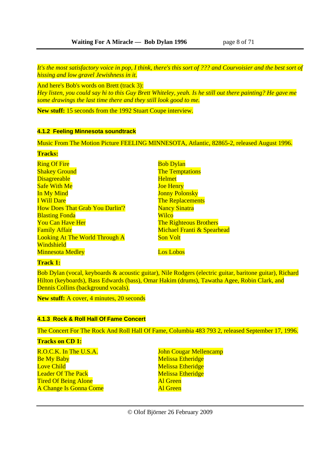*It's the most satisfactory voice in pop, I think, there's this sort of ??? and Courvoisier and the best sort of hissing and low gravel Jewishness in it.* 

And here's Bob's words on Brett (track 3): *Hey listen, you could say hi to this Guy Brett Whiteley, yeah. Is he still out there painting? He gave me some drawings the last time there and they still look good to me.* 

**New stuff:** 15 seconds from the 1992 Stuart Coupe interview.

#### **4.1.2 Feeling Minnesota soundtrack**

Music From The Motion Picture FEELING MINNESOTA, Atlantic, 82865-2, released August 1996.

#### **Tracks:**

| <b>Ring Of Fire</b>                    | <b>Bob Dylan</b>              |
|----------------------------------------|-------------------------------|
| <b>Shakey Ground</b>                   | <b>The Temptations</b>        |
| Disagreeable                           | <b>Helmet</b>                 |
| <b>Safe With Me</b>                    | <b>Joe Henry</b>              |
| In My Mind                             | <b>Jonny Polonsky</b>         |
| I Will Dare                            | <b>The Replacements</b>       |
| <b>How Does That Grab You Darlin'?</b> | <b>Nancy Sinatra</b>          |
| <b>Blasting Fonda</b>                  | <b>Wilco</b>                  |
| <b>You Can Have Her</b>                | <b>The Righteous Brothers</b> |
| <b>Family Affair</b>                   | Michael Franti & Spearhead    |
| Looking At The World Through A         | <b>Son Volt</b>               |
| Windshield                             |                               |
| Minnesota Medley                       | <b>Los Lobos</b>              |

### **Track 1:**

Bob Dylan (vocal, keyboards & acoustic guitar), Nile Rodgers (electric guitar, baritone guitar), Richard Hilton (keyboards), Bass Edwards (bass), Omar Hakim (drums), Tawatha Agee, Robin Clark, and Dennis Collins (background vocals).

**New stuff:** A cover, 4 minutes, 20 seconds

#### **4.1.3 Rock & Roll Hall Of Fame Concert**

The Concert For The Rock And Roll Hall Of Fame, Columbia 483 793 2, released September 17, 1996.

#### **Tracks on CD 1:**

R.O.C.K. In The U.S.A. Solution of Total Cougar Mellencamp **Be My Baby** Melissa Etheridge **Love Child** Melissa Etheridge Leader Of The Pack Melissa Etheridge Tired Of Being Alone Alexander Alexander Alexander Alexander Alexander Alexander Alexander Alexander Alexander A Change Is Gonna Come Al Green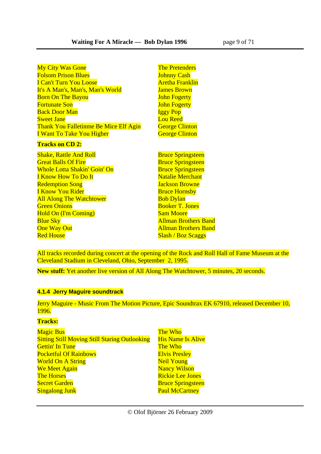| <b>My City Was Gone</b>                      | <b>The Pretenders</b>       |  |  |
|----------------------------------------------|-----------------------------|--|--|
| <b>Folsom Prison Blues</b>                   | <b>Johnny Cash</b>          |  |  |
| <b>I Can't Turn You Loose</b>                | <b>Aretha Franklin</b>      |  |  |
| It's A Man's, Man's, Man's World             | <b>James Brown</b>          |  |  |
| <b>Born On The Bayou</b>                     | <b>John Fogerty</b>         |  |  |
| <b>Fortunate Son</b>                         | <b>John Fogerty</b>         |  |  |
| <b>Back Door Man</b>                         | <b>Iggy Pop</b>             |  |  |
| <b>Sweet Jane</b>                            | <b>Lou Reed</b>             |  |  |
| <b>Thank You Falletinme Be Mice Elf Agin</b> | <b>George Clinton</b>       |  |  |
| <b>I Want To Take You Higher</b>             | <b>George Clinton</b>       |  |  |
| <b>Tracks on CD 2:</b>                       |                             |  |  |
| <b>Shake, Rattle And Roll</b>                | <b>Bruce Springsteen</b>    |  |  |
| <b>Great Balls Of Fire</b>                   | <b>Bruce Springsteen</b>    |  |  |
| <b>Whole Lotta Shakin' Goin' On</b>          | <b>Bruce Springsteen</b>    |  |  |
| <u>I Know How To Do It</u>                   | <b>Natalie Merchant</b>     |  |  |
| <b>Redemption Song</b>                       | <b>Jackson Browne</b>       |  |  |
| <u>I Know You Rider</u>                      | <b>Bruce Hornsby</b>        |  |  |
| <b>All Along The Watchtower</b>              | <b>Bob Dylan</b>            |  |  |
| <b>Green Onions</b>                          | <b>Booker T. Jones</b>      |  |  |
| <b>Hold On (I'm Coming)</b>                  | <b>Sam Moore</b>            |  |  |
| <b>Blue Sky</b>                              | <b>Allman Brothers Band</b> |  |  |
| <b>One Way Out</b>                           | <b>Allman Brothers Band</b> |  |  |
| <b>Red House</b>                             |                             |  |  |

All tracks recorded during concert at the opening of the Rock and Roll Hall of Fame Museum at the Cleveland Stadium in Cleveland, Ohio, September 2, 1995.

**New stuff:** Yet another live version of All Along The Watchtower, 5 minutes, 20 seconds.

#### **4.1.4 Jerry Maguire soundtrack**

Jerry Maguire - Music From The Motion Picture, Epic Soundtrax EK 67910, released December 10, 1996.

### **Tracks:**

Magic Bus **The Who** Sitting Still Moving Still Staring Outlooking His Name Is Alive Gettin' In Tune The Who Pocketful Of Rainbows **Elvis Presley** World On A String Neil Young We Meet Again Nancy Wilson The Horses **Rickie Lee Jones** Secret Garden Bruce Springsteen Singalong Junk **Paul McCartney**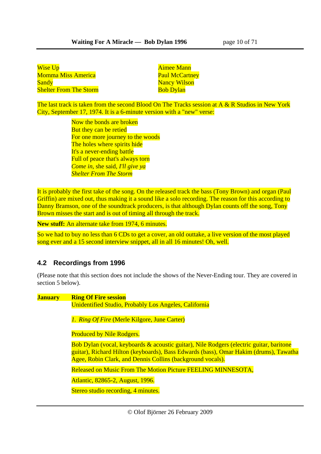Wise Up **Aimee Mann Momma Miss America** Paul McCartney Sandy **Nancy Wilson Shelter From The Storm Shelter Accord Bob Dylan** 

The last track is taken from the second Blood On The Tracks session at A & R Studios in New York City, September 17, 1974. It is a 6-minute version with a "new" verse:

> Now the bonds are broken But they can be retied For one more journey to the woods The holes where spirits hide It's a never-ending battle Full of peace that's always torn *Come in*, she said, *I'll give ya Shelter From The Storm*

It is probably the first take of the song. On the released track the bass (Tony Brown) and organ (Paul Griffin) are mixed out, thus making it a sound like a solo recording. The reason for this according to Danny Bramson, one of the soundtrack producers, is that although Dylan counts off the song, Tony Brown misses the start and is out of timing all through the track.

**New stuff:** An alternate take from 1974, 6 minutes.

So we had to buy no less than 6 CDs to get a cover, an old outtake, a live version of the most played song ever and a 15 second interview snippet, all in all 16 minutes! Oh, well.

## **4.2 Recordings from 1996**

(Please note that this section does not include the shows of the Never-Ending tour. They are covered in section 5 below).

| <b>January</b> | <b>Ring Of Fire session</b>                                                                                                                                                                                                                    |
|----------------|------------------------------------------------------------------------------------------------------------------------------------------------------------------------------------------------------------------------------------------------|
|                | Unidentified Studio, Probably Los Angeles, California                                                                                                                                                                                          |
|                | <i>1. Ring Of Fire</i> (Merle Kilgore, June Carter)                                                                                                                                                                                            |
|                | <b>Produced by Nile Rodgers.</b>                                                                                                                                                                                                               |
|                | Bob Dylan (vocal, keyboards & acoustic guitar), Nile Rodgers (electric guitar, baritone<br>guitar), Richard Hilton (keyboards), Bass Edwards (bass), Omar Hakim (drums), Tawatha<br>Agee, Robin Clark, and Dennis Collins (background vocals). |
|                | Released on Music From The Motion Picture FEELING MINNESOTA,                                                                                                                                                                                   |
|                | Atlantic, 82865-2, August, 1996.                                                                                                                                                                                                               |
|                | Stereo studio recording, 4 minutes.                                                                                                                                                                                                            |
|                |                                                                                                                                                                                                                                                |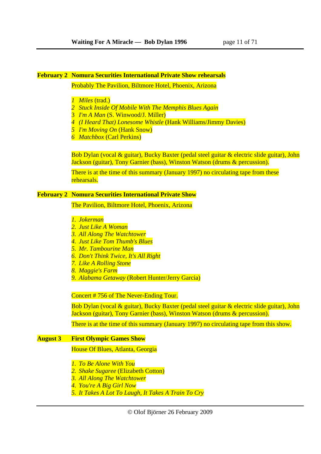#### **February 2 Nomura Securities International Private Show rehearsals**

Probably The Pavilion, Biltmore Hotel, Phoenix, Arizona

- *1 Miles* (trad.)
- *2 Stuck Inside Of Mobile With The Memphis Blues Again*
- 3 *I'm A Man* (S. Winwood/J. Miller)
- *4 (I Heard That) Lonesome Whistle* (Hank Williams/Jimmy Davies)
- *5 I'm Moving On* (Hank Snow)
- *6 Matchbox* (Carl Perkins)

Bob Dylan (vocal & guitar), Bucky Baxter (pedal steel guitar & electric slide guitar), John Jackson (guitar), Tony Garnier (bass), Winston Watson (drums & percussion).

There is at the time of this summary (January 1997) no circulating tape from these rehearsals.

#### **February 2 Nomura Securities International Private Show**

The Pavilion, Biltmore Hotel, Phoenix, Arizona

- *1. Jokerman*
- *2. Just Like A Woman*
- *3. All Along The Watchtower*
- *4. Just Like Tom Thumb's Blues*
- *5. Mr. Tambourine Man*
- *6. Don't Think Twice, It's All Right*
- *7. Like A Rolling Stone*
- *8. Maggie's Farm*
- *9. Alabama Getaway* (Robert Hunter/Jerry Garcia)

Concert # 756 of The Never-Ending Tour.

Bob Dylan (vocal & guitar), Bucky Baxter (pedal steel guitar & electric slide guitar), John Jackson (guitar), Tony Garnier (bass), Winston Watson (drums & percussion).

There is at the time of this summary (January 1997) no circulating tape from this show.

#### **August 3 First Olympic Games Show**

House Of Blues, Atlanta, Georgia

- *1. To Be Alone With You*
- *2. Shake Sugaree* (Elizabeth Cotton)
- *3. All Along The Watchtower*
- *4. You're A Big Girl Now*
- *5. It Takes A Lot To Laugh, It Takes A Train To Cry*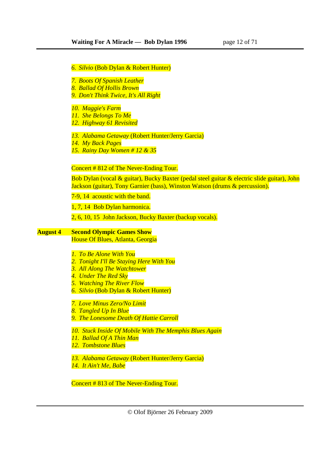#### *6. Silvio* (Bob Dylan & Robert Hunter)

- *7. Boots Of Spanish Leather*
- *8. Ballad Of Hollis Brown*
- *9. Don't Think Twice, It's All Right*
- *10. Maggie's Farm*
- *11. She Belongs To Me*
- *12. Highway 61 Revisited*
- *13. Alabama Getaway* (Robert Hunter/Jerry Garcia)
- *14. My Back Pages*
- *15. Rainy Day Women # 12 & 35*

#### Concert # 812 of The Never-Ending Tour.

Bob Dylan (vocal & guitar), Bucky Baxter (pedal steel guitar & electric slide guitar), John Jackson (guitar), Tony Garnier (bass), Winston Watson (drums & percussion).

7-9, 14 acoustic with the band.

1, 7, 14 Bob Dylan harmonica.

2, 6, 10, 15 John Jackson, Bucky Baxter (backup vocals).

## **August 4 Second Olympic Games Show**

House Of Blues, Atlanta, Georgia

- *1. To Be Alone With You*
- *2. Tonight I'll Be Staying Here With You*
- *3. All Along The Watchtower*
- *4. Under The Red Sky*
- *5. Watching The River Flow*
- *6. Silvio* (Bob Dylan & Robert Hunter)
- *7. Love Minus Zero/No Limit*
- *8. Tangled Up In Blue*
- *9. The Lonesome Death Of Hattie Carroll*
- *10. Stuck Inside Of Mobile With The Memphis Blues Again*
- *11. Ballad Of A Thin Man*
- *12. Tombstone Blues*
- *13. Alabama Getaway* (Robert Hunter/Jerry Garcia)
- *14. It Ain't Me, Babe*

Concert # 813 of The Never-Ending Tour.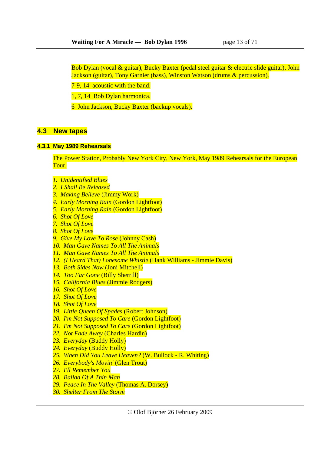Bob Dylan (vocal & guitar), Bucky Baxter (pedal steel guitar & electric slide guitar), John Jackson (guitar), Tony Garnier (bass), Winston Watson (drums & percussion).

7-9, 14 acoustic with the band.

1, 7, 14 Bob Dylan harmonica.

6 John Jackson, Bucky Baxter (backup vocals).

#### **4.3 New tapes**

#### **4.3.1 May 1989 Rehearsals**

The Power Station, Probably New York City, New York, May 1989 Rehearsals for the European Tour.

- *1. Unidentified Blues*
- *2. I Shall Be Released*
- *3. Making Believe* (Jimmy Work)
- *4. Early Morning Rain* (Gordon Lightfoot)
- *5. Early Morning Rain* (Gordon Lightfoot)
- *6. Shot Of Love*
- *7. Shot Of Love*
- *8. Shot Of Love*
- *9. Give My Love To Rose* (Johnny Cash)
- *10. Man Gave Names To All The Animals*
- *11. Man Gave Names To All The Animals*
- *12. (I Heard That) Lonesome Whistle* (Hank Williams Jimmie Davis)
- *13. Both Sides Now* (Joni Mitchell)
- *14. Too Far Gone* (Billy Sherrill)
- *15. California Blues* (Jimmie Rodgers)
- *16. Shot Of Love*
- *17. Shot Of Love*
- *18. Shot Of Love*
- *19. Little Queen Of Spades* (Robert Johnson)
- *20. I'm Not Supposed To Care* (Gordon Lightfoot)
- *21. I'm Not Supposed To Care* (Gordon Lightfoot)
- *22. Not Fade Away* (Charles Hardin)
- *23. Everyday* (Buddy Holly)
- *24. Everyday* (Buddy Holly)
- *25. When Did You Leave Heaven?* (W. Bullock R. Whiting)
- *26. Everybody's Movin'* (Glen Trout)
- *27. I'll Remember You*
- *28. Ballad Of A Thin Man*
- *29. Peace In The Valley* (Thomas A. Dorsey)
- *30. Shelter From The Storm*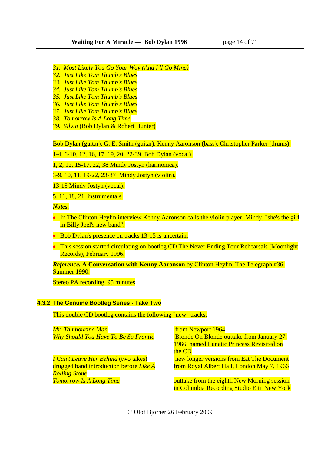- *31. Most Likely You Go Your Way (And I'll Go Mine)*
- *32. Just Like Tom Thumb's Blues*
- *33. Just Like Tom Thumb's Blues*
- *34. Just Like Tom Thumb's Blues*
- *35. Just Like Tom Thumb's Blues*
- *36. Just Like Tom Thumb's Blues*
- *37. Just Like Tom Thumb's Blues*
- *38. Tomorrow Is A Long Time*
- *39. Silvio* (Bob Dylan & Robert Hunter)

Bob Dylan (guitar), G. E. Smith (guitar), Kenny Aaronson (bass), Christopher Parker (drums).

1-4, 6-10, 12, 16, 17, 19, 20, 22-39 Bob Dylan (vocal).

1, 2, 12, 15-17, 22, 38 Mindy Jostyn (harmonica).

3-9, 10, 11, 19-22, 23-37 Mindy Jostyn (violin).

13-15 Mindy Jostyn (vocal).

5, 11, 18, 21 instrumentals.

#### *Notes.*

- In The Clinton Heylin interview Kenny Aaronson calls the violin player, Mindy, "she's the girl in Billy Joel's new band".
- Bob Dylan's presence on tracks 13-15 is uncertain.
- **This session started circulating on bootleg CD The Never Ending Tour Rehearsals (Moonlight** Records), February 1996.

*Reference.* **A Conversation with Kenny Aaronson** by Clinton Heylin, The Telegraph #36, Summer 1990.

Stereo PA recording, 95 minutes

#### **4.3.2 The Genuine Bootleg Series - Take Two**

This double CD bootleg contains the following "new" tracks:

*Mr. Tambourine Man from Newport 1964* 

drugged band introduction before *Like A Rolling Stone Tomorrow Is A Long Time* **buttake from the eighth New Morning session** 

*Why Should You Have To Be So Frantic* Blonde On Blonde outtake from January 27, 1966, named Lunatic Princess Revisited on the CD *I Can't Leave Her Behind* (two takes) new longer versions from Eat The Document from Royal Albert Hall, London May 7, 1966

in Columbia Recording Studio E in New York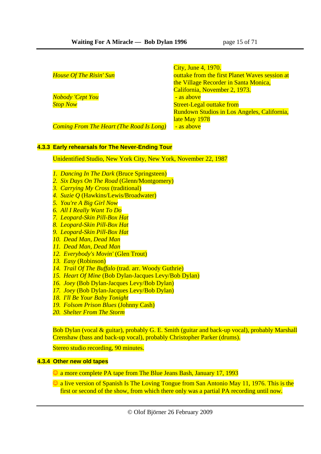|                                                 | <b>City, June 4, 1970.</b>                         |
|-------------------------------------------------|----------------------------------------------------|
| <b>House Of The Risin' Sun</b>                  | outtake from the first Planet Waves session at     |
|                                                 | the Village Recorder in Santa Monica,              |
|                                                 | California, November 2, 1973.                      |
| <b>Nobody 'Cept You</b>                         | <u>- as above</u>                                  |
| <b>Stop Now</b>                                 | <b>Street-Legal outtake from</b>                   |
|                                                 | <b>Rundown Studios in Los Angeles, California,</b> |
|                                                 | late May 1978                                      |
| <b>Coming From The Heart (The Road Is Long)</b> | - as above                                         |

#### **4.3.3 Early rehearsals for The Never-Ending Tour**

Unidentified Studio, New York City, New York, November 22, 1987

- *1. Dancing In The Dark* (Bruce Springsteen)
- *2. Six Days On The Road* (Glenn/Montgomery)
- *3. Carrying My Cross* (traditional)
- *4. Suzie Q* (Hawkins/Lewis/Broadwater)
- *5. You're A Big Girl Now*
- *6. All I Really Want To Do*
- *7. Leopard-Skin Pill-Box Hat*
- *8. Leopard-Skin Pill-Box Hat*
- *9. Leopard-Skin Pill-Box Hat*
- *10. Dead Man, Dead Man*
- *11. Dead Man, Dead Man*
- *12. Everybody's Movin'* (Glen Trout)
- *13. Easy* (Robinson)
- *14. Trail Of The Buffalo* (trad. arr. Woody Guthrie)
- *15. Heart Of Mine* (Bob Dylan-Jacques Levy/Bob Dylan)
- *16. Joey* (Bob Dylan-Jacques Levy/Bob Dylan)
- *17. Joey* (Bob Dylan-Jacques Levy/Bob Dylan)
- *18. I'll Be Your Baby Tonight*
- *19. Folsom Prison Blues* (Johnny Cash)
- *20. Shelter From The Storm*

Bob Dylan (vocal & guitar), probably G. E. Smith (guitar and back-up vocal), probably Marshall Crenshaw (bass and back-up vocal), probably Christopher Parker (drums).

Stereo studio recording, 90 minutes.

#### **4.3.4 Other new old tapes**

- a more complete PA tape from The Blue Jeans Bash, January 17, 1993
- a live version of Spanish Is The Loving Tongue from San Antonio May 11, 1976. This is the first or second of the show, from which there only was a partial PA recording until now.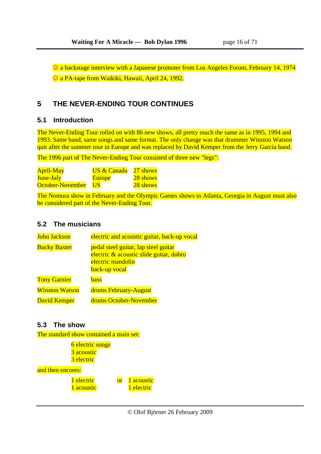a backstage interview with a Japanese promoter from Los Angeles Forum, February 14, 1974 a PA-tape from Waikiki, Hawaii, April 24, 1992.

## **5 THE NEVER-ENDING TOUR CONTINUES**

### **5.1 Introduction**

The Never-Ending Tour rolled on with 86 new shows, all pretty much the same as in 1995, 1994 and 1993. Same band, same songs and same format. The only change was that drummer Winston Watson quit after the summer tour in Europe and was replaced by David Kemper from the Jerry Garcia band.

The 1996 part of The Never-Ending Tour consisted of three new "legs":

| <b>April-May</b> | <b>US &amp; Canada</b> | 27 shows |
|------------------|------------------------|----------|
| June-July        | <b>Europe</b>          | 28 shows |
| October-November | US                     | 28 shows |

The Nomura show in February and the Olympic Games shows in Atlanta, Georgia in August must also be considered part of the Never-Ending Tour.

### **5.2 The musicians**

| <b>John Jackson</b>   | electric and acoustic guitar, back-up vocal                                                                           |
|-----------------------|-----------------------------------------------------------------------------------------------------------------------|
| <b>Bucky Baxter</b>   | pedal steel guitar, lap steel guitar<br>electric & acoustic slide guitar, dobro<br>electric mandolin<br>back-up vocal |
| <b>Tony Garnier</b>   | <b>bass</b>                                                                                                           |
| <b>Winston Watson</b> | drums February-August                                                                                                 |
| <b>David Kemper</b>   | drums October-November                                                                                                |

## **5.3 The show**

The standard show contained a main set: 6 electric songs 3 acoustic 3 electric and then encores: 1 electric **or** 1 acoustic 1 acoustic 1 electric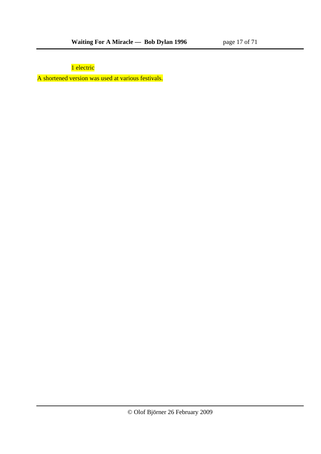1 electric

A shortened version was used at various festivals.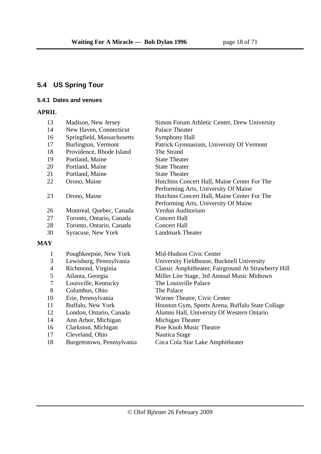# **5.4 US Spring Tour**

#### **5.4.1 Dates and venues**

### **APRIL**

| 13             | Madison, New Jersey        | Simon Forum Athletic Center, Drew University        |
|----------------|----------------------------|-----------------------------------------------------|
| 14             | New Haven, Connecticut     | Palace Theater                                      |
| 16             | Springfield, Massachusetts | <b>Symphony Hall</b>                                |
| 17             | Burlington, Vermont        | Patrick Gymnasium, University Of Vermont            |
| 18             | Providence, Rhode Island   | The Strand                                          |
| 19             | Portland, Maine            | <b>State Theater</b>                                |
| 20             | Portland, Maine            | <b>State Theater</b>                                |
| 21             | Portland, Maine            | <b>State Theater</b>                                |
| 22             | Orono, Maine               | Hutchins Concert Hall, Maine Center For The         |
|                |                            | Performing Arts, University Of Maine                |
| 23             | Orono, Maine               | Hutchins Concert Hall, Maine Center For The         |
|                |                            | Performing Arts, University Of Maine                |
| 26             | Montreal, Quebec, Canada   | Verdun Auditorium                                   |
| 27             | Toronto, Ontario, Canada   | <b>Concert Hall</b>                                 |
| 28             | Toronto, Ontario, Canada   | <b>Concert Hall</b>                                 |
| 30             | Syracuse, New York         | <b>Landmark Theater</b>                             |
| <b>MAY</b>     |                            |                                                     |
| 1              | Poughkeepsie, New York     | Mid-Hudson Civic Center                             |
| 3              | Lewisburg, Pennsylvania    | University Fieldhouse, Bucknell University          |
| $\overline{4}$ | Richmond, Virginia         | Classic Amphitheater, Fairground At Strawberry Hill |
| 5              | Atlanta, Georgia           | Miller Lite Stage, 3rd Annual Music Midtown         |
| $\tau$         | Louisville, Kentucky       | The Louisville Palace                               |
| 8              | Columbus, Ohio             | The Palace                                          |
| 10             | Erie, Pennsylvania         | Warner Theatre, Civic Center                        |
| 11             | Buffalo, New York          | Houston Gym, Sports Arena, Buffalo State Collage    |
| 12             | London, Ontario, Canada    | Alumni Hall, University Of Western Ontario          |
| 14             | Ann Arbor, Michigan        | Michigan Theater                                    |
| 16             | Clarkston, Michigan        | <b>Pine Knob Music Theatre</b>                      |
| 17             | Cleveland, Ohio            | Nautica Stage                                       |
| 18             | Burgettstown, Pennsylvania | Coca Cola Star Lake Amphitheater                    |
|                |                            |                                                     |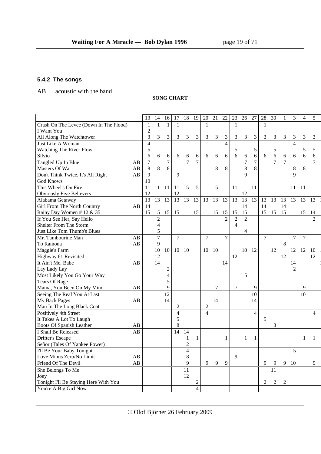### **5.4.2 The songs**

AB acoustic with the band

### **SONG CHART**

|                                                                |    | 13               | 14             | 16             | 17             | 18             | 19                  | 20             | 21               | 22             | 23               | 26             | 27             | 28             | 30             | $\mathbf{1}$   | 3              | $\overline{4}$  | 5               |
|----------------------------------------------------------------|----|------------------|----------------|----------------|----------------|----------------|---------------------|----------------|------------------|----------------|------------------|----------------|----------------|----------------|----------------|----------------|----------------|-----------------|-----------------|
| Crash On The Levee (Down In The Flood)                         |    | $\mathbf{1}$     | $\mathbf{1}$   | $\mathbf{1}$   | $\mathbf{1}$   |                |                     | $\mathbf{1}$   |                  |                | $\mathbf{1}$     |                |                | $\mathbf{1}$   |                |                |                |                 |                 |
| I Want You                                                     |    | $\overline{c}$   |                |                |                |                |                     |                |                  |                |                  |                |                |                |                |                |                |                 |                 |
| All Along The Watchtower                                       |    | 3                | $\mathfrak{Z}$ | 3              | 3              | $\mathfrak{Z}$ | $\mathfrak{Z}$      | 3              | $\mathfrak{Z}$   | 3              | $\mathfrak{Z}$   | $\mathfrak{Z}$ | $\mathfrak{Z}$ | 3              | 3              | 3              | 3              | 3               | 3               |
| Just Like A Woman                                              |    | $\overline{4}$   |                |                |                |                |                     |                |                  | $\overline{4}$ |                  |                |                |                |                |                | $\overline{4}$ |                 |                 |
| Watching The River Flow                                        |    | 5                |                |                |                |                |                     |                |                  |                | 5                |                | 5              |                | 5              |                |                | 5               | 5               |
| Silvio                                                         |    | 6                | 6              | $\sqrt{6}$     | 6              | 6              | 6                   | 6              | 6                | 6              | 6                | 6              | $\sqrt{6}$     | 6              | $\sqrt{6}$     | $\sqrt{6}$     | 6              | 6               | 6               |
| Tangled Up In Blue                                             | AB | $\boldsymbol{7}$ |                | $\overline{7}$ |                | $\overline{7}$ | $\overline{7}$      |                |                  |                |                  | $\overline{7}$ | $\overline{7}$ |                | 7              | $\overline{7}$ |                |                 | $\overline{7}$  |
| Masters Of War                                                 | AB | 8                | $\,8\,$        | 8              |                |                |                     |                | 8                | 8              |                  | 8              | 8              |                |                |                | $8\,$          | $\,8\,$         |                 |
| Don't Think Twice, It's All Right                              | AB | 9                |                |                | 9              |                |                     |                |                  |                |                  | 9              |                |                |                |                | 9              |                 |                 |
| <b>God Knows</b>                                               |    | 10               |                |                |                |                |                     |                |                  |                |                  |                |                |                |                |                |                |                 |                 |
| This Wheel's On Fire                                           |    | 11               | 11 11          |                | 11             | 5              | 5                   |                | 5                |                | 11               |                | 11             |                |                |                | 11             | -11             |                 |
| <b>Obviously Five Believers</b>                                |    | 12               |                |                | 12             |                |                     |                |                  |                |                  | 12             |                |                |                |                |                |                 |                 |
| Alabama Getaway                                                |    | 13               | 13             | 13             | 13             | 13             | 13                  | 13             | 13               | 13             | 13               | 13             | 13             | 13             | 13             | 13             | 13             | 13              | -13             |
| Girl From The North Country                                    | AB | 14               |                |                |                |                |                     |                |                  |                |                  | 14             |                | 14             |                | 14             |                |                 |                 |
| Rainy Day Women #12 & 35                                       |    | 15               | 15             | 15             | 15             |                | 15                  |                | 15               | 15             | 15               | 15             |                | 15             | 15             | 15             |                | 15              | 14              |
| If You See Her, Say Hello                                      |    |                  | $\overline{c}$ |                |                |                |                     |                |                  | $\overline{2}$ | $\overline{2}$   | $\overline{2}$ |                |                |                |                |                |                 | $\overline{2}$  |
| Shelter From The Storm                                         |    |                  | $\overline{4}$ |                |                |                |                     |                |                  |                | $\overline{4}$   |                |                |                |                |                |                |                 |                 |
| Just Like Tom Thumb's Blues                                    |    |                  | 5              |                |                |                |                     |                |                  |                |                  | $\overline{4}$ |                |                |                |                |                |                 |                 |
| Mr. Tambourine Man                                             | AB |                  | $\overline{7}$ |                | $\overline{7}$ |                |                     | $\overline{7}$ |                  | $\overline{7}$ |                  |                |                | $\overline{7}$ |                |                | $\tau$         | $\overline{7}$  |                 |
| To Ramona                                                      | AB |                  | 9              |                |                |                |                     |                |                  |                |                  |                |                |                |                | 8              |                |                 |                 |
| Maggie's Farm                                                  |    |                  | 10             | 10             | 10             | 10             |                     | 10             | $10\,$           |                |                  | 10             | 12             |                | 12             |                | 12             | 12              | 10              |
| Highway 61 Revisited                                           |    |                  | 12             |                |                |                |                     |                |                  |                | 12               |                |                |                |                | 12             |                |                 | $\overline{12}$ |
|                                                                |    |                  |                |                |                |                |                     |                |                  |                |                  |                |                |                |                |                |                |                 |                 |
| It Ain't Me, Babe                                              | AB |                  | 14             |                |                |                |                     |                |                  | 14             |                  |                |                |                |                |                | 14             |                 |                 |
| Lay Lady Lay                                                   |    |                  |                | $\overline{c}$ |                |                |                     |                |                  |                |                  |                |                |                |                |                | $\overline{2}$ |                 |                 |
| Most Likely You Go Your Way                                    |    |                  |                | $\overline{4}$ |                |                |                     |                |                  |                |                  | $\overline{5}$ |                |                |                |                |                |                 |                 |
| <b>Tears Of Rage</b>                                           |    |                  |                | 5              |                |                |                     |                |                  |                |                  |                |                |                |                |                |                |                 |                 |
| Mama, You Been On My Mind                                      | AB |                  |                | 9              |                |                |                     |                | $\boldsymbol{7}$ |                | $\boldsymbol{7}$ |                | 9              |                |                |                |                | 9               |                 |
| Seeing The Real You At Last                                    |    |                  |                | 12             |                |                |                     |                |                  |                |                  |                | 10             |                |                |                |                | $\overline{10}$ |                 |
| My Back Pages                                                  | AB |                  |                | 14             |                |                |                     |                | 14               |                |                  |                | 14             |                |                |                |                |                 |                 |
| Man In The Long Black Coat                                     |    |                  |                |                | 2              |                |                     | $\overline{2}$ |                  |                |                  |                |                |                |                |                |                |                 |                 |
| Positively 4th Street                                          |    |                  |                |                | $\overline{4}$ |                |                     | $\overline{4}$ |                  |                |                  |                | $\overline{4}$ |                |                |                |                |                 | 4               |
| It Takes A Lot To Laugh                                        |    |                  |                |                | 5              |                |                     |                |                  |                |                  |                |                | 5              |                |                |                |                 |                 |
| Boots Of Spanish Leather                                       | AB |                  |                |                | 8              |                |                     |                |                  |                |                  |                |                |                | 8              |                |                |                 |                 |
| I Shall Be Released                                            | AB |                  |                |                | 14             | 14             |                     |                |                  |                |                  |                |                |                |                |                |                |                 |                 |
| Drifter's Escape                                               |    |                  |                |                |                | 1              | $\mathbf{1}$        |                |                  | $\mathbf{1}$   |                  | $\mathbf{1}$   | $\mathbf{1}$   |                |                |                |                | $\mathbf{1}$    | 1               |
| Señor (Tales Of Yankee Power)                                  |    |                  |                |                |                | $\overline{2}$ |                     |                |                  |                |                  |                |                |                |                |                |                |                 |                 |
| I'll Be Your Baby Tonight                                      |    |                  |                |                |                | $\overline{4}$ |                     |                |                  |                |                  |                |                |                |                |                | 5              |                 |                 |
| Love Minus Zero/No Limit                                       | AB |                  |                |                |                | 8              |                     |                |                  |                | 9                |                |                |                |                |                |                |                 |                 |
| Friend Of The Devil                                            | AB |                  |                |                |                | 9              |                     | 9              | 9                | $\mathbf{Q}$   |                  |                |                | 9              | 9              | 9              | 10             |                 | $\mathbf Q$     |
| She Belongs To Me                                              |    |                  |                |                |                | 11             |                     |                |                  |                |                  |                |                |                | 11             |                |                |                 |                 |
| Joey                                                           |    |                  |                |                |                | 12             |                     |                |                  |                |                  |                |                |                |                |                |                |                 |                 |
| Tonight I'll Be Staying Here With You<br>You're A Big Girl Now |    |                  |                |                |                |                | 2<br>$\overline{4}$ |                |                  |                |                  |                |                | $\overline{c}$ | $\overline{c}$ | 2              |                |                 |                 |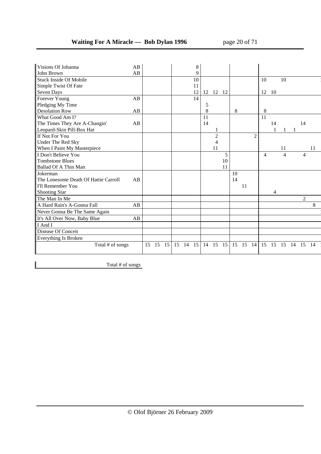|  | Waiting For A Miracle — Bob Dylan 1996 |  |  |
|--|----------------------------------------|--|--|
|  |                                        |  |  |

**6 page 20 of 71** 

| Visions Of Johanna<br>AB                   |    |    |    |    |    | 8  |    |                |    |       |    |                |    |    |                |    |                |    |
|--------------------------------------------|----|----|----|----|----|----|----|----------------|----|-------|----|----------------|----|----|----------------|----|----------------|----|
| John Brown<br>AB                           |    |    |    |    |    | 9  |    |                |    |       |    |                |    |    |                |    |                |    |
| Stuck Inside Of Mobile                     |    |    |    |    |    | 10 |    |                |    |       |    |                | 10 |    | 10             |    |                |    |
| Simple Twist Of Fate                       |    |    |    |    |    | 11 |    |                |    |       |    |                |    |    |                |    |                |    |
| Seven Days                                 |    |    |    |    |    | 12 | 12 | 12             | 12 |       |    |                | 12 | 10 |                |    |                |    |
| Forever Young<br>AB                        |    |    |    |    |    | 14 |    |                |    |       |    |                |    |    |                |    |                |    |
| Pledging My Time                           |    |    |    |    |    |    | 5  |                |    |       |    |                |    |    |                |    |                |    |
| <b>Desolation Row</b><br>AB                |    |    |    |    |    |    | 8  |                |    | 8     |    |                | 8  |    |                |    |                |    |
| What Good Am I?                            |    |    |    |    |    |    | 11 |                |    |       |    |                | 11 |    |                |    |                |    |
| The Times They Are A-Changin'<br>AB        |    |    |    |    |    |    | 14 |                |    |       |    |                |    | 14 |                |    | 14             |    |
| Leopard-Skin Pill-Box Hat                  |    |    |    |    |    |    |    |                |    |       |    |                |    |    |                |    |                |    |
| If Not For You                             |    |    |    |    |    |    |    | $\overline{2}$ |    |       |    | $\overline{2}$ |    |    |                |    |                |    |
| Under The Red Sky                          |    |    |    |    |    |    |    | $\overline{4}$ |    |       |    |                |    |    |                |    |                |    |
| When I Paint My Masterpiece                |    |    |    |    |    |    |    | 11             |    |       |    |                |    |    | 11             |    |                | 11 |
| I Don't Believe You                        |    |    |    |    |    |    |    |                | 5  |       |    |                | 4  |    | $\overline{4}$ |    | 4              |    |
| <b>Tombstone Blues</b>                     |    |    |    |    |    |    |    |                | 10 |       |    |                |    |    |                |    |                |    |
| Ballad Of A Thin Man                       |    |    |    |    |    |    |    |                | 11 |       |    |                |    |    |                |    |                |    |
| Jokerman                                   |    |    |    |    |    |    |    |                |    | 10    |    |                |    |    |                |    |                |    |
| The Lonesome Death Of Hattie Carroll<br>AB |    |    |    |    |    |    |    |                |    | 14    |    |                |    |    |                |    |                |    |
| <b>I'll Remember You</b>                   |    |    |    |    |    |    |    |                |    |       | 11 |                |    |    |                |    |                |    |
| <b>Shooting Star</b>                       |    |    |    |    |    |    |    |                |    |       |    |                |    | 4  |                |    |                |    |
| The Man In Me                              |    |    |    |    |    |    |    |                |    |       |    |                |    |    |                |    | $\overline{2}$ |    |
| A Hard Rain's A-Gonna Fall<br>AB           |    |    |    |    |    |    |    |                |    |       |    |                |    |    |                |    |                | 8  |
| Never Gonna Be The Same Again              |    |    |    |    |    |    |    |                |    |       |    |                |    |    |                |    |                |    |
| It's All Over Now, Baby Blue<br>AB         |    |    |    |    |    |    |    |                |    |       |    |                |    |    |                |    |                |    |
| I And I                                    |    |    |    |    |    |    |    |                |    |       |    |                |    |    |                |    |                |    |
| Disease Of Conceit                         |    |    |    |    |    |    |    |                |    |       |    |                |    |    |                |    |                |    |
| Everything Is Broken                       |    |    |    |    |    |    |    |                |    |       |    |                |    |    |                |    |                |    |
| Total # of songs                           | 15 | 15 | 15 | 15 | 14 | 15 | 14 | 15             | 15 | 15 15 |    | 14             | 15 | 15 | 15             | 14 | 15             | 14 |
|                                            |    |    |    |    |    |    |    |                |    |       |    |                |    |    |                |    |                |    |

Total # of songs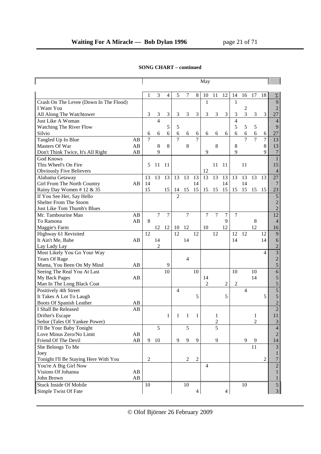## **Waiting For A Miracle — Bob Dylan 1996** page 21 of 71

#### **SONG CHART – continued**

|                                        |    |                |                |                |                |                |                  | May            |                |                |                |                |                 |                |                         |
|----------------------------------------|----|----------------|----------------|----------------|----------------|----------------|------------------|----------------|----------------|----------------|----------------|----------------|-----------------|----------------|-------------------------|
|                                        |    | 1              | 3              | 4              | 5              | $\tau$         | 8                | 10             | 11             | 12             | 14             | 16             | 17              | 18             | $\Sigma$                |
| Crash On The Levee (Down In The Flood) |    |                |                |                |                |                |                  | 1              |                |                | 1              |                |                 |                | 9                       |
| I Want You                             |    |                |                |                |                |                |                  |                |                |                |                | 2              |                 |                | $\overline{c}$          |
| All Along The Watchtower               |    | 3              | 3              | $\mathfrak{Z}$ | 3              | 3              | 3                | 3              | 3              | 3              | 3              | 3              | 3               | 3              | 27                      |
| Just Like A Woman                      |    |                | $\overline{4}$ |                |                |                |                  |                |                |                | $\overline{4}$ |                |                 |                | $\overline{4}$          |
| Watching The River Flow                |    |                |                | 5              | 5              |                |                  |                |                |                | 5              | 5              | 5               |                | 9                       |
| Silvio                                 |    | 6              | 6              | 6              | 6              | 6              | 6                | 6              | 6              | 6              | 6              | 6              | $6\,$           | 6              | 27                      |
| Tangled Up In Blue                     | AB | $\overline{7}$ |                |                | 7              |                |                  |                |                |                |                | 7              | $\overline{7}$  | $\overline{7}$ | 13                      |
| Masters Of War                         | AB |                | 8              | 8              |                | 8              |                  |                | 8              |                | 8              |                |                 | 8              | 13                      |
| Don't Think Twice, It's All Right      | AB |                | 9              |                |                |                |                  | 9              |                |                | 9              |                |                 | 9              | $\boldsymbol{7}$        |
| <b>God Knows</b>                       |    |                |                |                |                |                |                  |                |                |                |                |                |                 |                | $\mathbf{1}$            |
| This Wheel's On Fire                   |    | 5              | 11             | 11             |                |                |                  |                | 11             | 11             |                | 11             |                 |                | 15                      |
| <b>Obviously Five Believers</b>        |    |                |                |                |                |                |                  | 12             |                |                |                |                |                 |                | $\overline{4}$          |
| Alabama Getaway                        |    | 13             | 13             | 13             | 13             | 13             | 13               | 13             | 13             | 13             | 13             | 13             | 13              | 13             | 27                      |
| Girl From The North Country            | AB | 14             |                |                |                |                | 14               |                |                | 14             |                | 14             |                 |                | $\overline{7}$          |
| Rainy Day Women #12 & 35               |    | 15             |                | 15             | 14             | 15             | 15               | 15             | 15             | 15             | 15             | 15             | 15              | 15             | 23                      |
| If You See Her, Say Hello              |    |                |                |                | $\overline{2}$ |                |                  |                |                |                |                |                |                 |                | $\overline{\mathbf{5}}$ |
| Shelter From The Storm                 |    |                |                |                |                |                |                  |                |                |                |                |                |                 |                | $\overline{c}$          |
| Just Like Tom Thumb's Blues            |    |                |                |                |                |                |                  |                |                |                |                |                |                 |                | $\overline{2}$          |
| Mr. Tambourine Man                     | AB |                | $\overline{7}$ | $\overline{7}$ |                | $\overline{7}$ |                  | $\overline{7}$ | $\overline{7}$ | $\overline{7}$ | $\overline{7}$ |                |                 |                | 12                      |
| To Ramona                              | AB | 8              |                |                |                |                |                  |                |                | 9              |                |                | $\,8\,$         |                | $\overline{4}$          |
| Maggie's Farm                          |    |                | 12             | 12             | 10             | 12             |                  | 10             |                | 12             |                |                | 12              |                | 16                      |
| Highway 61 Revisited                   |    | 12             |                |                | 12             |                | 12               |                | 12             |                | 12             | 12             |                 | 12             | 9                       |
| It Ain't Me, Babe                      | AB |                | 14             |                |                | 14             |                  |                |                |                | 14             |                |                 | 14             | 6                       |
| Lay Lady Lay                           |    |                | $\overline{c}$ |                |                |                |                  |                |                |                |                |                |                 |                | $\overline{c}$          |
| Most Likely You Go Your Way            |    |                |                |                |                |                |                  |                |                |                |                |                |                 | 4              | $\overline{\mathbf{3}}$ |
| <b>Tears Of Rage</b>                   |    |                |                |                |                | $\overline{4}$ |                  |                |                |                |                |                |                 |                | $\overline{c}$          |
| Mama, You Been On My Mind              | AB |                |                | 9              |                |                |                  |                |                |                |                |                |                 |                | 5                       |
| Seeing The Real You At Last            |    |                |                | 10             |                |                | 10               |                |                |                | 10             |                | 10              |                | $\boldsymbol{6}$        |
| My Back Pages                          | AB |                |                |                |                |                |                  | 14             |                |                |                |                | 14              |                | 5                       |
| Man In The Long Black Coat             |    |                |                |                |                |                |                  | 2              |                | $\overline{c}$ | $\mathfrak{2}$ |                |                 |                | 5                       |
| Positively 4th Street                  |    |                |                |                | 4              |                |                  |                |                |                |                | $\overline{4}$ |                 |                | $\overline{5}$          |
| It Takes A Lot To Laugh                |    |                |                |                |                |                | 5                |                |                | 5              |                |                |                 | 5              | 5                       |
| Boots Of Spanish Leather               | AB |                |                |                |                |                |                  |                |                |                |                |                |                 |                | $\overline{c}$          |
| I Shall Be Released                    | AB |                |                |                |                |                |                  |                |                |                |                |                |                 |                | $\overline{2}$          |
| Drifter's Escape                       |    |                |                | $\mathbf{1}$   | 1              | $\mathbf{1}$   | 1                |                | $\mathbf{1}$   |                |                |                | $\mathbf{1}$    |                | 11                      |
| Señor (Tales Of Yankee Power)          |    |                |                |                |                |                |                  |                | $\overline{c}$ |                |                |                | $\overline{c}$  |                | $\mathfrak{Z}$          |
| I'll Be Your Baby Tonight              |    |                | 5              |                |                | 5              |                  |                | $\overline{5}$ |                |                |                |                 |                | $\overline{4}$          |
| Love Minus Zero/No Limit               | AB |                |                |                |                |                |                  |                |                |                |                |                |                 |                | $\overline{c}$          |
| Friend Of The Devil                    | AB | 9              | 10             |                | $\overline{9}$ | 9              | 9                |                | 9              |                |                | 9              | 9               |                | 14                      |
| She Belongs To Me                      |    |                |                |                |                |                |                  |                |                |                |                |                | $\overline{11}$ |                | $\sqrt{3}$              |
| Joey                                   |    |                |                |                |                |                |                  |                |                |                |                |                |                 |                | $\mathbf{1}$            |
| Tonight I'll Be Staying Here With You  |    | $\sqrt{2}$     |                |                |                | $\sqrt{2}$     | $\boldsymbol{2}$ |                |                |                |                |                |                 | $\overline{c}$ | $\overline{7}$          |
| You're A Big Girl Now                  |    |                |                |                |                |                |                  | $\overline{4}$ |                |                |                |                |                 |                | $\overline{2}$          |
| Visions Of Johanna                     | AB |                |                |                |                |                |                  |                |                |                |                |                |                 |                | $\mathbf{1}$            |
| John Brown                             | AB |                |                |                |                |                |                  |                |                |                |                |                |                 |                | $\mathbf{1}$            |
| <b>Stuck Inside Of Mobile</b>          |    | 10             |                |                |                | 10             |                  |                |                |                |                | 10             |                 |                | $\sqrt{5}$              |
| Simple Twist Of Fate                   |    |                |                |                |                |                | $\overline{4}$   |                |                | $\overline{4}$ |                |                |                 |                | 3 <sup>1</sup>          |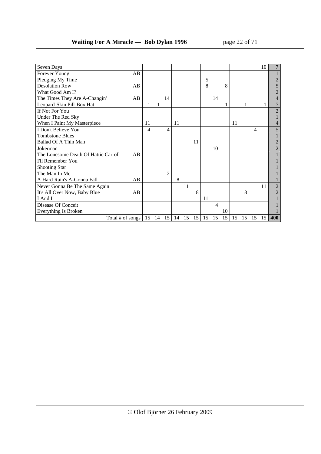## **Waiting For A Miracle — Bob Dylan 1996** page 22 of 71

| Seven Days                           |                  |                |    |                |    |    |    |    |    |    |    |    |    | 10 | 7                           |
|--------------------------------------|------------------|----------------|----|----------------|----|----|----|----|----|----|----|----|----|----|-----------------------------|
| Forever Young                        | AB               |                |    |                |    |    |    |    |    |    |    |    |    |    |                             |
| Pledging My Time                     |                  |                |    |                |    |    |    | 5  |    |    |    |    |    |    |                             |
| <b>Desolation Row</b>                | AB               |                |    |                |    |    |    | 8  |    | 8  |    |    |    |    | 5                           |
| What Good Am I?                      |                  |                |    |                |    |    |    |    |    |    |    |    |    |    | $\overline{2}$              |
| The Times They Are A-Changin'        | AB               |                |    | 14             |    |    |    |    | 14 |    |    |    |    |    |                             |
| Leopard-Skin Pill-Box Hat            |                  | 1              |    |                |    |    |    |    |    |    |    | 1  |    |    |                             |
| If Not For You                       |                  |                |    |                |    |    |    |    |    |    |    |    |    |    | $\mathcal{D}_{\mathcal{L}}$ |
| Under The Red Sky                    |                  |                |    |                |    |    |    |    |    |    |    |    |    |    |                             |
| When I Paint My Masterpiece          |                  | 11             |    |                | 11 |    |    |    |    |    | 11 |    |    |    |                             |
| I Don't Believe You                  |                  | $\overline{4}$ |    | 4              |    |    |    |    |    |    |    |    | 4  |    | 5                           |
| <b>Tombstone Blues</b>               |                  |                |    |                |    |    |    |    |    |    |    |    |    |    |                             |
| Ballad Of A Thin Man                 |                  |                |    |                |    |    | 11 |    |    |    |    |    |    |    |                             |
| Jokerman                             |                  |                |    |                |    |    |    |    | 10 |    |    |    |    |    | $\mathcal{D}$               |
| The Lonesome Death Of Hattie Carroll | AB               |                |    |                |    |    |    |    |    |    |    |    |    |    |                             |
| I'll Remember You                    |                  |                |    |                |    |    |    |    |    |    |    |    |    |    |                             |
| <b>Shooting Star</b>                 |                  |                |    |                |    |    |    |    |    |    |    |    |    |    |                             |
| The Man In Me                        |                  |                |    | $\overline{2}$ |    |    |    |    |    |    |    |    |    |    |                             |
| A Hard Rain's A-Gonna Fall           | AB               |                |    |                | 8  |    |    |    |    |    |    |    |    |    |                             |
| Never Gonna Be The Same Again        |                  |                |    |                |    | 11 |    |    |    |    |    |    |    | 11 | $\overline{2}$              |
| It's All Over Now, Baby Blue         | AB               |                |    |                |    |    | 8  |    |    |    |    | 8  |    |    |                             |
| I And I                              |                  |                |    |                |    |    |    | 11 |    |    |    |    |    |    |                             |
| Disease Of Conceit                   |                  |                |    |                |    |    |    |    | 4  |    |    |    |    |    |                             |
| Everything Is Broken                 |                  |                |    |                |    |    |    |    |    | 10 |    |    |    |    |                             |
|                                      | Total # of songs | 15             | 14 | 15             | 14 | 15 | 15 | 15 | 15 | 15 | 15 | 15 | 15 | 15 | 400                         |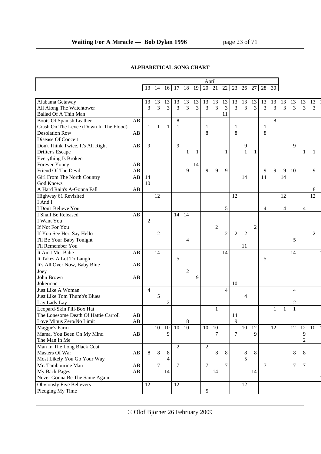# **Waiting For A Miracle — Bob Dylan 1996** page 23 of 71

#### **ALPHABETICAL SONG CHART**

| April<br>22 23 26 27 28 30<br>$14 \quad 16 \quad 17 \quad 18 \quad 19 \quad 20 \quad 21$<br>13<br>13<br>13<br>13<br>13<br>13<br>13<br>13<br>13<br>13<br>13<br>13<br>13<br>13<br>Alabama Getaway<br>13<br>13<br>13<br>13<br>13<br>3<br>$\overline{3}$<br>3<br>3<br>3<br>3<br>3<br>3<br>3<br>3<br>3<br>3<br>3<br>3<br>3<br>3<br>3<br>All Along The Watchtower<br>3<br>Ballad Of A Thin Man<br>11<br>Boots Of Spanish Leather<br>8<br>8<br>AB<br>Crash On The Levee (Down In The Flood)<br>1<br>$\mathbf{1}$<br>1<br>1<br>1<br>1<br>1<br>8<br>8<br><b>Desolation Row</b><br>AB<br>8<br>Disease Of Conceit<br>9<br>9<br>9<br>Don't Think Twice, It's All Right<br>AB<br>9<br>1<br>Drifter's Escape<br>1<br>1<br>1<br>1<br>1<br>Everything Is Broken<br>Forever Young<br>AB<br>14<br>Friend Of The Devil<br>AB<br>9<br>9<br>9<br>9<br>9<br>9<br>9<br>10<br>9<br>14<br>14<br>14<br>Girl From The North Country<br>14<br>AB<br><b>God Knows</b><br>10<br>A Hard Rain's A-Gonna Fall<br>AB<br>8<br>12<br>12<br>12<br>Highway 61 Revisited<br>12<br>I And I<br>I Don't Believe You<br>5<br>$\overline{4}$<br>4<br>4<br>14<br>14<br>I Shall Be Released<br>AB<br>I Want You<br>$\overline{2}$<br>$\mathfrak{2}$<br>$\overline{c}$<br>If Not For You |
|-------------------------------------------------------------------------------------------------------------------------------------------------------------------------------------------------------------------------------------------------------------------------------------------------------------------------------------------------------------------------------------------------------------------------------------------------------------------------------------------------------------------------------------------------------------------------------------------------------------------------------------------------------------------------------------------------------------------------------------------------------------------------------------------------------------------------------------------------------------------------------------------------------------------------------------------------------------------------------------------------------------------------------------------------------------------------------------------------------------------------------------------------------------------------------------------------------------------------------------------|
|                                                                                                                                                                                                                                                                                                                                                                                                                                                                                                                                                                                                                                                                                                                                                                                                                                                                                                                                                                                                                                                                                                                                                                                                                                           |
|                                                                                                                                                                                                                                                                                                                                                                                                                                                                                                                                                                                                                                                                                                                                                                                                                                                                                                                                                                                                                                                                                                                                                                                                                                           |
|                                                                                                                                                                                                                                                                                                                                                                                                                                                                                                                                                                                                                                                                                                                                                                                                                                                                                                                                                                                                                                                                                                                                                                                                                                           |
|                                                                                                                                                                                                                                                                                                                                                                                                                                                                                                                                                                                                                                                                                                                                                                                                                                                                                                                                                                                                                                                                                                                                                                                                                                           |
|                                                                                                                                                                                                                                                                                                                                                                                                                                                                                                                                                                                                                                                                                                                                                                                                                                                                                                                                                                                                                                                                                                                                                                                                                                           |
|                                                                                                                                                                                                                                                                                                                                                                                                                                                                                                                                                                                                                                                                                                                                                                                                                                                                                                                                                                                                                                                                                                                                                                                                                                           |
|                                                                                                                                                                                                                                                                                                                                                                                                                                                                                                                                                                                                                                                                                                                                                                                                                                                                                                                                                                                                                                                                                                                                                                                                                                           |
|                                                                                                                                                                                                                                                                                                                                                                                                                                                                                                                                                                                                                                                                                                                                                                                                                                                                                                                                                                                                                                                                                                                                                                                                                                           |
|                                                                                                                                                                                                                                                                                                                                                                                                                                                                                                                                                                                                                                                                                                                                                                                                                                                                                                                                                                                                                                                                                                                                                                                                                                           |
|                                                                                                                                                                                                                                                                                                                                                                                                                                                                                                                                                                                                                                                                                                                                                                                                                                                                                                                                                                                                                                                                                                                                                                                                                                           |
|                                                                                                                                                                                                                                                                                                                                                                                                                                                                                                                                                                                                                                                                                                                                                                                                                                                                                                                                                                                                                                                                                                                                                                                                                                           |
|                                                                                                                                                                                                                                                                                                                                                                                                                                                                                                                                                                                                                                                                                                                                                                                                                                                                                                                                                                                                                                                                                                                                                                                                                                           |
|                                                                                                                                                                                                                                                                                                                                                                                                                                                                                                                                                                                                                                                                                                                                                                                                                                                                                                                                                                                                                                                                                                                                                                                                                                           |
|                                                                                                                                                                                                                                                                                                                                                                                                                                                                                                                                                                                                                                                                                                                                                                                                                                                                                                                                                                                                                                                                                                                                                                                                                                           |
|                                                                                                                                                                                                                                                                                                                                                                                                                                                                                                                                                                                                                                                                                                                                                                                                                                                                                                                                                                                                                                                                                                                                                                                                                                           |
|                                                                                                                                                                                                                                                                                                                                                                                                                                                                                                                                                                                                                                                                                                                                                                                                                                                                                                                                                                                                                                                                                                                                                                                                                                           |
|                                                                                                                                                                                                                                                                                                                                                                                                                                                                                                                                                                                                                                                                                                                                                                                                                                                                                                                                                                                                                                                                                                                                                                                                                                           |
|                                                                                                                                                                                                                                                                                                                                                                                                                                                                                                                                                                                                                                                                                                                                                                                                                                                                                                                                                                                                                                                                                                                                                                                                                                           |
|                                                                                                                                                                                                                                                                                                                                                                                                                                                                                                                                                                                                                                                                                                                                                                                                                                                                                                                                                                                                                                                                                                                                                                                                                                           |
|                                                                                                                                                                                                                                                                                                                                                                                                                                                                                                                                                                                                                                                                                                                                                                                                                                                                                                                                                                                                                                                                                                                                                                                                                                           |
|                                                                                                                                                                                                                                                                                                                                                                                                                                                                                                                                                                                                                                                                                                                                                                                                                                                                                                                                                                                                                                                                                                                                                                                                                                           |
|                                                                                                                                                                                                                                                                                                                                                                                                                                                                                                                                                                                                                                                                                                                                                                                                                                                                                                                                                                                                                                                                                                                                                                                                                                           |
|                                                                                                                                                                                                                                                                                                                                                                                                                                                                                                                                                                                                                                                                                                                                                                                                                                                                                                                                                                                                                                                                                                                                                                                                                                           |
| $\overline{c}$<br>If You See Her, Say Hello<br>$\mathfrak{2}$<br>$\overline{2}$<br>$\overline{2}$<br>2                                                                                                                                                                                                                                                                                                                                                                                                                                                                                                                                                                                                                                                                                                                                                                                                                                                                                                                                                                                                                                                                                                                                    |
| 5<br>I'll Be Your Baby Tonight<br>4                                                                                                                                                                                                                                                                                                                                                                                                                                                                                                                                                                                                                                                                                                                                                                                                                                                                                                                                                                                                                                                                                                                                                                                                       |
| I'll Remember You<br>11                                                                                                                                                                                                                                                                                                                                                                                                                                                                                                                                                                                                                                                                                                                                                                                                                                                                                                                                                                                                                                                                                                                                                                                                                   |
| It Ain't Me, Babe<br>14<br>AB<br>14<br>14                                                                                                                                                                                                                                                                                                                                                                                                                                                                                                                                                                                                                                                                                                                                                                                                                                                                                                                                                                                                                                                                                                                                                                                                 |
| 5<br>It Takes A Lot To Laugh<br>5                                                                                                                                                                                                                                                                                                                                                                                                                                                                                                                                                                                                                                                                                                                                                                                                                                                                                                                                                                                                                                                                                                                                                                                                         |
| It's All Over Now, Baby Blue<br>AB                                                                                                                                                                                                                                                                                                                                                                                                                                                                                                                                                                                                                                                                                                                                                                                                                                                                                                                                                                                                                                                                                                                                                                                                        |
| 12<br>Joey                                                                                                                                                                                                                                                                                                                                                                                                                                                                                                                                                                                                                                                                                                                                                                                                                                                                                                                                                                                                                                                                                                                                                                                                                                |
| John Brown<br>9<br>AB                                                                                                                                                                                                                                                                                                                                                                                                                                                                                                                                                                                                                                                                                                                                                                                                                                                                                                                                                                                                                                                                                                                                                                                                                     |
| Jokerman<br>10                                                                                                                                                                                                                                                                                                                                                                                                                                                                                                                                                                                                                                                                                                                                                                                                                                                                                                                                                                                                                                                                                                                                                                                                                            |
| Just Like A Woman<br>$\overline{4}$<br>$\overline{4}$<br>4                                                                                                                                                                                                                                                                                                                                                                                                                                                                                                                                                                                                                                                                                                                                                                                                                                                                                                                                                                                                                                                                                                                                                                                |
| Just Like Tom Thumb's Blues<br>5<br>$\overline{4}$                                                                                                                                                                                                                                                                                                                                                                                                                                                                                                                                                                                                                                                                                                                                                                                                                                                                                                                                                                                                                                                                                                                                                                                        |
| 2<br>2<br>Lay Lady Lay                                                                                                                                                                                                                                                                                                                                                                                                                                                                                                                                                                                                                                                                                                                                                                                                                                                                                                                                                                                                                                                                                                                                                                                                                    |
| $\mathbf{1}$<br>Leopard-Skin Pill-Box Hat<br>1                                                                                                                                                                                                                                                                                                                                                                                                                                                                                                                                                                                                                                                                                                                                                                                                                                                                                                                                                                                                                                                                                                                                                                                            |
| The Lonesome Death Of Hattie Carroll<br>AB<br>14                                                                                                                                                                                                                                                                                                                                                                                                                                                                                                                                                                                                                                                                                                                                                                                                                                                                                                                                                                                                                                                                                                                                                                                          |
| $\overline{9}$<br>Love Minus Zero/No Limit<br>AB<br>8                                                                                                                                                                                                                                                                                                                                                                                                                                                                                                                                                                                                                                                                                                                                                                                                                                                                                                                                                                                                                                                                                                                                                                                     |
| 10<br>10<br>10<br>10<br>12<br>12<br>Maggie's Farm<br>10<br>10<br>10<br>12<br>12<br>10                                                                                                                                                                                                                                                                                                                                                                                                                                                                                                                                                                                                                                                                                                                                                                                                                                                                                                                                                                                                                                                                                                                                                     |
| 9<br>9<br>9<br>Mama, You Been On My Mind<br>7<br>7<br>AB                                                                                                                                                                                                                                                                                                                                                                                                                                                                                                                                                                                                                                                                                                                                                                                                                                                                                                                                                                                                                                                                                                                                                                                  |
| The Man In Me<br>2                                                                                                                                                                                                                                                                                                                                                                                                                                                                                                                                                                                                                                                                                                                                                                                                                                                                                                                                                                                                                                                                                                                                                                                                                        |
| Man In The Long Black Coat<br>$\overline{2}$<br>$\overline{c}$                                                                                                                                                                                                                                                                                                                                                                                                                                                                                                                                                                                                                                                                                                                                                                                                                                                                                                                                                                                                                                                                                                                                                                            |
| Masters Of War<br>$\mathbf{A}\mathbf{B}$<br>$8\,$<br>8<br>8<br>$8\,$<br>$\,8\,$<br>8<br>8<br>8<br>8                                                                                                                                                                                                                                                                                                                                                                                                                                                                                                                                                                                                                                                                                                                                                                                                                                                                                                                                                                                                                                                                                                                                       |
| 5<br>Most Likely You Go Your Way<br>4                                                                                                                                                                                                                                                                                                                                                                                                                                                                                                                                                                                                                                                                                                                                                                                                                                                                                                                                                                                                                                                                                                                                                                                                     |
| Mr. Tambourine Man<br>$\boldsymbol{7}$<br>$\tau$<br>AB<br>$\tau$<br>7<br>$\overline{7}$<br>$\tau$<br>$\tau$                                                                                                                                                                                                                                                                                                                                                                                                                                                                                                                                                                                                                                                                                                                                                                                                                                                                                                                                                                                                                                                                                                                               |
| My Back Pages<br>AB<br>14<br>14<br>14                                                                                                                                                                                                                                                                                                                                                                                                                                                                                                                                                                                                                                                                                                                                                                                                                                                                                                                                                                                                                                                                                                                                                                                                     |
| Never Gonna Be The Same Again                                                                                                                                                                                                                                                                                                                                                                                                                                                                                                                                                                                                                                                                                                                                                                                                                                                                                                                                                                                                                                                                                                                                                                                                             |
| Obviously Five Believers<br>12<br>12<br>12                                                                                                                                                                                                                                                                                                                                                                                                                                                                                                                                                                                                                                                                                                                                                                                                                                                                                                                                                                                                                                                                                                                                                                                                |
| Pledging My Time<br>5                                                                                                                                                                                                                                                                                                                                                                                                                                                                                                                                                                                                                                                                                                                                                                                                                                                                                                                                                                                                                                                                                                                                                                                                                     |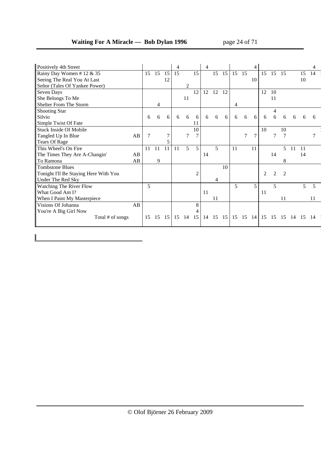## **Waiting For A Miracle — Bob Dylan 1996** page 24 of 71

 $\mathbf{l}$ 

| Positively 4th Street                 |                |    |    | 4  |        |                | 4  |    |    |       |    | $\overline{4}$ |    |    |                |    |    | 4    |
|---------------------------------------|----------------|----|----|----|--------|----------------|----|----|----|-------|----|----------------|----|----|----------------|----|----|------|
| Rainy Day Women # 12 & 35             | 15             | 15 | 15 | 15 |        | 15             |    | 15 | 15 | 15    | 15 |                | 15 | 15 | 15             |    | 15 | 14   |
| Seeing The Real You At Last           |                |    | 12 |    |        |                |    |    |    |       |    | 10             |    |    |                |    | 10 |      |
| Señor (Tales Of Yankee Power)         |                |    |    |    | 2      |                |    |    |    |       |    |                |    |    |                |    |    |      |
| Seven Days                            |                |    |    |    |        | 12             | 12 | 12 | 12 |       |    |                | 12 | 10 |                |    |    |      |
| She Belongs To Me                     |                |    |    |    | 11     |                |    |    |    |       |    |                |    | 11 |                |    |    |      |
| Shelter From The Storm                |                | 4  |    |    |        |                |    |    |    | 4     |    |                |    |    |                |    |    |      |
| <b>Shooting Star</b>                  |                |    |    |    |        |                |    |    |    |       |    |                |    | 4  |                |    |    |      |
| Silvio                                | 6              | 6  | 6  | 6  | 6      | 6              | 6  | 6  | 6  | 6     | 6  | 6              | 6  | 6  | 6              | 6  | 6  | 6    |
| Simple Twist Of Fate                  |                |    |    |    |        | 11             |    |    |    |       |    |                |    |    |                |    |    |      |
| <b>Stuck Inside Of Mobile</b>         |                |    |    |    |        | 10             |    |    |    |       |    |                | 10 |    | 10             |    |    |      |
| Tangled Up In Blue<br>AB              | $\overline{7}$ |    | 7  |    | $\tau$ | $\overline{7}$ |    |    |    |       | 7  | 7              |    | 7  | 7              |    |    |      |
| <b>Tears Of Rage</b>                  |                |    | 5  |    |        |                |    |    |    |       |    |                |    |    |                |    |    |      |
| This Wheel's On Fire                  | 11             | 11 | 11 | 11 | 5      | 5              |    | 5  |    | 11    |    | 11             |    |    | 5              | 11 | 11 |      |
| The Times They Are A-Changin'<br>AB   |                |    |    |    |        |                | 14 |    |    |       |    |                |    | 14 |                |    | 14 |      |
| AB<br>To Ramona                       |                | 9  |    |    |        |                |    |    |    |       |    |                |    |    | 8              |    |    |      |
| <b>Tombstone Blues</b>                |                |    |    |    |        |                |    |    | 10 |       |    |                |    |    |                |    |    |      |
| Tonight I'll Be Staying Here With You |                |    |    |    |        | $\overline{c}$ |    |    |    |       |    |                | 2  | 2  | $\overline{2}$ |    |    |      |
| Under The Red Sky                     |                |    |    |    |        |                |    | 4  |    |       |    |                |    |    |                |    |    |      |
| Watching The River Flow               | 5              |    |    |    |        |                |    |    |    | 5     |    | 5              |    | 5  |                |    | 5  | 5    |
| What Good Am I?                       |                |    |    |    |        |                | 11 |    |    |       |    |                | 11 |    |                |    |    |      |
| When I Paint My Masterpiece           |                |    |    |    |        |                |    | 11 |    |       |    |                |    |    | 11             |    |    | 11   |
| Visions Of Johanna<br>AB              |                |    |    |    |        | 8              |    |    |    |       |    |                |    |    |                |    |    |      |
| You're A Big Girl Now                 |                |    |    |    |        |                |    |    |    |       |    |                |    |    |                |    |    |      |
| Total # of songs                      | 15             | 15 | 15 | 15 | 14     | 15             | 14 | 15 | 15 | 15 15 |    | -14            | 15 | 15 | 15             | 14 | 15 | - 14 |
|                                       |                |    |    |    |        |                |    |    |    |       |    |                |    |    |                |    |    |      |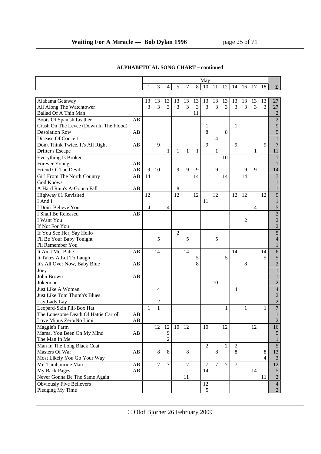|                                        |    |    |                |                |                |                |    | May            |                |                |                |       |    |                |                          |
|----------------------------------------|----|----|----------------|----------------|----------------|----------------|----|----------------|----------------|----------------|----------------|-------|----|----------------|--------------------------|
|                                        |    | 1  | 3              | $\overline{4}$ | 5              | 7              |    | 8 10           | 11             |                | $12$   14      | 16 17 |    | 18             | Σ                        |
|                                        |    |    |                |                |                |                |    |                |                |                |                |       |    |                |                          |
| Alabama Getaway                        |    | 13 | 13             | 13             | 13             | 13             | 13 | 13             | 13             | 13             | 13             | 13    | 13 | 13             | 27                       |
| All Along The Watchtower               |    | 3  | 3              | 3              | 3              | 3              | 3  | 3              | 3              | 3              | 3              | 3     | 3  | 3              | 27                       |
| Ballad Of A Thin Man                   |    |    |                |                |                |                | 11 |                |                |                |                |       |    |                | $\overline{c}$           |
| Boots Of Spanish Leather               | AB |    |                |                |                |                |    |                |                |                |                |       |    |                | $\overline{2}$           |
| Crash On The Levee (Down In The Flood) |    |    |                |                |                |                |    | 1              |                |                | 1              |       |    |                | 9                        |
| <b>Desolation Row</b>                  | AB |    |                |                |                |                |    | 8              |                | 8              |                |       |    |                | 5                        |
| Disease Of Conceit                     |    |    |                |                |                |                |    |                | 4              |                |                |       |    |                | $\mathbf{1}$             |
| Don't Think Twice, It's All Right      | AB |    | 9              |                |                |                |    | 9              |                |                | 9              |       |    | $\mathbf Q$    | 7                        |
| Drifter's Escape                       |    |    |                | 1              | 1              | 1              | 1  |                | 1              |                |                |       | 1  |                | 11                       |
| Everything Is Broken                   |    |    |                |                |                |                |    |                |                | 10             |                |       |    |                | 1                        |
| Forever Young                          | AB |    |                |                |                |                |    |                |                |                |                |       |    |                | 1                        |
| Friend Of The Devil                    | AB | 9  | 10             |                | 9              | 9              | 9  |                | 9              |                |                | 9     | 9  |                | 14                       |
| Girl From The North Country            | AB | 14 |                |                |                |                | 14 |                |                | 14             |                | 14    |    |                | $\overline{7}$           |
| <b>God Knows</b>                       |    |    |                |                |                |                |    |                |                |                |                |       |    |                | 1                        |
| A Hard Rain's A-Gonna Fall             | AB |    |                |                | $8\,$          |                |    |                |                |                |                |       |    |                | 1                        |
| Highway 61 Revisited                   |    | 12 |                |                | 12             |                | 12 |                | 12             |                | 12             | 12    |    | 12             | 9                        |
| I And I                                |    |    |                |                |                |                |    | 11             |                |                |                |       |    |                | $\mathbf{1}$             |
| I Don't Believe You                    |    | 4  |                | 4              |                |                |    |                |                |                |                |       | 4  |                | 5                        |
| I Shall Be Released                    | AB |    |                |                |                |                |    |                |                |                |                |       |    |                | $\overline{c}$           |
| I Want You                             |    |    |                |                |                |                |    |                |                |                |                | 2     |    |                | $\overline{c}$           |
| If Not For You                         |    |    |                |                |                |                |    |                |                |                |                |       |    |                | $\overline{c}$           |
| If You See Her, Say Hello              |    |    |                |                | $\overline{c}$ |                |    |                |                |                |                |       |    |                | 5                        |
| I'll Be Your Baby Tonight              |    |    | 5              |                |                | 5              |    |                | 5              |                |                |       |    |                | $\overline{4}$           |
| I'll Remember You                      |    |    |                |                |                |                |    |                |                |                |                |       |    |                | $\mathbf{1}$             |
| It Ain't Me, Babe                      | AB |    | 14             |                |                | 14             |    |                |                |                | 14             |       |    | 14             | $\boldsymbol{6}$         |
| It Takes A Lot To Laugh                |    |    |                |                |                |                | 5  |                |                | 5              |                |       |    | 5              | $\sqrt{5}$               |
| It's All Over Now, Baby Blue           | AB |    |                |                |                |                | 8  |                |                |                |                | 8     |    |                | $\overline{2}$           |
| Joey                                   |    |    |                |                |                |                |    |                |                |                |                |       |    |                | 1                        |
| John Brown                             | AB |    |                |                |                |                |    |                |                |                |                |       |    |                | $\mathbf{1}$             |
| Jokerman                               |    |    |                |                |                |                |    |                | 10             |                |                |       |    |                | $\overline{c}$           |
| Just Like A Woman                      |    |    | $\overline{4}$ |                |                |                |    |                |                |                | 4              |       |    |                | $\overline{\mathcal{L}}$ |
| Just Like Tom Thumb's Blues            |    |    |                |                |                |                |    |                |                |                |                |       |    |                | $\overline{c}$           |
| Lay Lady Lay                           |    |    | 2              |                |                |                |    |                |                |                |                |       |    |                | $\overline{c}$           |
| Leopard-Skin Pill-Box Hat              |    | 1  | $\mathbf{1}$   |                |                |                |    |                |                | 1              |                | 1     |    | 1              | $\overline{7}$           |
| The Lonesome Death Of Hattie Carroll   | AB |    |                |                |                |                |    |                |                |                |                |       |    |                | $\mathbf{1}$             |
| Love Minus Zero/No Limit               | AB |    |                |                |                |                |    |                |                |                |                |       |    |                | $\overline{c}$           |
| Maggie's Farm                          |    |    | 12             | 12             | 10             | 12             |    | 10             |                | 12             |                |       | 12 |                | 16                       |
| Mama, You Been On My Mind              | AB |    |                | 9              |                |                |    |                |                |                |                |       |    |                | $\mathfrak{S}$           |
| The Man In Me                          |    |    |                | $\overline{c}$ |                |                |    |                |                |                |                |       |    |                | 1                        |
| Man In The Long Black Coat             |    |    |                |                |                |                |    | $\sqrt{2}$     |                | $\overline{c}$ | $\overline{c}$ |       |    |                | 5                        |
| Masters Of War                         | AB |    | $8\,$          | 8              |                | $8\,$          |    |                | 8              |                | $8\,$          |       |    | 8              | 13                       |
| Most Likely You Go Your Way            |    |    |                |                |                |                |    |                |                |                |                |       |    | $\overline{4}$ | $\mathfrak{Z}$           |
| Mr. Tambourine Man                     | AB |    | 7              | $\overline{7}$ |                | $\overline{7}$ |    | $\overline{7}$ | $\overline{7}$ | $\overline{7}$ | $\overline{7}$ |       |    |                | 12                       |
| My Back Pages                          | AB |    |                |                |                |                |    | 14             |                |                |                |       | 14 |                | $\sqrt{5}$               |
| Never Gonna Be The Same Again          |    |    |                |                |                | 11             |    |                |                |                |                |       |    | 11             | $\overline{c}$           |
| <b>Obviously Five Believers</b>        |    |    |                |                |                |                |    | 12             |                |                |                |       |    |                | $\overline{4}$           |
| Pledging My Time                       |    |    |                |                |                |                |    | $\mathfrak s$  |                |                |                |       |    |                | 2 <sub>1</sub>           |

#### **ALPHABETICAL SONG CHART – continued**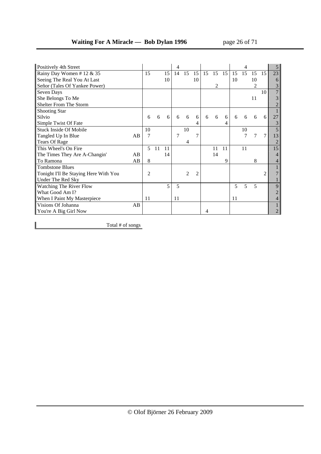## **Waiting For A Miracle — Bob Dylan 1996** page 26 of 71

| Positively 4th Street                 |    |    |    |    | 4  |    |                |    |    |    |    | 4  |    |    | 5  |
|---------------------------------------|----|----|----|----|----|----|----------------|----|----|----|----|----|----|----|----|
| Rainy Day Women #12 & 35              |    | 15 |    | 15 | 14 | 15 | 15             | 15 | 15 | 15 | 15 | 15 | 15 | 15 | 23 |
| Seeing The Real You At Last           |    |    |    | 10 |    |    | 10             |    |    |    | 10 |    | 10 |    | 6  |
| Señor (Tales Of Yankee Power)         |    |    |    |    |    |    |                |    | 2  |    |    |    | 2  |    |    |
| Seven Days                            |    |    |    |    |    |    |                |    |    |    |    |    |    | 10 |    |
| She Belongs To Me                     |    |    |    |    |    |    |                |    |    |    |    |    | 11 |    |    |
| Shelter From The Storm                |    |    |    |    |    |    |                |    |    |    |    |    |    |    |    |
| <b>Shooting Star</b>                  |    |    |    |    |    |    |                |    |    |    |    |    |    |    |    |
| Silvio                                |    | 6  | 6  | 6  | 6  | 6  | 6              | 6  | 6  | 6  | 6  | 6  | 6  | 6  | 27 |
| Simple Twist Of Fate                  |    |    |    |    |    |    | 4              |    |    | 4  |    |    |    |    |    |
| <b>Stuck Inside Of Mobile</b>         |    | 10 |    |    |    | 10 |                |    |    |    |    | 10 |    |    |    |
| Tangled Up In Blue                    | AB | 7  |    |    |    |    | 7              |    |    |    |    |    |    | 7  | 13 |
| <b>Tears Of Rage</b>                  |    |    |    |    |    | 4  |                |    |    |    |    |    |    |    |    |
| This Wheel's On Fire                  |    | 5  | 11 | 11 |    |    |                |    | 11 | 11 |    | 11 |    |    | 15 |
| The Times They Are A-Changin'         | AВ |    |    | 14 |    |    |                |    | 14 |    |    |    |    |    |    |
| To Ramona                             | AB | 8  |    |    |    |    |                |    |    | 9  |    |    | 8  |    |    |
| <b>Tombstone Blues</b>                |    |    |    |    |    |    |                |    |    |    |    |    |    |    |    |
| Tonight I'll Be Staying Here With You |    | 2  |    |    |    | 2  | $\overline{c}$ |    |    |    |    |    |    | 2  |    |
| Under The Red Sky                     |    |    |    |    |    |    |                |    |    |    |    |    |    |    |    |
| Watching The River Flow               |    |    |    | 5  | 5  |    |                |    |    |    | 5  | 5  | 5  |    | 9  |
| What Good Am I?                       |    |    |    |    |    |    |                |    |    |    |    |    |    |    |    |
| When I Paint My Masterpiece           |    | 11 |    |    | 11 |    |                |    |    |    | 11 |    |    |    |    |
| Visions Of Johanna                    | AB |    |    |    |    |    |                |    |    |    |    |    |    |    |    |
| You're A Big Girl Now                 |    |    |    |    |    |    |                | 4  |    |    |    |    |    |    |    |

Total # of songs

 $\mathbf{l}$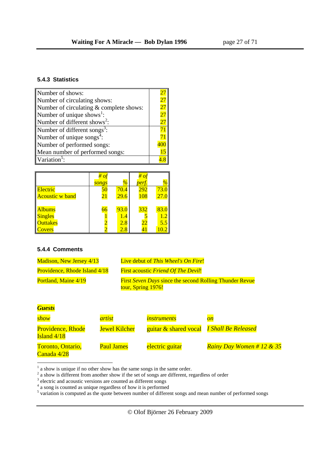#### **5.4.3 Statistics**

| Number of shows:                         |     |
|------------------------------------------|-----|
| Number of circulating shows:             |     |
| Number of circulating & complete shows:  |     |
| Number of unique shows <sup>1</sup> :    |     |
| Number of different shows <sup>2</sup> : |     |
| Number of different songs <sup>3</sup> : |     |
| Number of unique songs <sup>4</sup> :    |     |
| Number of performed songs:               |     |
| Mean number of performed songs:          | 1 م |
| Variation <sup>5</sup>                   |     |

|                        | #<br>songs | $\frac{\partial}{\partial \rho}$ | perf |      |
|------------------------|------------|----------------------------------|------|------|
| Electric               | 50         | 70.4                             | 292  | 73.0 |
| <b>Acoustic w band</b> | 21         | 29.6                             | 108  | 27.0 |
|                        |            |                                  |      |      |
| <b>Albums</b>          | 66         | 93.0                             | 332  | 83.0 |
| <b>Singles</b>         |            | <u>1.4</u>                       |      | 1.2  |
| <b>Outtakes</b>        |            | 2.8                              |      | 5.5  |
| <b>Covers</b>          |            | 2.8                              |      |      |

### **5.4.4 Comments**

| <b>Madison, New Jersey 4/13</b>      | Live debut of This Wheel's On Fire!                                                  |
|--------------------------------------|--------------------------------------------------------------------------------------|
| <b>Providence, Rhode Island 4/18</b> | <b>First acoustic Friend Of The Devil!</b>                                           |
| Portland, Maine 4/19                 | <b>First Seven Days since the second Rolling Thunder Revue</b><br>tour, Spring 1976! |

|--|

| show                                           | artist               | <i>instruments</i>                               | on                                  |
|------------------------------------------------|----------------------|--------------------------------------------------|-------------------------------------|
| <b>Providence, Rhode</b><br><b>Island 4/18</b> | <b>Jewel Kilcher</b> | guitar & shared vocal <i>I Shall Be Released</i> |                                     |
| Toronto, Ontario,<br>Canada 4/28               | <b>Paul James</b>    | electric guitar                                  | <b>Rainy Day Women #12 &amp; 35</b> |

<sup>1</sup> a show is unique if no other show has the same songs in the same order.

 $2$  a show is different from another show if the set of songs are different, regardless of order

<sup>3</sup> electric and acoustic versions are counted as different songs

<sup>4</sup> a song is counted as unique regardless of how it is performed

<sup>5</sup> variation is computed as the quote between number of different songs and mean number of performed songs

© Olof Björner 26 February 2009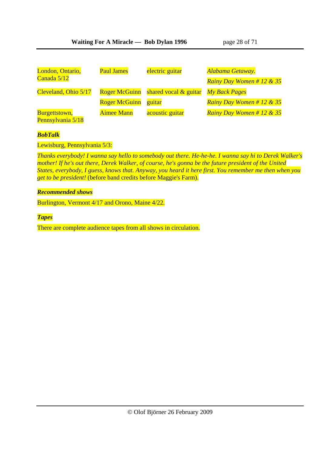| London, Ontario,     | <b>Paul James</b>    | electric guitar       | Alabama Getaway.          |
|----------------------|----------------------|-----------------------|---------------------------|
| Canada 5/12          |                      |                       | Rainy Day Women # 12 & 35 |
| Cleveland, Ohio 5/17 | <b>Roger McGuinn</b> | shared vocal & guitar | <b>My Back Pages</b>      |
|                      | <b>Roger McGuinn</b> | guitar                | Rainy Day Women # 12 & 35 |
| <b>Burgettstown,</b> | <b>Aimee Mann</b>    | acoustic guitar       | Rainy Day Women # 12 & 35 |
| Pennsylvania 5/18    |                      |                       |                           |

### *BobTalk*

Lewisburg, Pennsylvania 5/3:

*Thanks everybody! I wanna say hello to somebody out there. He-he-he. I wanna say hi to Derek Walker's mother! If he's out there, Derek Walker, of course, he's gonna be the future president of the United States, everybody, I guess, knows that. Anyway, you heard it here first. You remember me then when you get to be president!* (before band credits before Maggie's Farm).

#### *Recommended shows*

Burlington, Vermont 4/17 and Orono, Maine 4/22.

*Tapes* 

There are complete audience tapes from all shows in circulation.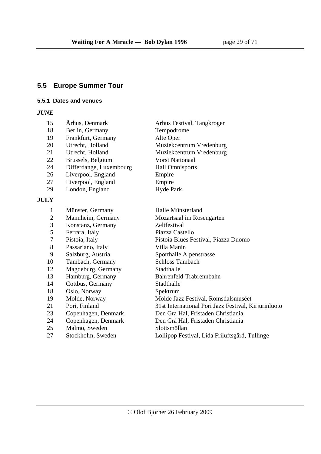### **5.5 Europe Summer Tour**

#### **5.5.1 Dates and venues**

### *JUNE*

15 Århus, Denmark Århus Festival, Tangkrogen 18 Berlin, Germany Tempodrome 19 Frankfurt, Germany Alte Oper 20 Utrecht, Holland Muziekcentrum Vredenburg<br>21 Utrecht, Holland Muziekcentrum Vredenburg 21 Utrecht, Holland Muziekcentrum Vredenburg 22 Brussels, Belgium Vorst Nationaal 24 Differdange, Luxembourg Hall Omnisports 26 Liverpool, England Empire 27 Liverpool, England Empire 29 London, England Hyde Park **JULY** 1 Münster, Germany Halle Münsterland 2 Mannheim, Germany Mozartsaal im Rosengarten 3 Konstanz, Germany Zeltfestival 5 Ferrara, Italy Piazza Castello 7 Pistoia, Italy Pistoia Blues Festival, Piazza Duomo 8 Passariano, Italy Villa Manin 9 Salzburg, Austria Sporthalle Alpenstrasse 10 Tambach, Germany Schloss Tambach 12 Magdeburg, Germany Stadthalle 13 Hamburg, Germany Bahrenfeld-Trabrennbahn 14 Cottbus, Germany Stadthalle 18 Oslo, Norway Spektrum 19 Molde, Norway Molde Jazz Festival, Romsdalsmuséet 21 Pori, Finland 31st International Pori Jazz Festival, Kirjurinluoto 23 Copenhagen, Denmark Den Grå Hal, Fristaden Christiania 24 Copenhagen, Denmark Den Grå Hal, Fristaden Christiania

25 Malmö, Sweden Slottsmöllan

27 Stockholm, Sweden Lollipop Festival, Lida Friluftsgård, Tullinge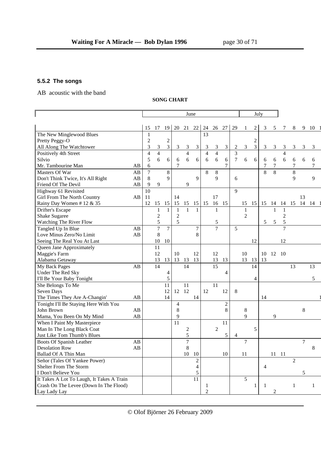## **5.5.2 The songs**

AB acoustic with the band

#### **SONG CHART**

|                                               |                  |                |                |              | June           |                  |                |                |                |                |                | July             |                |              |                |                |    |      |
|-----------------------------------------------|------------------|----------------|----------------|--------------|----------------|------------------|----------------|----------------|----------------|----------------|----------------|------------------|----------------|--------------|----------------|----------------|----|------|
|                                               |                  |                |                |              |                |                  |                |                |                |                |                |                  |                |              |                |                |    |      |
|                                               | 15               | 17             | 19             | 20           | 21 22          |                  |                | 24 26 27       |                | 29             | $\mathbf{1}$   | $\overline{2}$   | 3              | 5            | 7              | 8              | 9  | -10  |
| The New Minglewood Blues                      | 1                |                |                |              |                |                  | 13             |                |                |                |                |                  |                |              |                |                |    |      |
| Pretty Peggy-O                                | $\overline{c}$   |                | $\overline{c}$ |              |                |                  |                |                |                |                |                | $\boldsymbol{2}$ |                |              |                |                |    |      |
| All Along The Watchtower                      | 3                | $\mathfrak{Z}$ | $\overline{3}$ | 3            | 3              | 3                | 3              | 3              | 3              | 2              | 3              | 3                | $\mathfrak{Z}$ | 3            | 3              | 3              | 3  | 3    |
| Positively 4th Street                         | $\overline{4}$   | $\overline{4}$ |                |              | $\overline{4}$ |                  | $\overline{4}$ | $\overline{4}$ |                | 3              |                |                  |                |              | $\overline{4}$ |                |    |      |
| Silvio                                        | 5                | 6              | 6              | 6            | 6              | 6                | 6              | 6              | 6              | $\overline{7}$ | 6              | 6                | $6\,$          | 6            | 6              | 6              | 6  | 6    |
| Mr. Tambourine Man<br>AB                      | 6                |                |                | $\tau$       |                |                  |                |                | 7              |                |                |                  | 7              | 7            |                | 7              |    | 7    |
| Masters Of War<br>AB                          | $\boldsymbol{7}$ |                | 8              |              |                |                  | $8\,$          | 8              |                |                |                |                  | 8              | 8            |                | 8              |    |      |
| Don't Think Twice, It's All Right<br>AB       | 8                |                | $\mathbf Q$    |              |                | 9                |                | 9              |                | 6              |                |                  |                |              |                | 9              |    | 9    |
| $\mathbf{A}\mathbf{B}$<br>Friend Of The Devil | 9                | $\overline{9}$ |                |              | 9              |                  |                |                |                |                |                |                  |                |              |                |                |    |      |
| Highway 61 Revisited                          | 10               |                |                |              |                |                  |                |                |                | 9              |                |                  |                |              |                |                |    |      |
| Girl From The North Country<br>AB             | 11               |                |                | 14           |                |                  |                | 17             |                |                |                |                  |                |              |                |                | 13 |      |
| Rainy Day Women #12 & 35                      | 12               | 15             | 15             | 15           | 15             | 15               | 15             | 16             | 15             |                | 15             | 15 <sup>1</sup>  | 15             | 14 14        |                | 15             | 14 | - 14 |
| Drifter's Escape                              |                  | 1              | $\mathbf{1}$   | $\mathbf{1}$ | $\mathbf{1}$   | 1                |                | 1              |                |                | 1              |                  |                | 1            |                |                |    |      |
| Shake Sugaree                                 |                  | $\overline{c}$ |                | $\sqrt{2}$   |                |                  |                |                |                |                | $\overline{c}$ |                  |                |              | $\overline{c}$ |                |    |      |
| Watching The River Flow                       |                  | 5              |                | 5            |                |                  |                | 5              |                |                |                |                  | 5              | 5            | 5              |                |    |      |
| Tangled Up In Blue<br>AB                      |                  | $\overline{7}$ | 7              |              |                | $\boldsymbol{7}$ |                | $\overline{7}$ |                | 5              |                |                  |                |              | $\overline{7}$ |                |    |      |
| Love Minus Zero/No Limit<br>AB                |                  | 8              |                |              |                | 8                |                |                |                |                |                |                  |                |              |                |                |    |      |
| Seeing The Real You At Last                   |                  | $10\,$         | 10             |              |                |                  |                |                |                |                |                | 12               |                |              | 12             |                |    |      |
| Queen Jane Approximately                      |                  | 11             |                |              |                |                  |                |                |                |                |                |                  |                |              |                |                |    |      |
| Maggie's Farm                                 |                  | 12             |                | 10           |                | 12               |                | 12             |                |                | 10             |                  | 10             | 12 10        |                |                |    |      |
| Alabama Getaway                               |                  | 13             | 13             | 13           | 13             | 13               |                | 13             | 13             |                | 13             | 13               | 13             |              |                |                |    |      |
| My Back Pages<br>AB                           |                  | 14             |                |              | 14             |                  |                | 15             |                |                |                | 14               |                |              |                | 13             |    | 13   |
| Under The Red Sky                             |                  |                | $\overline{4}$ |              |                |                  |                |                | 4              |                |                |                  |                |              |                |                |    |      |
| I'll Be Your Baby Tonight                     |                  |                | 5              |              |                |                  |                |                |                |                |                | 4                |                |              |                |                |    | 5    |
| She Belongs To Me                             |                  |                | 11             |              | 11             |                  |                | 11             |                |                |                |                  |                |              |                |                |    |      |
| Seven Days                                    |                  |                | 12             | 12           | 12             |                  | 12             |                | 12             | 8              |                |                  |                |              |                |                |    |      |
| The Times They Are A-Changin'<br>AB           |                  |                | 14             |              |                | 14               |                |                |                |                |                |                  | 14             |              |                |                |    |      |
| Tonight I'll Be Staying Here With You         |                  |                |                | 4            |                |                  |                |                | $\overline{c}$ |                |                |                  |                |              |                |                |    |      |
| John Brown<br>AB                              |                  |                |                | 8            |                |                  |                |                | 8              |                | 8              |                  |                |              |                |                | 8  |      |
| Mama, You Been On My Mind<br>AB               |                  |                |                | 9            |                |                  |                |                |                |                | 9              |                  |                | 9            |                |                |    |      |
| When I Paint My Masterpiece                   |                  |                |                | 11           |                |                  |                |                | 11             |                |                |                  |                |              |                |                |    |      |
| Man In The Long Black Coat                    |                  |                |                |              | 2              |                  |                | $\overline{c}$ |                |                |                | 5                |                |              |                |                |    |      |
| Just Like Tom Thumb's Blues                   |                  |                |                |              | 5              |                  |                |                | 5              | 4              |                |                  |                |              |                |                |    |      |
| Boots Of Spanish Leather<br>AB                |                  |                |                |              | 7              |                  |                |                |                |                | 7              |                  |                |              |                |                | 7  |      |
| AB<br><b>Desolation Row</b>                   |                  |                |                |              | 8              |                  |                |                |                |                |                |                  |                |              |                |                |    | 8    |
| Ballad Of A Thin Man                          |                  |                |                |              | 10             | 10               |                |                | 10             |                | 11             |                  |                | $11\quad 11$ |                |                |    |      |
| Señor (Tales Of Yankee Power)                 |                  |                |                |              |                | 2                |                |                |                |                |                |                  |                |              |                | $\overline{c}$ |    |      |
| Shelter From The Storm                        |                  |                |                |              |                | 4                |                |                |                |                |                |                  | 4              |              |                |                |    |      |
| I Don't Believe You                           |                  |                |                |              |                | 5                |                |                |                |                |                |                  |                |              |                |                | 5  |      |
| It Takes A Lot To Laugh, It Takes A Train     |                  |                |                |              |                | 11               |                |                |                |                | 5              |                  |                |              |                |                |    |      |
| Crash On The Levee (Down In The Flood)        |                  |                |                |              |                |                  | 1              |                |                |                |                | 1                | 1              |              |                | $\mathbf{1}$   |    | 1    |
| Lay Lady Lay                                  |                  |                |                |              |                |                  | 2              |                |                |                |                |                  |                | 2            |                |                |    |      |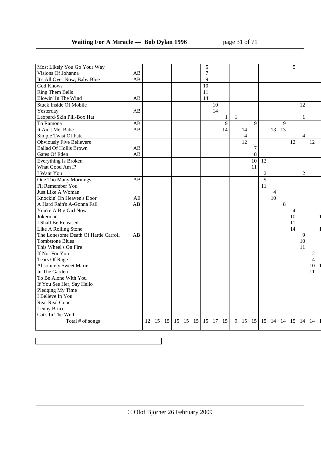**6 page 31 of 71** 

| Most Likely You Go Your Way             |                              |  |  |  |                            |    |    |   |                 |             |                              |    |    | 5  |    |                             |
|-----------------------------------------|------------------------------|--|--|--|----------------------------|----|----|---|-----------------|-------------|------------------------------|----|----|----|----|-----------------------------|
| Visions Of Johanna                      |                              |  |  |  | 5<br>7                     |    |    |   |                 |             |                              |    |    |    |    |                             |
| It's All Over Now, Baby Blue            | AB<br>$\mathbf{A}\mathbf{B}$ |  |  |  | 9                          |    |    |   |                 |             |                              |    |    |    |    |                             |
| <b>God Knows</b>                        |                              |  |  |  | 10                         |    |    |   |                 |             |                              |    |    |    |    |                             |
| Ring Them Bells                         |                              |  |  |  | 11                         |    |    |   |                 |             |                              |    |    |    |    |                             |
| Blowin' In The Wind                     | AB                           |  |  |  | 14                         |    |    |   |                 |             |                              |    |    |    |    |                             |
| <b>Stuck Inside Of Mobile</b>           |                              |  |  |  |                            | 10 |    |   |                 |             |                              |    |    |    | 12 |                             |
| Yesterday                               | AB                           |  |  |  |                            | 14 |    |   |                 |             |                              |    |    |    |    |                             |
| Leopard-Skin Pill-Box Hat               |                              |  |  |  |                            |    |    | 1 |                 |             |                              |    |    |    | 1  |                             |
| To Ramona                               | AB                           |  |  |  |                            |    | 9  |   |                 | $\mathbf Q$ |                              |    | 9  |    |    |                             |
| It Ain't Me, Babe                       | AB                           |  |  |  |                            |    | 14 |   | 14              |             |                              | 13 | 13 |    |    |                             |
| Simple Twist Of Fate                    |                              |  |  |  |                            |    |    |   | $\overline{4}$  |             |                              |    |    |    | 4  |                             |
| <b>Obviously Five Believers</b>         |                              |  |  |  |                            |    |    |   | $\overline{12}$ |             |                              |    |    | 12 |    | 12                          |
| <b>Ballad Of Hollis Brown</b>           | AB                           |  |  |  |                            |    |    |   |                 | 7           |                              |    |    |    |    |                             |
| Gates Of Eden                           | AB                           |  |  |  |                            |    |    |   |                 | 8           |                              |    |    |    |    |                             |
|                                         |                              |  |  |  |                            |    |    |   |                 | 10          | 12                           |    |    |    |    |                             |
| Everything Is Broken<br>What Good Am I? |                              |  |  |  |                            |    |    |   |                 | 11          |                              |    |    |    |    |                             |
| I Want You                              |                              |  |  |  |                            |    |    |   |                 |             |                              |    |    |    |    |                             |
|                                         |                              |  |  |  |                            |    |    |   |                 |             | $\overline{\mathbf{c}}$<br>9 |    |    |    | 2  |                             |
| One Too Many Mornings                   | AB                           |  |  |  |                            |    |    |   |                 |             |                              |    |    |    |    |                             |
| I'll Remember You                       |                              |  |  |  |                            |    |    |   |                 |             | 11                           |    |    |    |    |                             |
| Just Like A Woman                       |                              |  |  |  |                            |    |    |   |                 |             |                              |    |    |    |    |                             |
| Knockin' On Heaven's Door               | $\mathbf{A}\mathbf{E}$       |  |  |  |                            |    |    |   |                 |             |                              | 10 |    |    |    |                             |
| A Hard Rain's A-Gonna Fall              | AB                           |  |  |  |                            |    |    |   |                 |             |                              |    | 8  |    |    |                             |
| You're A Big Girl Now                   |                              |  |  |  |                            |    |    |   |                 |             |                              |    |    |    |    |                             |
| Jokerman                                |                              |  |  |  |                            |    |    |   |                 |             |                              |    |    | 10 |    |                             |
| I Shall Be Released                     |                              |  |  |  |                            |    |    |   |                 |             |                              |    |    | 11 |    |                             |
| Like A Rolling Stone                    |                              |  |  |  |                            |    |    |   |                 |             |                              |    |    | 14 |    |                             |
| The Lonesome Death Of Hattie Carroll    | AB                           |  |  |  |                            |    |    |   |                 |             |                              |    |    |    | 9  |                             |
| <b>Tombstone Blues</b>                  |                              |  |  |  |                            |    |    |   |                 |             |                              |    |    |    | 10 |                             |
| This Wheel's On Fire                    |                              |  |  |  |                            |    |    |   |                 |             |                              |    |    |    | 11 |                             |
| If Not For You                          |                              |  |  |  |                            |    |    |   |                 |             |                              |    |    |    |    | 2                           |
| Tears Of Rage                           |                              |  |  |  |                            |    |    |   |                 |             |                              |    |    |    |    | 4                           |
| <b>Absolutely Sweet Marie</b>           |                              |  |  |  |                            |    |    |   |                 |             |                              |    |    |    |    | 10                          |
| In The Garden                           |                              |  |  |  |                            |    |    |   |                 |             |                              |    |    |    |    | 11                          |
| To Be Alone With You                    |                              |  |  |  |                            |    |    |   |                 |             |                              |    |    |    |    |                             |
| If You See Her, Say Hello               |                              |  |  |  |                            |    |    |   |                 |             |                              |    |    |    |    |                             |
| Pledging My Time                        |                              |  |  |  |                            |    |    |   |                 |             |                              |    |    |    |    |                             |
| I Believe In You                        |                              |  |  |  |                            |    |    |   |                 |             |                              |    |    |    |    |                             |
| Real Real Gone                          |                              |  |  |  |                            |    |    |   |                 |             |                              |    |    |    |    |                             |
| Lenny Bruce                             |                              |  |  |  |                            |    |    |   |                 |             |                              |    |    |    |    |                             |
| Cat's In The Well                       |                              |  |  |  |                            |    |    |   |                 |             |                              |    |    |    |    |                             |
| Total # of songs                        |                              |  |  |  | 12 15 15 15 15 15 15 17 15 |    |    |   |                 |             |                              |    |    |    |    | 9 15 15 15 14 14 15 14 14 1 |
|                                         |                              |  |  |  |                            |    |    |   |                 |             |                              |    |    |    |    |                             |
|                                         |                              |  |  |  |                            |    |    |   |                 |             |                              |    |    |    |    |                             |
|                                         |                              |  |  |  |                            |    |    |   |                 |             |                              |    |    |    |    |                             |
|                                         |                              |  |  |  |                            |    |    |   |                 |             |                              |    |    |    |    |                             |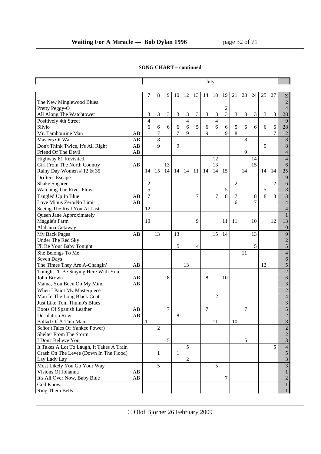## **Waiting For A Miracle — Bob Dylan 1996** page 32 of 71

#### **SONG CHART – continued**

|                                           |    |                |                |                |                |                        |                | July           |                |    |                  |                |                |                |                |                         |
|-------------------------------------------|----|----------------|----------------|----------------|----------------|------------------------|----------------|----------------|----------------|----|------------------|----------------|----------------|----------------|----------------|-------------------------|
|                                           |    | 7              | 8              | 9              | 10             | 12                     | 13             | 14             | 18             | 19 | 21               | 23             | 24             | 25             | 27             | Σ                       |
| The New Minglewood Blues                  |    |                |                |                |                |                        |                |                |                |    |                  |                |                |                |                | $\sqrt{2}$              |
| Pretty Peggy-O                            |    |                |                |                |                |                        |                |                |                | 2  |                  |                |                |                |                | $\overline{4}$          |
| All Along The Watchtower                  |    | 3              | 3              | 3              | $\mathfrak{Z}$ | 3                      | 3              | $\mathfrak{Z}$ | 3              | 3  | $\mathfrak{Z}$   | 3              | $\mathfrak{Z}$ | $\mathfrak{Z}$ | 3              | 28                      |
| Positively 4th Street                     |    | $\overline{4}$ |                |                |                | $\overline{4}$         |                |                | $\overline{4}$ |    |                  |                |                |                |                | 9                       |
| Silvio                                    |    | 6              | 6              | 6              | 6              | 6                      | 5              | 6              | 6              | 6  | 5                | 6              | 6              | 6              | 6              | 28                      |
| Mr. Tambourine Man                        | AB |                | 7              |                | 7              | 9                      |                | 9              |                | 9  | 8                |                |                |                | 7              | 12                      |
| Masters Of War                            | AB |                | 8              |                |                |                        |                |                |                |    |                  | 8              |                |                |                | $\,8\,$                 |
| Don't Think Twice, It's All Right         | AB |                | 9              |                | 9              |                        |                |                |                |    |                  |                |                | 9              |                | 8                       |
| Friend Of The Devil                       | AB |                |                |                |                |                        |                |                |                |    |                  | 9              |                |                |                | $\overline{4}$          |
| Highway 61 Revisited                      |    |                |                |                |                |                        |                |                | 12             |    |                  |                | 14             |                |                | $\overline{4}$          |
| Girl From The North Country               | AB |                |                | 13             |                |                        |                |                | 13             |    |                  |                | 15             |                |                | 6                       |
| Rainy Day Women #12 & 35                  |    | 14             | 15             | 14             |                | $14 \quad 14 \quad 11$ |                | -14            | 14             | 15 |                  | 14             |                | 14             | 14             | 25                      |
| Drifter's Escape                          |    | 1              |                |                |                |                        |                |                |                |    |                  |                |                |                |                | 9                       |
| <b>Shake Sugaree</b>                      |    | $\overline{c}$ |                |                |                |                        |                |                |                |    | $\overline{c}$   |                |                |                | $\overline{c}$ | 6                       |
| Watching The River Flow                   |    | 5              |                |                |                |                        |                |                |                | 5  |                  |                |                | 5              |                | 8                       |
| Tangled Up In Blue                        | AB | $\overline{7}$ |                |                |                |                        | $\overline{7}$ |                | 7              | 8  | $\boldsymbol{7}$ |                | 8              | 8              | 8              | 13                      |
| Love Minus Zero/No Limit                  | AB |                |                |                |                |                        |                |                |                |    | 6                |                | 7              |                |                | $\overline{4}$          |
| Seeing The Real You At Last               |    | 12             |                |                |                |                        |                |                |                |    |                  |                |                |                |                | $\overline{4}$          |
| Queen Jane Approximately                  |    |                |                |                |                |                        |                |                |                |    |                  |                |                |                |                | $\mathbf{1}$            |
| Maggie's Farm                             |    | 10             |                |                |                |                        | 9              |                |                | 11 | 11               |                | 10             |                | 12             | 13                      |
| Alabama Getaway                           |    |                |                |                |                |                        |                |                |                |    |                  |                |                |                |                | 10                      |
| My Back Pages                             | AB |                | 13             |                | 13             |                        |                |                | 15             | 14 |                  |                | 13             |                |                | $\overline{9}$          |
| Under The Red Sky                         |    |                |                |                |                |                        |                |                |                |    |                  |                |                |                |                | $\overline{c}$          |
| I'll Be Your Baby Tonight                 |    |                |                |                | 5              |                        | 4              |                |                |    |                  |                | 5              |                |                | 5                       |
| She Belongs To Me                         |    |                |                |                |                |                        |                |                |                |    |                  | 11             |                |                |                | $\overline{4}$          |
| Seven Days                                |    |                |                |                |                |                        |                |                |                |    |                  |                |                |                |                | 6                       |
| The Times They Are A-Changin'             | AB |                |                |                |                | 13                     |                |                |                |    |                  |                |                | 13             |                | 5                       |
| Tonight I'll Be Staying Here With You     |    |                |                |                |                |                        |                |                |                |    |                  |                |                |                |                | $\overline{2}$          |
| John Brown                                | AB |                |                | 8              |                |                        |                | 8              |                | 10 |                  |                |                |                |                | $\boldsymbol{6}$        |
| Mama, You Been On My Mind                 | AB |                |                |                |                |                        |                |                |                |    |                  |                |                |                |                | $\overline{\mathbf{3}}$ |
| When I Paint My Masterpiece               |    |                |                |                |                |                        |                |                |                |    |                  |                |                |                |                | $\overline{c}$          |
| Man In The Long Black Coat                |    |                |                |                |                |                        |                |                | 2              |    |                  |                |                |                |                | $\overline{4}$          |
| Just Like Tom Thumb's Blues               |    |                |                |                |                |                        |                |                |                |    |                  |                |                |                |                | 3                       |
| Boots Of Spanish Leather                  | AB |                |                | $\overline{7}$ |                |                        |                | $\tau$         |                |    |                  | $\overline{7}$ |                |                |                | $\overline{\mathbf{5}}$ |
| <b>Desolation Row</b>                     | AB |                |                |                | 8              |                        |                |                |                |    |                  |                |                |                |                | $\overline{c}$          |
| Ballad Of A Thin Man                      |    | 11             |                |                |                |                        |                |                | 11             |    | 10               |                |                |                |                | $\,8\,$                 |
| Señor (Tales Of Yankee Power)             |    |                | $\overline{2}$ |                |                |                        |                |                |                |    |                  |                |                |                |                | $\overline{c}$          |
| Shelter From The Storm                    |    |                |                |                |                |                        |                |                |                |    |                  |                |                |                |                | $\overline{c}$          |
| I Don't Believe You                       |    |                |                | 5              |                |                        |                |                |                |    |                  | 5              |                |                |                | $\mathfrak{Z}$          |
| It Takes A Lot To Laugh, It Takes A Train |    |                |                |                |                | 5                      |                |                |                |    |                  |                |                |                | 5              | $\overline{4}$          |
| Crash On The Levee (Down In The Flood)    |    |                | 1              |                | 1              |                        |                |                |                |    |                  |                |                |                |                | 5                       |
| Lay Lady Lay                              |    |                |                |                |                | 2                      |                |                |                |    |                  |                |                |                |                | 3                       |
| Most Likely You Go Your Way               |    |                | 5              |                |                |                        |                |                | 5              |    |                  |                |                |                |                | 3                       |
| Visions Of Johanna                        | AB |                |                |                |                |                        |                |                |                |    |                  |                |                |                |                | $\mathbf{1}$            |
| It's All Over Now, Baby Blue              | AB |                |                |                |                |                        |                |                |                | 7  |                  |                |                |                |                | 2                       |
| <b>God Knows</b>                          |    |                |                |                |                |                        |                |                |                |    |                  |                |                |                |                | $\,1$                   |
| <b>Ring Them Bells</b>                    |    |                |                |                |                |                        |                |                |                |    |                  |                |                |                |                | $1\vert$                |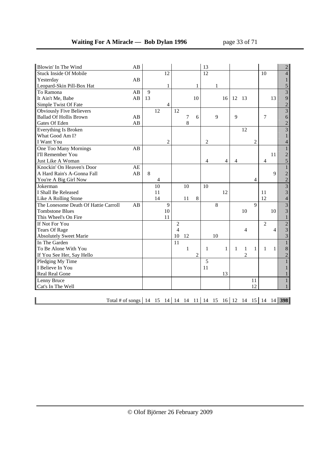| Blowin' In The Wind                                                                          | AB |    |    |                |                |              |                | 13              |              |              |    |                |                |                |    | $\overline{2}$          |
|----------------------------------------------------------------------------------------------|----|----|----|----------------|----------------|--------------|----------------|-----------------|--------------|--------------|----|----------------|----------------|----------------|----|-------------------------|
| <b>Stuck Inside Of Mobile</b>                                                                |    |    |    | 12             |                |              |                | $\overline{12}$ |              |              |    |                |                | 10             |    | $\overline{4}$          |
| Yesterday                                                                                    | AB |    |    |                |                |              |                |                 |              |              |    |                |                |                |    | 1                       |
| Leopard-Skin Pill-Box Hat                                                                    |    |    |    | $\mathbf{1}$   |                |              | $\mathbf{1}$   |                 | $\mathbf{1}$ |              |    |                |                |                |    | 5                       |
| To Ramona                                                                                    | AB | 9  |    |                |                |              |                |                 |              |              |    |                |                |                |    | $\overline{3}$          |
| It Ain't Me, Babe                                                                            | AB | 13 |    |                |                |              | 10             |                 |              | 16           | 12 | 13             |                |                | 13 | 9                       |
| Simple Twist Of Fate                                                                         |    |    |    | 4              |                |              |                |                 |              |              |    |                |                |                |    | $\overline{c}$          |
| <b>Obviously Five Believers</b>                                                              |    |    | 12 |                | 12             |              |                |                 |              |              |    |                |                |                |    | $\overline{3}$          |
| <b>Ballad Of Hollis Brown</b>                                                                | AB |    |    |                |                | $\tau$       | 6              |                 | 9            |              | 9  |                |                | 7              |    | 6                       |
| Gates Of Eden                                                                                | AB |    |    |                |                | 8            |                |                 |              |              |    |                |                |                |    | $\overline{c}$          |
| Everything Is Broken                                                                         |    |    |    |                |                |              |                |                 |              |              |    | 12             |                |                |    | $\overline{3}$          |
| What Good Am I?                                                                              |    |    |    |                |                |              |                |                 |              |              |    |                |                |                |    | 1                       |
| I Want You                                                                                   |    |    |    | $\overline{c}$ |                |              |                | $\overline{c}$  |              |              |    |                | $\overline{c}$ |                |    | 4                       |
| One Too Many Mornings                                                                        | AB |    |    |                |                |              |                |                 |              |              |    |                |                |                |    | $\mathbf{1}$            |
| I'll Remember You                                                                            |    |    |    |                |                |              |                |                 |              |              |    |                |                |                | 11 | $\overline{c}$          |
| Just Like A Woman                                                                            |    |    |    |                |                |              |                | 4               |              | 4            | 4  |                |                | 4              |    | 5                       |
| Knockin' On Heaven's Door                                                                    | AE |    |    |                |                |              |                |                 |              |              |    |                |                |                |    | $\mathbf{1}$            |
| A Hard Rain's A-Gonna Fall                                                                   | AB | 8  |    |                |                |              |                |                 |              |              |    |                |                |                | 9  | $\overline{c}$          |
| You're A Big Girl Now                                                                        |    |    | 4  |                |                |              |                |                 |              |              |    |                | 4              |                |    | $\overline{c}$          |
| Jokerman                                                                                     |    |    | 10 |                |                | 10           |                | 10              |              |              |    |                |                |                |    | $\overline{\mathbf{3}}$ |
| I Shall Be Released                                                                          |    |    | 11 |                |                |              |                |                 |              | 12           |    |                |                | 11             |    | $\overline{3}$          |
| Like A Rolling Stone                                                                         |    |    | 14 |                |                | 11           | 8              |                 |              |              |    |                |                | 12             |    | 4                       |
| The Lonesome Death Of Hattie Carroll                                                         | AB |    |    | 9              |                |              |                |                 | 8            |              |    |                | 9              |                |    | $\overline{3}$          |
| <b>Tombstone Blues</b>                                                                       |    |    |    | 10             |                |              |                |                 |              |              |    | 10             |                |                | 10 | $\overline{3}$          |
| This Wheel's On Fire                                                                         |    |    |    | 11             |                |              |                |                 |              |              |    |                |                |                |    | $\mathbf{1}$            |
| If Not For You                                                                               |    |    |    |                | $\overline{c}$ |              |                |                 |              |              |    |                |                | $\overline{2}$ |    | $\overline{c}$          |
| <b>Tears Of Rage</b>                                                                         |    |    |    |                | $\overline{4}$ |              |                |                 |              |              |    | $\overline{4}$ |                |                | 4  | 3                       |
| <b>Absolutely Sweet Marie</b>                                                                |    |    |    |                | 10             | 12           |                |                 | 10           |              |    |                |                |                |    | $\overline{\mathbf{3}}$ |
| In The Garden                                                                                |    |    |    |                | 11             |              |                |                 |              |              |    |                |                |                |    | $\mathbf{1}$            |
| To Be Alone With You                                                                         |    |    |    |                |                | $\mathbf{1}$ |                | 1               |              | $\mathbf{1}$ | 1  | 1              | $\mathbf{1}$   | $\mathbf{1}$   | 1  | $8\,$                   |
| If You See Her, Say Hello                                                                    |    |    |    |                |                |              | $\overline{2}$ |                 |              |              |    | $\overline{c}$ |                |                |    | $\overline{c}$          |
| Pledging My Time                                                                             |    |    |    |                |                |              |                | 5               |              |              |    |                |                |                |    | $\mathbf{1}$            |
| I Believe In You                                                                             |    |    |    |                |                |              |                | 11              |              |              |    |                |                |                |    |                         |
| Real Real Gone                                                                               |    |    |    |                |                |              |                |                 |              | 13           |    |                |                |                |    |                         |
| Lenny Bruce                                                                                  |    |    |    |                |                |              |                |                 |              |              |    |                | 11             |                |    | $\mathbf{1}$            |
| Cat's In The Well                                                                            |    |    |    |                |                |              |                |                 |              |              |    |                | 12             |                |    |                         |
|                                                                                              |    |    |    |                |                |              |                |                 |              |              |    |                |                |                |    |                         |
| Total # of songs   14   15   14   14   14   11   14   15   16   12   14   15   14   14   398 |    |    |    |                |                |              |                |                 |              |              |    |                |                |                |    |                         |
|                                                                                              |    |    |    |                |                |              |                |                 |              |              |    |                |                |                |    |                         |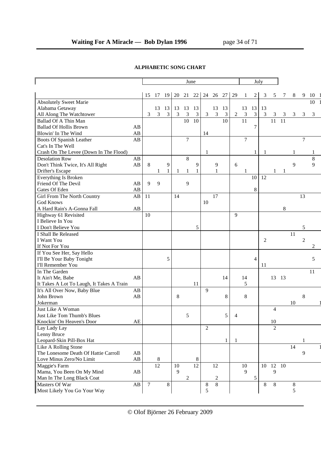# **Waiting For A Miracle — Bob Dylan 1996** page 34 of 71

#### **ALPHABETIC SONG CHART**

|                                           |                        |        |                |       |    | June           |       |                |                |              |    |                | July           |                |                |    |       |                |                |
|-------------------------------------------|------------------------|--------|----------------|-------|----|----------------|-------|----------------|----------------|--------------|----|----------------|----------------|----------------|----------------|----|-------|----------------|----------------|
|                                           |                        |        |                |       |    |                |       |                |                |              |    |                |                |                |                |    |       |                |                |
|                                           |                        | 15     | 17             | 19    |    | 20 21 22       |       |                |                | 24 26 27     | 29 | $\mathbf{1}$   | $\overline{2}$ | $\mathfrak{Z}$ | 5              | 7  | 8     | 9              | 10             |
| <b>Absolutely Sweet Marie</b>             |                        |        |                |       |    |                |       |                |                |              |    |                |                |                |                |    |       |                | 10             |
| Alabama Getaway                           |                        |        | 13             | 13    | 13 | 13             | 13    |                | 13             | 13           |    | 13             | 13             | 13             |                |    |       |                |                |
| All Along The Watchtower                  |                        | 3      | $\mathfrak{Z}$ | 3     | 3  | 3              | 3     | 3              | $\mathfrak{Z}$ | 3            | 2  | 3              | $\mathfrak{Z}$ | 3              | 3              | 3  | 3     | 3              | 3              |
| Ballad Of A Thin Man                      |                        |        |                |       |    | 10             | 10    |                |                | 10           |    | 11             |                |                | 11             | 11 |       |                |                |
| <b>Ballad Of Hollis Brown</b>             | AB                     |        |                |       |    |                |       |                |                |              |    |                | 7              |                |                |    |       |                |                |
| Blowin' In The Wind                       | AB                     |        |                |       |    |                |       | 14             |                |              |    |                |                |                |                |    |       |                |                |
| Boots Of Spanish Leather                  | AB                     |        |                |       |    | $\tau$         |       |                |                |              |    | $\overline{7}$ |                |                |                |    |       | 7              |                |
| Cat's In The Well                         |                        |        |                |       |    |                |       |                |                |              |    |                |                |                |                |    |       |                |                |
| Crash On The Levee (Down In The Flood)    |                        |        |                |       |    |                |       | 1              |                |              |    |                | 1              | 1              |                |    | 1     |                | 1              |
| <b>Desolation Row</b>                     | AB                     |        |                |       |    | $\,8\,$        |       |                |                |              |    |                |                |                |                |    |       |                | 8              |
| Don't Think Twice, It's All Right         | AB                     | $8\,$  |                | 9     |    |                | 9     |                | 9              |              | 6  |                |                |                |                |    | 9     |                | 9              |
| Drifter's Escape                          |                        |        | $\mathbf{1}$   | 1     | 1  | 1              | 1     |                | 1              |              |    | 1              |                |                | 1              | 1  |       |                |                |
| Everything Is Broken                      |                        |        |                |       |    |                |       |                |                |              |    |                | 10             | 12             |                |    |       |                |                |
| Friend Of The Devil                       | AB                     | 9      | 9              |       |    | 9              |       |                |                |              |    |                |                |                |                |    |       |                |                |
| Gates Of Eden                             | AB                     |        |                |       |    |                |       |                |                |              |    |                | 8              |                |                |    |       |                |                |
| Girl From The North Country               | AB                     | 11     |                |       | 14 |                |       |                | 17             |              |    |                |                |                |                |    |       | 13             |                |
| <b>God Knows</b>                          |                        |        |                |       |    |                |       | 10             |                |              |    |                |                |                |                |    |       |                |                |
| A Hard Rain's A-Gonna Fall                | AB                     |        |                |       |    |                |       |                |                |              |    |                |                |                |                | 8  |       |                |                |
| Highway 61 Revisited                      |                        | 10     |                |       |    |                |       |                |                |              | 9  |                |                |                |                |    |       |                |                |
| I Believe In You                          |                        |        |                |       |    |                |       |                |                |              |    |                |                |                |                |    |       |                |                |
| I Don't Believe You                       |                        |        |                |       |    |                | 5     |                |                |              |    |                |                |                |                |    |       | 5              |                |
| I Shall Be Released                       |                        |        |                |       |    |                |       |                |                |              |    |                |                |                |                |    | 11    |                |                |
| I Want You                                |                        |        |                |       |    |                |       |                |                |              |    |                |                | $\overline{2}$ |                |    |       | $\overline{c}$ |                |
| If Not For You                            |                        |        |                |       |    |                |       |                |                |              |    |                |                |                |                |    |       |                | $\overline{c}$ |
| If You See Her, Say Hello                 |                        |        |                |       |    |                |       |                |                |              |    |                |                |                |                |    |       |                |                |
| I'll Be Your Baby Tonight                 |                        |        |                | 5     |    |                |       |                |                |              |    |                | $\overline{4}$ |                |                |    |       |                | 5              |
| I'll Remember You                         |                        |        |                |       |    |                |       |                |                |              |    |                |                | 11             |                |    |       |                |                |
| In The Garden                             |                        |        |                |       |    |                |       |                |                |              |    |                |                |                |                |    |       |                | 11             |
| It Ain't Me, Babe                         | AB                     |        |                |       |    |                |       |                |                | 14           |    | 14             |                |                | 13             | 13 |       |                |                |
| It Takes A Lot To Laugh, It Takes A Train |                        |        |                |       |    |                | 11    |                |                |              |    | 5              |                |                |                |    |       |                |                |
| It's All Over Now, Baby Blue              | AB                     |        |                |       |    |                |       | 9              |                |              |    |                |                |                |                |    |       |                |                |
| John Brown                                | AB                     |        |                |       | 8  |                |       |                |                | 8            |    | 8              |                |                |                |    |       | 8              |                |
| Jokerman                                  |                        |        |                |       |    |                |       |                |                |              |    |                |                |                |                |    | 10    |                |                |
| Just Like A Woman                         |                        |        |                |       |    |                |       |                |                |              |    |                |                |                | $\overline{4}$ |    |       |                |                |
| Just Like Tom Thumb's Blues               |                        |        |                |       |    | 5              |       |                |                | 5            | 4  |                |                |                |                |    |       |                |                |
| Knockin' On Heaven's Door                 | $\mathbf{A}\mathbf{E}$ |        |                |       |    |                |       |                |                |              |    |                |                |                | $10\,$         |    |       |                |                |
| Lay Lady Lay                              |                        |        |                |       |    |                |       | $\overline{2}$ |                |              |    |                |                |                | $\overline{2}$ |    |       |                |                |
| Lenny Bruce                               |                        |        |                |       |    |                |       |                |                |              |    |                |                |                |                |    |       |                |                |
| Leopard-Skin Pill-Box Hat                 |                        |        |                |       |    |                |       |                |                | $\mathbf{1}$ | 1  |                |                |                |                |    |       | 1              |                |
| Like A Rolling Stone                      |                        |        |                |       |    |                |       |                |                |              |    |                |                |                |                |    | 14    |                |                |
| The Lonesome Death Of Hattie Carroll      | $\mathbf{A}\mathbf{B}$ |        |                |       |    |                |       |                |                |              |    |                |                |                |                |    |       | 9              |                |
| Love Minus Zero/No Limit                  | $\mathbf{A}\mathbf{B}$ |        | $\,8\,$        |       |    |                | $8\,$ |                |                |              |    |                |                |                |                |    |       |                |                |
| Maggie's Farm                             |                        |        | 12             |       | 10 |                | 12    |                | 12             |              |    | $10\,$         |                | 10             | 12             | 10 |       |                |                |
| Mama, You Been On My Mind                 | AB                     |        |                |       | 9  |                |       |                |                |              |    | 9              |                |                | 9              |    |       |                |                |
| Man In The Long Black Coat                |                        |        |                |       |    | $\overline{c}$ |       |                | 2              |              |    |                | 5              |                |                |    |       |                |                |
| Masters Of War                            | AB                     | $\tau$ |                | $8\,$ |    |                |       | 8              | $\,8\,$        |              |    |                |                | $\,8\,$        | 8              |    | $8\,$ |                |                |
| Most Likely You Go Your Way               |                        |        |                |       |    |                |       | 5              |                |              |    |                |                |                |                |    | 5     |                |                |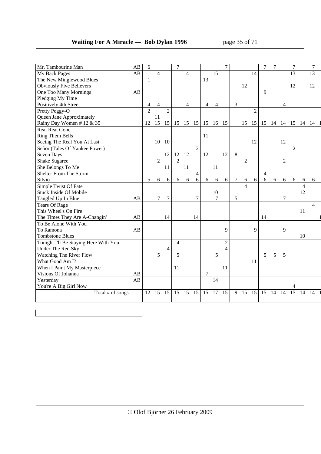## **Waiting For A Miracle — Bob Dylan 1996** page 35 of 71

 $\overline{\mathbb{I}}$ 

| Mr. Tambourine Man                    | AB | 6              |                |                          | $\overline{7}$ |                |                |        |    | $\overline{7}$ |                |                |                | $\overline{7}$ | $\overline{7}$ |                | $\overline{7}$  |                | 7              |
|---------------------------------------|----|----------------|----------------|--------------------------|----------------|----------------|----------------|--------|----|----------------|----------------|----------------|----------------|----------------|----------------|----------------|-----------------|----------------|----------------|
| My Back Pages                         | AB |                | 14             |                          |                | 14             |                |        | 15 |                |                |                | 14             |                |                |                | $\overline{13}$ |                | 13             |
| The New Minglewood Blues              |    | $\mathbf{1}$   |                |                          |                |                |                | 13     |    |                |                |                |                |                |                |                |                 |                |                |
| <b>Obviously Five Believers</b>       |    |                |                |                          |                |                |                |        |    |                |                | 12             |                |                |                |                | 12              |                | 12             |
| One Too Many Mornings                 | AB |                |                |                          |                |                |                |        |    |                |                |                |                | $\mathbf Q$    |                |                |                 |                |                |
| Pledging My Time                      |    |                |                |                          |                |                |                |        |    |                |                |                |                |                |                |                |                 |                |                |
| Positively 4th Street                 |    | 4              | 4              |                          |                | $\overline{4}$ |                | 4      | 4  |                | $\mathfrak{Z}$ |                |                |                |                | 4              |                 |                |                |
| Pretty Peggy-O                        |    | $\overline{2}$ |                | $\overline{2}$           |                |                |                |        |    |                |                |                | $\overline{2}$ |                |                |                |                 |                |                |
| Queen Jane Approximately              |    |                | 11             |                          |                |                |                |        |    |                |                |                |                |                |                |                |                 |                |                |
| Rainy Day Women #12 & 35              |    | 12             | 15             | 15                       | 15             | 15             | 15             | 15     | 16 | 15             |                | 15             | 15             | 15             |                | 14 14 15       |                 | 14 14          |                |
| Real Real Gone                        |    |                |                |                          |                |                |                |        |    |                |                |                |                |                |                |                |                 |                |                |
| Ring Them Bells                       |    |                |                |                          |                |                |                | 11     |    |                |                |                |                |                |                |                |                 |                |                |
| Seeing The Real You At Last           |    |                | 10             | 10                       |                |                |                |        |    |                |                |                | 12             |                |                | 12             |                 |                |                |
| Señor (Tales Of Yankee Power)         |    |                |                |                          |                |                | $\overline{2}$ |        |    |                |                |                |                |                |                |                | $\overline{c}$  |                |                |
| Seven Days                            |    |                |                | 12                       | 12             | 12             |                | 12     |    | 12             | 8              |                |                |                |                |                |                 |                |                |
| Shake Sugaree                         |    |                | $\overline{c}$ |                          | $\overline{c}$ |                |                |        |    |                |                | $\overline{2}$ |                |                |                | $\mathfrak{2}$ |                 |                |                |
| She Belongs To Me                     |    |                |                | 11                       |                | 11             |                |        | 11 |                |                |                |                |                |                |                |                 |                |                |
| Shelter From The Storm                |    |                |                |                          |                |                | $\overline{4}$ |        |    |                |                |                |                | $\overline{4}$ |                |                |                 |                |                |
| Silvio                                |    | 5              | 6              | 6                        | 6              | 6              | 6              | 6      | 6  | 6              | $\tau$         | 6              | 6              | 6              | 6              | 6              | 6               | 6              | 6              |
| Simple Twist Of Fate                  |    |                |                |                          |                |                |                |        |    |                |                | $\overline{4}$ |                |                |                |                |                 | $\overline{4}$ |                |
| <b>Stuck Inside Of Mobile</b>         |    |                |                |                          |                |                |                |        | 10 |                |                |                |                |                |                |                |                 | 12             |                |
| Tangled Up In Blue                    | AB |                | 7              | 7                        |                |                | $\tau$         |        | 7  |                | 5              |                |                |                |                | 7              |                 |                |                |
| <b>Tears Of Rage</b>                  |    |                |                |                          |                |                |                |        |    |                |                |                |                |                |                |                |                 |                | $\overline{4}$ |
| This Wheel's On Fire                  |    |                |                |                          |                |                |                |        |    |                |                |                |                |                |                |                |                 | 11             |                |
| The Times They Are A-Changin'         | AB |                |                | 14                       |                |                | 14             |        |    |                |                |                |                | 14             |                |                |                 |                |                |
| To Be Alone With You                  |    |                |                |                          |                |                |                |        |    |                |                |                |                |                |                |                |                 |                |                |
| To Ramona                             | AB |                |                |                          |                |                |                |        |    | 9              |                |                | 9              |                |                | 9              |                 |                |                |
| <b>Tombstone Blues</b>                |    |                |                |                          |                |                |                |        |    |                |                |                |                |                |                |                |                 | 10             |                |
| Tonight I'll Be Staying Here With You |    |                |                |                          | $\overline{4}$ |                |                |        |    | $\overline{c}$ |                |                |                |                |                |                |                 |                |                |
| Under The Red Sky                     |    |                |                | $\overline{\mathcal{L}}$ |                |                |                |        |    | $\overline{4}$ |                |                |                |                |                |                |                 |                |                |
| Watching The River Flow               |    |                | 5              |                          | 5              |                |                |        | 5  |                |                |                |                | 5              | 5              | 5              |                 |                |                |
| What Good Am I?                       |    |                |                |                          |                |                |                |        |    |                |                |                | 11             |                |                |                |                 |                |                |
| When I Paint My Masterpiece           |    |                |                |                          | 11             |                |                |        |    | 11             |                |                |                |                |                |                |                 |                |                |
| Visions Of Johanna                    | AB |                |                |                          |                |                |                | $\tau$ |    |                |                |                |                |                |                |                |                 |                |                |
| Yesterday                             | AB |                |                |                          |                |                |                |        | 14 |                |                |                |                |                |                |                |                 |                |                |
| You're A Big Girl Now                 |    |                |                |                          |                |                |                |        |    |                |                |                |                |                |                |                | 4               |                |                |
| Total # of songs                      |    | 12             | 15             | 15                       | 15             | 15             | 15             | 15     | 17 | 15             | 9              | 15             | 15             | 15             | 14             | 14             | 15              | 14             | 14             |
|                                       |    |                |                |                          |                |                |                |        |    |                |                |                |                |                |                |                |                 |                |                |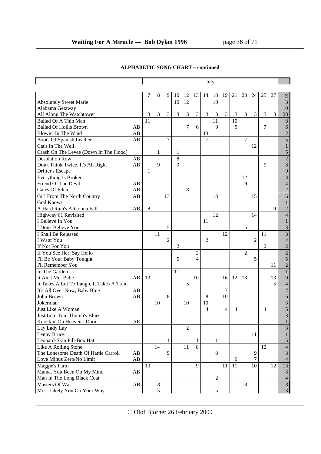## **Waiting For A Miracle — Bob Dylan 1996** page 36 of 71

#### **ALPHABETIC SONG CHART – continued**

|                                           |    |    |    |                |                |                |    | July           |              |                |              |                |                |                |                |                             |
|-------------------------------------------|----|----|----|----------------|----------------|----------------|----|----------------|--------------|----------------|--------------|----------------|----------------|----------------|----------------|-----------------------------|
|                                           |    | 7  | 8  | 9              | 10             | 12             | 13 | 14             | 18           | 19             | 21           | 23             | 24             | 25             | 27             | Σ                           |
| <b>Absolutely Sweet Marie</b>             |    |    |    |                | 10             | 12             |    |                | 10           |                |              |                |                |                |                | $\overline{3}$              |
| Alabama Getaway                           |    |    |    |                |                |                |    |                |              |                |              |                |                |                |                | 10                          |
| All Along The Watchtower                  |    | 3  | 3  | 3              | 3              | $\mathfrak{Z}$ | 3  | $\mathfrak{Z}$ | 3            | $\mathfrak 3$  | 3            | $\mathfrak{Z}$ | $\mathfrak{Z}$ | 3              | $\mathfrak{Z}$ | 28                          |
| Ballad Of A Thin Man                      |    | 11 |    |                |                |                |    |                | 11           |                | 10           |                |                |                |                | $\,8\,$                     |
| <b>Ballad Of Hollis Brown</b>             | AB |    |    |                |                | $\overline{7}$ | 6  |                | 9            |                | $\mathbf{Q}$ |                |                | 7              |                | 6                           |
| Blowin' In The Wind                       | AB |    |    |                |                |                |    | 13             |              |                |              |                |                |                |                | $\overline{c}$              |
| Boots Of Spanish Leather                  | AB |    |    | 7              |                |                |    | $\overline{7}$ |              |                |              | $\overline{7}$ |                |                |                | $\mathfrak{S}$              |
| Cat's In The Well                         |    |    |    |                |                |                |    |                |              |                |              |                | 12             |                |                | $\mathbf{1}$                |
| Crash On The Levee (Down In The Flood)    |    |    | 1  |                | 1              |                |    |                |              |                |              |                |                |                |                | $\mathfrak{S}$              |
| <b>Desolation Row</b>                     | AB |    |    |                | 8              |                |    |                |              |                |              |                |                |                |                | $\overline{2}$              |
| Don't Think Twice, It's All Right         | AB |    | 9  |                | 9              |                |    |                |              |                |              |                |                | 9              |                | $\overline{8}$              |
| Drifter's Escape                          |    | 1  |    |                |                |                |    |                |              |                |              |                |                |                |                | 9                           |
| Everything Is Broken                      |    |    |    |                |                |                |    |                |              |                |              | 12             |                |                |                | $\overline{3}$              |
| Friend Of The Devil                       | AB |    |    |                |                |                |    |                |              |                |              | 9              |                |                |                | $\overline{4}$              |
| Gates Of Eden                             | AB |    |    |                |                | 8              |    |                |              |                |              |                |                |                |                | $\overline{2}$              |
| Girl From The North Country               | AB |    |    | 13             |                |                |    |                | 13           |                |              |                | 15             |                |                | 6                           |
| <b>God Knows</b>                          |    |    |    |                |                |                |    |                |              |                |              |                |                |                |                | $\mathbf{1}$                |
| A Hard Rain's A-Gonna Fall                | AB | 8  |    |                |                |                |    |                |              |                |              |                |                |                | 9              | $\sqrt{2}$                  |
| Highway 61 Revisited                      |    |    |    |                |                |                |    |                | 12           |                |              |                | 14             |                |                | $\overline{4}$              |
| I Believe In You                          |    |    |    |                |                |                |    | 11             |              |                |              |                |                |                |                | $\mathbf{1}$                |
| I Don't Believe You                       |    |    |    | 5              |                |                |    |                |              |                |              | 5              |                |                |                | $\mathfrak{Z}$              |
| I Shall Be Released                       |    |    | 11 |                |                |                |    |                |              | 12             |              |                |                | 11             |                | $\overline{\mathbf{3}}$     |
| I Want You                                |    |    |    | $\overline{c}$ |                |                |    | $\overline{c}$ |              |                |              |                | $\overline{c}$ |                |                | $\overline{4}$              |
| If Not For You                            |    |    |    |                | $\overline{2}$ |                |    |                |              |                |              |                |                | $\mathfrak{2}$ |                | $\overline{c}$              |
| If You See Her, Say Hello                 |    |    |    |                |                |                | 2  |                |              |                |              | $\overline{2}$ |                |                |                | $\sqrt{2}$                  |
| I'll Be Your Baby Tonight                 |    |    |    |                | 5              |                | 4  |                |              |                |              |                | 5              |                |                | 5                           |
| I'll Remember You                         |    |    |    |                |                |                |    |                |              |                |              |                |                |                | 11             | $\overline{c}$              |
| In The Garden                             |    |    |    |                | 11             |                |    |                |              |                |              |                |                |                |                | $\mathbf{1}$                |
| It Ain't Me, Babe                         | AB | 13 |    |                |                |                | 10 |                |              | 16             | 12           | 13             |                |                | 13             | 9                           |
| It Takes A Lot To Laugh, It Takes A Train |    |    |    |                |                | 5              |    |                |              |                |              |                |                |                | 5              | $\overline{4}$              |
| It's All Over Now, Baby Blue              | AB |    |    |                |                |                |    |                |              | 7              |              |                |                |                |                | $\overline{c}$              |
| John Brown                                | AB |    |    | 8              |                |                |    | 8              |              | 10             |              |                |                |                |                | 6                           |
| Jokerman                                  |    |    | 10 |                |                | 10             |    | 10             |              |                |              |                |                |                |                | 3                           |
| Just Like A Woman                         |    |    |    |                |                |                |    | $\overline{4}$ |              | $\overline{4}$ | 4            |                |                | $\overline{4}$ |                | $\overline{\mathbf{5}}$     |
| Just Like Tom Thumb's Blues               |    |    |    |                |                |                |    |                |              |                |              |                |                |                |                | 3                           |
| Knockin' On Heaven's Door                 | AE |    |    |                |                |                |    |                |              |                |              |                |                |                |                | $\mathbf{l}$                |
| Lay Lady Lay                              |    |    |    |                |                | $\overline{2}$ |    |                |              |                |              |                |                |                |                | $\overline{3}$              |
| Lenny Bruce                               |    |    |    |                |                |                |    |                |              |                |              |                | 11             |                |                | $\mathbf{1}$                |
| Leopard-Skin Pill-Box Hat                 |    |    |    | 1              |                |                | 1  |                | 1            |                |              |                |                |                |                | 5                           |
| Like A Rolling Stone                      |    |    | 14 |                |                | 11             | 8  |                |              |                |              |                |                | 12             |                | $\overline{4}$              |
| The Lonesome Death Of Hattie Carroll      | AB |    |    | 9              |                |                |    |                | $8\,$        |                |              |                | 9              |                |                | $\ensuremath{\mathfrak{Z}}$ |
| Love Minus Zero/No Limit                  | AB |    |    |                |                |                |    |                |              |                | 6            |                | 7              |                |                | $\overline{4}$              |
| Maggie's Farm                             |    | 10 |    |                |                |                | 9  |                |              | 11             | 11           |                | 10             |                | 12             | 13                          |
| Mama, You Been On My Mind                 | AB |    |    |                |                |                |    |                |              |                |              |                |                |                |                | $\mathfrak 3$               |
| Man In The Long Black Coat                |    |    |    |                |                |                |    |                | $\mathbf{2}$ |                |              |                |                |                |                | $\overline{\mathcal{L}}$    |
| Masters Of War                            | AB |    | 8  |                |                |                |    |                |              |                |              | 8              |                |                |                | $8\,$                       |
| Most Likely You Go Your Way               |    |    | 5  |                |                |                |    |                | 5            |                |              |                |                |                |                | 3 <sup>1</sup>              |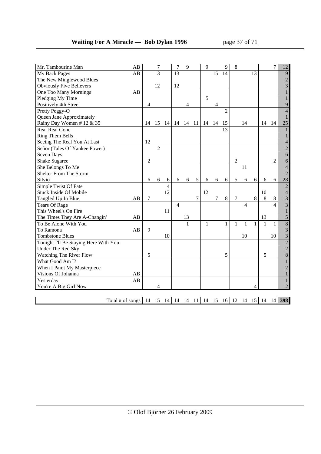## **Waiting For A Miracle — Bob Dylan 1996** page 37 of 71

| Mr. Tambourine Man                    | AB                                                                                           |                | 7               |                | $\overline{7}$ | 9            |   | 9            |                | 9              | 8              |              |    |              | 7                        | 12                       |
|---------------------------------------|----------------------------------------------------------------------------------------------|----------------|-----------------|----------------|----------------|--------------|---|--------------|----------------|----------------|----------------|--------------|----|--------------|--------------------------|--------------------------|
| My Back Pages                         | AB                                                                                           |                | $\overline{13}$ |                | 13             |              |   |              | 15             | 14             |                |              | 13 |              |                          | 9                        |
| The New Minglewood Blues              |                                                                                              |                |                 |                |                |              |   |              |                |                |                |              |    |              |                          | $\overline{c}$           |
| <b>Obviously Five Believers</b>       |                                                                                              |                | 12              |                | 12             |              |   |              |                |                |                |              |    |              |                          | $\overline{3}$           |
| One Too Many Mornings                 | AB                                                                                           |                |                 |                |                |              |   |              |                |                |                |              |    |              |                          |                          |
| Pledging My Time                      |                                                                                              |                |                 |                |                |              |   | 5            |                |                |                |              |    |              |                          | 1                        |
| Positively 4th Street                 |                                                                                              | 4              |                 |                |                | 4            |   |              | $\overline{4}$ |                |                |              |    |              |                          | 9                        |
| Pretty Peggy-O                        |                                                                                              |                |                 |                |                |              |   |              |                | $\overline{2}$ |                |              |    |              |                          | $\overline{\mathcal{L}}$ |
| Queen Jane Approximately              |                                                                                              |                |                 |                |                |              |   |              |                |                |                |              |    |              |                          | 1                        |
| Rainy Day Women #12 & 35              |                                                                                              | 14             | 15              | 14             | 14             | 14 11        |   | 14 14        |                | 15             |                | 14           |    | 14           | -14                      | 25                       |
| Real Real Gone                        |                                                                                              |                |                 |                |                |              |   |              |                | 13             |                |              |    |              |                          | $\mathbf{1}$             |
| Ring Them Bells                       |                                                                                              |                |                 |                |                |              |   |              |                |                |                |              |    |              |                          | 1                        |
| Seeing The Real You At Last           |                                                                                              | 12             |                 |                |                |              |   |              |                |                |                |              |    |              |                          | 4                        |
| Señor (Tales Of Yankee Power)         |                                                                                              |                | $\overline{2}$  |                |                |              |   |              |                |                |                |              |    |              |                          | $\overline{2}$           |
| Seven Days                            |                                                                                              |                |                 |                |                |              |   |              |                |                |                |              |    |              |                          | 6                        |
| Shake Sugaree                         |                                                                                              | $\overline{c}$ |                 |                |                |              |   |              |                |                | $\overline{2}$ |              |    |              | $\overline{2}$           | 6                        |
| She Belongs To Me                     |                                                                                              |                |                 |                |                |              |   |              |                |                |                | 11           |    |              |                          | $\overline{4}$           |
| Shelter From The Storm                |                                                                                              |                |                 |                |                |              |   |              |                |                |                |              |    |              |                          | $\overline{2}$           |
| Silvio                                |                                                                                              | 6              | 6               | 6              | 6              | 6            | 5 | 6            | 6              | 6              | 5              | 6            | 6  | 6            | 6                        | 28                       |
| Simple Twist Of Fate                  |                                                                                              |                |                 | $\overline{4}$ |                |              |   |              |                |                |                |              |    |              |                          | $\overline{2}$           |
| <b>Stuck Inside Of Mobile</b>         |                                                                                              |                |                 | 12             |                |              |   | 12           |                |                |                |              |    | 10           |                          | 4                        |
| Tangled Up In Blue                    | AB                                                                                           | 7              |                 |                |                |              | 7 |              | 7              | $\,8\,$        | 7              |              | 8  | 8            | $\,8\,$                  | 13                       |
| <b>Tears Of Rage</b>                  |                                                                                              |                |                 |                | $\overline{4}$ |              |   |              |                |                |                | 4            |    |              | $\overline{\mathcal{L}}$ | $\overline{3}$           |
| This Wheel's On Fire                  |                                                                                              |                |                 | 11             |                |              |   |              |                |                |                |              |    |              |                          | $\mathbf{1}$             |
| The Times They Are A-Changin'         | AB                                                                                           |                |                 |                |                | 13           |   |              |                |                |                |              |    | 13           |                          | 5                        |
| To Be Alone With You                  |                                                                                              |                |                 |                |                | $\mathbf{1}$ |   | $\mathbf{1}$ |                | $\mathbf{1}$   | 1              | $\mathbf{1}$ | 1  | $\mathbf{1}$ | 1                        | 8                        |
| To Ramona                             | AB                                                                                           | 9              |                 |                |                |              |   |              |                |                |                |              |    |              |                          | 3                        |
| <b>Tombstone Blues</b>                |                                                                                              |                |                 | 10             |                |              |   |              |                |                |                | 10           |    |              | 10                       | $\overline{3}$           |
| Tonight I'll Be Staying Here With You |                                                                                              |                |                 |                |                |              |   |              |                |                |                |              |    |              |                          | $\overline{c}$           |
| Under The Red Sky                     |                                                                                              |                |                 |                |                |              |   |              |                |                |                |              |    |              |                          | $\overline{c}$           |
| Watching The River Flow               |                                                                                              | 5              |                 |                |                |              |   |              |                | 5              |                |              |    | 5            |                          | $8\,$                    |
| What Good Am I?                       |                                                                                              |                |                 |                |                |              |   |              |                |                |                |              |    |              |                          | $\mathbf{1}$             |
| When I Paint My Masterpiece           |                                                                                              |                |                 |                |                |              |   |              |                |                |                |              |    |              |                          | $\overline{c}$           |
| Visions Of Johanna                    | AB                                                                                           |                |                 |                |                |              |   |              |                |                |                |              |    |              |                          | $\mathbf{1}$             |
| Yesterday                             | AB                                                                                           |                |                 |                |                |              |   |              |                |                |                |              |    |              |                          | $\,1$                    |
| You're A Big Girl Now                 |                                                                                              |                | 4               |                |                |              |   |              |                |                |                |              | 4  |              |                          | $\overline{2}$           |
|                                       |                                                                                              |                |                 |                |                |              |   |              |                |                |                |              |    |              |                          |                          |
|                                       | Total # of songs   14   15   14   14   14   11   14   15   16   12   14   15   14   14   398 |                |                 |                |                |              |   |              |                |                |                |              |    |              |                          |                          |
|                                       |                                                                                              |                |                 |                |                |              |   |              |                |                |                |              |    |              |                          |                          |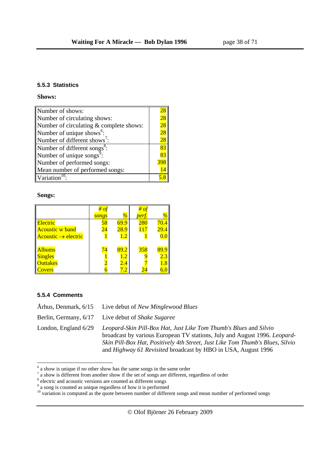#### **5.5.3 Statistics**

#### **Shows:**

| Number of shows:                         |    |
|------------------------------------------|----|
| Number of circulating shows:             |    |
| Number of circulating & complete shows:  |    |
| Number of unique shows <sup>6</sup> :    |    |
| Number of different shows <sup>7</sup> : |    |
| Number of different songs <sup>8</sup> : | 83 |
| Number of unique songs <sup>9</sup> :    |    |
| Number of performed songs:               |    |
| Mean number of performed songs:          |    |
| Variation $10$                           |    |

#### **Songs:**

|                                 | #<br>songs | $\frac{1}{2}$ | perf.   |                |
|---------------------------------|------------|---------------|---------|----------------|
| Electric                        | 58         | 69.9          | $280\,$ | 70.4           |
| <b>Acoustic w band</b>          | 24         | <u>28.9</u>   | 117     | 29.4           |
| Acoustic $\rightarrow$ electric |            | 1.2           |         | 0.0            |
| <b>Albums</b>                   |            | 89.2          | 358     | 89.9           |
| <b>Singles</b>                  |            | 1.2           |         | 2.3            |
| <b>Outtakes</b>                 |            | 2.4           |         | 1.8            |
| <b>Covers</b>                   |            | 7.2           |         | 6 <sub>l</sub> |

### **5.5.4 Comments**

Århus, Denmark, 6/15 Live debut of *New Minglewood Blues*

Berlin, Germany, 6/17 Live debut of *Shake Sugaree*

London, England 6/29 *Leopard-Skin Pill-Box Hat, Just Like Tom Thumb's Blues* and *Silvio* broadcast by various European TV stations, July and August 1996. *Leopard-Skin Pill-Box Hat, Positively 4th Street, Just Like Tom Thumb's Blues, Silvio*  and *Highway 61 Revisited* broadcast by HBO in USA, August 1996

 $6$  a show is unique if no other show has the same songs in the same order

 $<sup>7</sup>$  a show is different from another show if the set of songs are different, regardless of order</sup>

<sup>8</sup> electric and acoustic versions are counted as different songs

<sup>&</sup>lt;sup>9</sup> a song is counted as unique regardless of how it is performed

 $10$  variation is computed as the quote between number of different songs and mean number of performed songs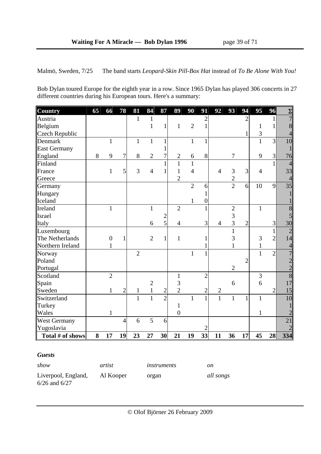Malmö, Sweden, 7/25 The band starts *Leopard-Skin Pill-Box Hat* instead of *To Be Alone With You!*

Bob Dylan toured Europe for the eighth year in a row. Since 1965 Dylan has played 306 concerts in 27 different countries during his European tours. Here's a summary:

| <b>Country</b>        | 65 | 66               | 78             | 81             | 84             | 87             | 89             | 90             | 91             | 92             | 93             | 94             | 95             | 96             | Σ              |
|-----------------------|----|------------------|----------------|----------------|----------------|----------------|----------------|----------------|----------------|----------------|----------------|----------------|----------------|----------------|----------------|
| Austria               |    |                  |                | $\mathbf{1}$   | 1              |                |                |                | 2              |                |                | $\overline{c}$ |                |                | $\overline{7}$ |
| Belgium               |    |                  |                |                | $\mathbf{1}$   | $\mathbf{1}$   | $\mathbf{1}$   | $\overline{2}$ | 1              |                |                |                | 1              |                | 8              |
| <b>Czech Republic</b> |    |                  |                |                |                |                |                |                |                |                |                | 1              | $\overline{3}$ |                | 4              |
| Denmark               |    | $\mathbf{1}$     |                | $\mathbf{1}$   | $\mathbf{1}$   | 1              |                | $\mathbf{1}$   |                |                |                |                | 1              | 3              | 10             |
| <b>East Germany</b>   |    |                  |                |                |                |                |                |                |                |                |                |                |                |                |                |
| England               | 8  | 9                | $\tau$         | 8              | $\overline{2}$ | $\overline{7}$ | $\mathbf{2}$   | 6              | 8              |                | $\tau$         |                | 9              | 3              | 76             |
| Finland               |    |                  |                |                |                |                | $\mathbf{1}$   | $\mathbf{1}$   |                |                |                |                |                |                | 4              |
| France                |    | $\mathbf{1}$     | 5              | $\overline{3}$ | $\overline{4}$ | $\mathbf{1}$   | $\mathbf{1}$   | $\overline{4}$ |                | $\overline{4}$ | 3              | 3              | $\overline{4}$ |                | 33             |
| Greece                |    |                  |                |                |                |                | $\overline{2}$ |                |                |                | $\overline{2}$ |                |                |                |                |
| Germany               |    |                  |                |                |                |                |                | $\overline{2}$ | 6              |                | $\overline{2}$ | 6              | 10             | 9              | 35             |
| Hungary               |    |                  |                |                |                |                |                |                |                |                |                |                |                |                |                |
| Iceland               |    |                  |                |                |                |                |                | 1              | 0              |                |                |                |                |                |                |
| Ireland               |    | $\mathbf{1}$     |                |                | $\mathbf{1}$   |                | $\overline{2}$ |                |                |                | $\overline{2}$ |                | $\mathbf{1}$   |                | 8              |
| Israel                |    |                  |                |                |                | $\overline{c}$ |                |                |                |                | 3              |                |                |                |                |
| Italy                 |    |                  |                |                | 6              | 5              | $\overline{4}$ |                | 3              | $\overline{4}$ | $\overline{3}$ | $\overline{2}$ |                | 3              | 30             |
| Luxembourg            |    |                  |                |                |                |                |                |                |                |                | 1              |                |                |                | $\overline{2}$ |
| The Netherlands       |    | $\boldsymbol{0}$ | 1              |                | $\overline{2}$ | $\mathbf{1}$   | $\mathbf{1}$   |                |                |                | 3              |                | 3              | $\overline{2}$ | 14             |
| Northern Ireland      |    |                  |                |                |                |                |                |                |                |                | 1              |                | 1              |                | 4              |
| Norway                |    |                  |                | $\overline{2}$ |                |                |                | $\mathbf{1}$   |                |                |                |                | $\mathbf{1}$   | $\overline{2}$ | $\overline{7}$ |
| Poland                |    |                  |                |                |                |                |                |                |                |                |                | $\overline{2}$ |                |                | 2              |
| Portugal              |    |                  |                |                |                |                |                |                |                |                | $\overline{2}$ |                |                |                | $\overline{2}$ |
| Scotland              |    | $\overline{2}$   |                |                |                |                | 1              |                | $\overline{2}$ |                |                |                | 3              |                | 8              |
| Spain                 |    |                  |                |                | $\mathbf{2}$   |                | 3              |                |                |                | 6              |                | 6              |                | 17             |
| Sweden                |    | 1                | $\overline{2}$ | $\mathbf{1}$   | $\mathbf{1}$   | $\overline{2}$ | $\overline{2}$ |                | $\overline{c}$ | $\overline{2}$ |                |                |                | $\overline{2}$ | 15             |
| Switzerland           |    |                  |                | $\mathbf{1}$   | $\mathbf{1}$   | $\overline{2}$ |                | $\mathbf{1}$   | 1              | $\mathbf{1}$   | $\mathbf{1}$   | 1              | 1              |                | 10             |
| Turkey                |    |                  |                |                |                |                | 1              |                |                |                |                |                |                |                |                |
| Wales                 |    | 1                |                |                |                |                | $\overline{0}$ |                |                |                |                |                | 1              |                |                |
| <b>West Germany</b>   |    |                  | $\overline{4}$ | 6              | 5              | 6              |                |                |                |                |                |                |                |                | 21             |
| Yugoslavia            |    |                  |                |                |                |                |                |                | 2              |                |                |                |                |                |                |
| Total # of shows      | 8  | 17               | 19             | 23             | 27             | 30             | 21             | 19             | 33             | 11             | 36             | 17             | 45             | 28             | 334            |

#### *Guests*

| show                                     | artist    | instruments | on        |
|------------------------------------------|-----------|-------------|-----------|
| Liverpool, England,<br>$6/26$ and $6/27$ | Al Kooper | organ       | all songs |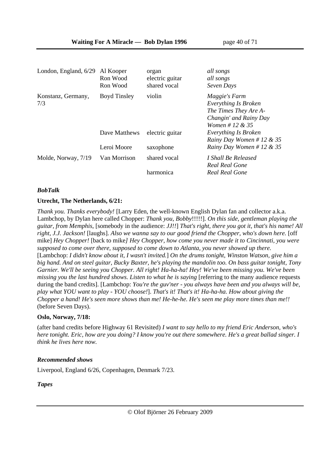| London, England, 6/29 | Al Kooper<br>Ron Wood | organ<br>electric guitar | all songs<br>all songs    |
|-----------------------|-----------------------|--------------------------|---------------------------|
|                       | Ron Wood              | shared vocal             | Seven Days                |
| Konstanz, Germany,    | <b>Boyd Tinsley</b>   | violin                   | Maggie's Farm             |
| 7/3                   |                       |                          | Everything Is Broken      |
|                       |                       |                          | The Times They Are A-     |
|                       |                       |                          | Changin' and Rainy Day    |
|                       |                       |                          | <i>Women</i> # 12 & 35    |
|                       | Dave Matthews         | electric guitar          | Everything Is Broken      |
|                       |                       |                          | Rainy Day Women # 12 & 35 |
|                       | Leroi Moore           | saxophone                | Rainy Day Women # 12 & 35 |
| Molde, Norway, 7/19   | Van Morrison          | shared vocal             | I Shall Be Released       |
|                       |                       |                          | <b>Real Real Gone</b>     |
|                       |                       | harmonica                | <b>Real Real Gone</b>     |

#### *BobTalk*

#### **Utrecht, The Netherlands, 6/21:**

*Thank you. Thanks everybody!* [Larry Eden, the well-known English Dylan fan and collector a.k.a. Lambchop, by Dylan here called Chopper: *Thank you, Bobby*!!!!!]. *On this side, gentleman playing the guitar, from Memphis*, [somebody in the audience: *JJ!!*] *That's right, there you got it, that's his name! All right, J.J. Jackson!* [laughs]. *Also we wanna say to our good friend the Chopper, who's down here.* [off mike] *Hey Chopper!* [back to mike*] Hey Chopper, how come you never made it to Cincinnati, you were supposed to come over there, supposed to come down to Atlanta, you never showed up there.* [Lambchop: *I didn't know about it, I wasn't invited.*] *On the drums tonight, Winston Watson, give him a big hand. And on steel guitar, Bucky Baxter, he's playing the mandolin too. On bass guitar tonight, Tony Garnier. We'll be seeing you Chopper. All right! Ha-ha-ha! Hey! We've been missing you. We've been missing you the last hundred shows. Listen to what he is saying* [referring to the many audience requests during the band credits]. [Lambchop: *You're the guv'ner - you always have been and you always will be, play what YOU want to play - YOU choose!*]. *That's it! That's it! Ha-ha-ha. How about giving the Chopper a hand! He's seen more shows than me! He-he-he. He's seen me play more times than me!!* (before Seven Days).

### **Oslo, Norway, 7/18:**

(after band credits before Highway 61 Revisited) *I want to say hello to my friend Eric Anderson, who's here tonight. Eric, how are you doing? I know you're out there somewhere. He's a great ballad singer. I think he lives here now.*

#### *Recommended shows*

Liverpool, England 6/26, Copenhagen, Denmark 7/23.

*Tapes*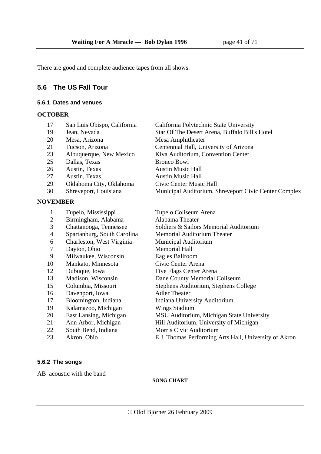There are good and complete audience tapes from all shows.

## **5.6 The US Fall Tour**

#### **5.6.1 Dates and venues**

### **OCTOBER**

- 
- 
- 20 Mesa, Arizona Mesa Amphitheater
- 
- 
- 25 Dallas, Texas Bronco Bowl
- 26 Austin, Texas Austin Music Hall
- 27 Austin, Texas Austin Music Hall
- 29 Oklahoma City, Oklahoma Civic Center Music Hall
- 

### **NOVEMBER**

- 1 Tupelo, Mississippi Tupelo Coliseum Arena
- 2 Birmingham, Alabama Alabama Theater
- 
- 4 Spartanburg, South Carolina Memorial Auditorium Theater
- 6 Charleston, West Virginia Municipal Auditorium
- 7 Dayton, Ohio Memorial Hall
- 9 Milwaukee, Wisconsin Eagles Ballroom
- 10 Mankato, Minnesota Civic Center Arena
- 
- 
- 
- 16 Davenport, Iowa Adler Theater
- 
- 19 Kalamazoo, Michigan Wings Stadium
- 
- 
- 22 South Bend, Indiana Morris Civic Auditorium
- 

### **5.6.2 The songs**

AB acoustic with the band

17 San Luis Obispo, California California Polytechnic State University 19 Jean, Nevada Star Of The Desert Arena, Buffalo Bill's Hotel 21 Tucson, Arizona Centennial Hall, University of Arizona 23 Albuquerque, New Mexico Kiva Auditorium, Convention Center 30 Shreveport, Louisiana Municipal Auditorium, Shreveport Civic Center Complex

 3 Chattanooga, Tennessee Soldiers & Sailors Memorial Auditorium 12 Dubuque, Iowa Five Flags Center Arena 13 Madison, Wisconsin Dane County Memorial Coliseum 15 Columbia, Missouri Stephens Auditorium, Stephens College 17 Bloomington, Indiana Indiana Indiana University Auditorium 20 East Lansing, Michigan MSU Auditorium, Michigan State University 21 Ann Arbor, Michigan Hill Auditorium, University of Michigan 23 Akron, Ohio E.J. Thomas Performing Arts Hall, University of Akron

**SONG CHART**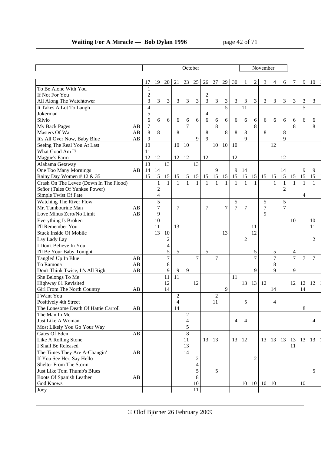|                                        |    |                  |                |                |                  | October        |                |                |                |                |                |                 |                | November |                |                |                |       |                |
|----------------------------------------|----|------------------|----------------|----------------|------------------|----------------|----------------|----------------|----------------|----------------|----------------|-----------------|----------------|----------|----------------|----------------|----------------|-------|----------------|
|                                        |    | 17               | 19             | 20             | 21               | 23             | 25             | 26             | 27             | 29             | 30             | 1               | $\overline{c}$ | 3        | $\overline{4}$ | 6              | 7              | 9     | 10             |
| To Be Alone With You                   |    | 1                |                |                |                  |                |                |                |                |                |                |                 |                |          |                |                |                |       |                |
| If Not For You                         |    | $\overline{c}$   |                |                |                  |                |                | $\overline{c}$ |                |                |                |                 |                |          |                |                |                |       |                |
| All Along The Watchtower               |    | 3                | 3              | 3              | 3                | 3              | 3              | $\mathfrak{Z}$ | $\sqrt{3}$     | $\mathfrak{Z}$ | $\mathfrak{Z}$ | 3               | $\mathfrak{Z}$ | 3        | 3              | 3              | 3              | 3     | 3              |
| It Takes A Lot To Laugh                |    | $\overline{4}$   |                |                |                  |                |                |                |                | 5              |                | 11              |                |          |                |                |                | 5     |                |
| Jokerman                               |    | 5                |                |                |                  |                |                | 4              |                |                |                |                 |                |          |                |                |                |       |                |
| Silvio                                 |    | 6                | 6              | 6              | $\boldsymbol{6}$ | 6              | $6\,$          | $6\,$          | $\sqrt{6}$     | 6              | 6              | 6               | 6              | 6        | 6              | 6              | 6              | 6     | 6              |
| My Back Pages                          | AB | $\boldsymbol{7}$ |                |                |                  | $\overline{7}$ |                |                | 8              |                |                |                 | 8              |          |                |                | 8              |       | 8              |
| Masters Of War                         | AB | 8                | 8              |                | 8                |                |                | 8              |                | 8              | 8              | $\,8\,$         |                | $8\,$    |                | $\,8\,$        |                |       |                |
| It's All Over Now, Baby Blue           | AB | 9                |                |                |                  |                | 9              | 9              |                |                |                | 9               |                |          |                | 9              |                |       |                |
| Seeing The Real You At Last            |    | 10               |                |                | 10               | 10             |                |                | 10             | 10             | 10             |                 |                |          | 12             |                |                |       |                |
| What Good Am I?                        |    | 11               |                |                |                  |                |                |                |                |                |                |                 |                |          |                |                |                |       |                |
| Maggie's Farm                          |    | 12               | 12             |                | 12 12            |                |                | 12             |                |                | 12             |                 |                |          |                | 12             |                |       |                |
| Alabama Getaway                        |    | 13               |                | 13             |                  |                | 13             |                |                |                |                |                 |                |          |                |                |                |       |                |
| One Too Many Mornings                  | AB | 14               | 14             |                |                  |                |                |                | 9              |                | 9              | 14              |                |          |                | 14             |                | 9     | 9              |
| Rainy Day Women #12 & 35               |    | 15               | 15             | 15             | 15               | 15             | 15             | 15             | 15             | 15             | 15             | 15              | 15             | 15       | 15             | 15             | 15             | 15    | 15             |
| Crash On The Levee (Down In The Flood) |    |                  | $\mathbf{1}$   | $\mathbf{1}$   | $\mathbf{1}$     | $\mathbf{1}$   | $\mathbf{1}$   | 1              | $\mathbf{1}$   | $\mathbf{1}$   | 1              | $\mathbf{1}$    | 1              |          | $\mathbf{1}$   | $\mathbf{1}$   |                |       |                |
| Señor (Tales Of Yankee Power)          |    |                  | $\sqrt{2}$     |                |                  |                |                |                |                |                |                |                 |                |          |                | $\overline{c}$ |                |       |                |
| Simple Twist Of Fate                   |    |                  | $\overline{4}$ |                |                  |                |                |                |                |                |                |                 |                |          |                |                |                | 4     |                |
| Watching The River Flow                |    |                  | 5              |                |                  |                |                |                |                |                | 5              |                 |                | 5        |                | 5              |                |       |                |
| Mr. Tambourine Man                     | AB |                  | $\tau$         |                | 7                |                |                | 7              |                | $\overline{7}$ | $\overline{7}$ | $7\phantom{.0}$ |                | 7        |                | 7              |                |       |                |
| Love Minus Zero/No Limit               | AB |                  | $\mathbf{9}$   |                |                  |                |                |                |                |                |                |                 |                | 9        |                |                |                |       |                |
| Everything Is Broken                   |    |                  | 10             |                |                  |                |                |                |                |                |                |                 |                |          |                |                | 10             |       | 10             |
| I'll Remember You                      |    |                  | 11             |                | 13               |                |                |                |                |                |                |                 | 11             |          |                |                |                |       | 11             |
| <b>Stuck Inside Of Mobile</b>          |    |                  | 13             | $10\,$         |                  |                |                |                |                | 13             |                |                 | 12             |          |                |                |                |       |                |
| Lay Lady Lay                           |    |                  |                | $\mathbf{2}$   |                  |                |                |                |                |                |                | $\overline{2}$  |                |          |                |                |                |       | $\overline{2}$ |
| I Don't Believe In You                 |    |                  |                | 4              |                  |                |                |                |                |                |                |                 |                |          |                |                |                |       |                |
| I'll Be Your Baby Tonight              |    |                  |                | 5              | 5                |                |                | 5              |                |                |                |                 | 5              |          | 5              |                | 4              |       |                |
| Tangled Up In Blue                     | AB |                  |                | $\overline{7}$ |                  |                | $\overline{7}$ |                | $\overline{7}$ |                |                |                 | $\overline{7}$ |          | $\overline{7}$ |                | $\overline{7}$ | 7     | $\overline{7}$ |
| To Ramona                              | AB |                  |                | 8              |                  |                |                |                |                |                |                |                 |                |          | $8\,$          |                |                |       |                |
| Don't Think Twice, It's All Right      | AB |                  |                | 9              | 9                | 9              |                |                |                |                |                |                 | 9              |          | 9              |                | 9              |       |                |
| She Belongs To Me                      |    |                  |                | 11             | 11               |                |                |                |                |                | 11             |                 |                |          |                |                |                |       |                |
| Highway 61 Revisited                   |    |                  |                | 12             |                  |                | 12             |                |                |                |                | 13              | 13             | 12       |                |                | 12             | 12    | 12             |
| Girl From The North Country            | AB |                  |                | 14             |                  |                |                |                |                | 9              |                |                 |                |          | 14             |                |                | 14    |                |
| I Want You                             |    |                  |                |                | 2                |                |                |                | $\mathfrak{2}$ |                |                |                 |                |          |                |                |                |       |                |
| Positively 4th Street                  |    |                  |                |                | 4                |                |                |                | 11             |                |                | 5               |                |          | 4              |                |                |       |                |
| The Lonesome Death Of Hattie Carroll   | AB |                  |                |                | 14               |                |                |                |                |                |                |                 |                |          |                |                |                | $8\,$ |                |
| The Man In Me                          |    |                  |                |                |                  | $\overline{c}$ |                |                |                |                |                |                 |                |          |                |                |                |       |                |
| Just Like A Woman                      |    |                  |                |                |                  | 4              |                |                |                |                | $\overline{4}$ | $\overline{4}$  |                |          |                |                |                |       | 4              |
| Most Likely You Go Your Way            |    |                  |                |                |                  | 5              |                |                |                |                |                |                 |                |          |                |                |                |       |                |
| Gates Of Eden                          | AB |                  |                |                |                  | 8              |                |                |                |                |                |                 |                |          |                |                |                |       |                |
| Like A Rolling Stone                   |    |                  |                |                |                  | 11             |                | 13             | 13             |                | 13 12          |                 |                | 13       | 13             | 13             | 13             | 13 13 |                |
| I Shall Be Released                    |    |                  |                |                |                  | 13             |                |                |                |                |                |                 |                |          |                |                | 11             |       |                |
| The Times They Are A-Changin'          | AB |                  |                |                |                  | 14             |                |                |                |                |                |                 |                |          |                |                |                |       |                |
| If You See Her, Say Hello              |    |                  |                |                |                  |                | $\overline{c}$ |                |                |                |                |                 | $\overline{c}$ |          |                |                |                |       |                |
| Shelter From The Storm                 |    |                  |                |                |                  |                | 4              |                |                |                |                |                 |                |          |                |                |                |       |                |
| Just Like Tom Thumb's Blues            |    |                  |                |                |                  |                | 5              |                | 5              |                |                |                 |                |          |                |                |                |       | 5              |
| Boots Of Spanish Leather               | AB |                  |                |                |                  |                | 8              |                |                |                |                |                 |                |          |                |                |                |       |                |
| God Knows                              |    |                  |                |                |                  |                | 10             |                |                |                |                | 10 10           |                | 10 10    |                |                |                | 10    |                |
| Joey                                   |    |                  |                |                |                  |                | 11             |                |                |                |                |                 |                |          |                |                |                |       |                |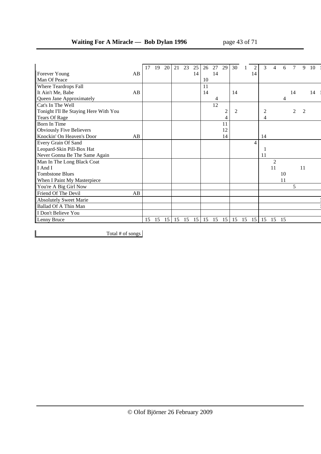## **Waiting For A Miracle — Bob Dylan 1996** page 43 of 71

|                                       |    | 17 | 19 | 20 | 21 | 23 | 25 | 26 | 27 | 29             | 30             |    | 2  | 3  | 4              | 6  | 7  | 9              | 10 |
|---------------------------------------|----|----|----|----|----|----|----|----|----|----------------|----------------|----|----|----|----------------|----|----|----------------|----|
| Forever Young                         | AB |    |    |    |    |    | 14 |    | 14 |                |                |    | 14 |    |                |    |    |                |    |
| Man Of Peace                          |    |    |    |    |    |    |    | 10 |    |                |                |    |    |    |                |    |    |                |    |
| Where Teardrops Fall                  |    |    |    |    |    |    |    | 11 |    |                |                |    |    |    |                |    |    |                |    |
| It Ain't Me, Babe                     | AB |    |    |    |    |    |    | 14 |    |                | 14             |    |    |    |                |    | 14 |                | 14 |
| Queen Jane Approximately              |    |    |    |    |    |    |    |    | 4  |                |                |    |    |    |                | 4  |    |                |    |
| Cat's In The Well                     |    |    |    |    |    |    |    |    | 12 |                |                |    |    |    |                |    |    |                |    |
| Tonight I'll Be Staying Here With You |    |    |    |    |    |    |    |    |    | $\overline{c}$ | $\overline{2}$ |    |    | 2  |                |    | 2  | $\mathfrak{D}$ |    |
| Tears Of Rage                         |    |    |    |    |    |    |    |    |    | 4              |                |    |    | 4  |                |    |    |                |    |
| <b>Born In Time</b>                   |    |    |    |    |    |    |    |    |    | 11             |                |    |    |    |                |    |    |                |    |
| <b>Obviously Five Believers</b>       |    |    |    |    |    |    |    |    |    | 12             |                |    |    |    |                |    |    |                |    |
| Knockin' On Heaven's Door             | AB |    |    |    |    |    |    |    |    | 14             |                |    |    | 14 |                |    |    |                |    |
| Every Grain Of Sand                   |    |    |    |    |    |    |    |    |    |                |                |    | 4  |    |                |    |    |                |    |
| Leopard-Skin Pill-Box Hat             |    |    |    |    |    |    |    |    |    |                |                |    |    | 1  |                |    |    |                |    |
| Never Gonna Be The Same Again         |    |    |    |    |    |    |    |    |    |                |                |    |    | 11 |                |    |    |                |    |
| Man In The Long Black Coat            |    |    |    |    |    |    |    |    |    |                |                |    |    |    | $\overline{2}$ |    |    |                |    |
| I And I                               |    |    |    |    |    |    |    |    |    |                |                |    |    |    | 11             |    |    | 11             |    |
| <b>Tombstone Blues</b>                |    |    |    |    |    |    |    |    |    |                |                |    |    |    |                | 10 |    |                |    |
| When I Paint My Masterpiece           |    |    |    |    |    |    |    |    |    |                |                |    |    |    |                | 11 |    |                |    |
| You're A Big Girl Now                 |    |    |    |    |    |    |    |    |    |                |                |    |    |    |                |    | 5  |                |    |
| Friend Of The Devil                   | AB |    |    |    |    |    |    |    |    |                |                |    |    |    |                |    |    |                |    |
| <b>Absolutely Sweet Marie</b>         |    |    |    |    |    |    |    |    |    |                |                |    |    |    |                |    |    |                |    |
| Ballad Of A Thin Man                  |    |    |    |    |    |    |    |    |    |                |                |    |    |    |                |    |    |                |    |
| I Don't Believe You                   |    |    |    |    |    |    |    |    |    |                |                |    |    |    |                |    |    |                |    |
| Lenny Bruce                           |    | 15 | 15 | 15 | 15 | 15 | 15 | 15 | 15 | 15             | 15             | 15 | 15 | 15 | 15             | 15 |    |                |    |
|                                       |    |    |    |    |    |    |    |    |    |                |                |    |    |    |                |    |    |                |    |

Total # of songs

 $\parallel$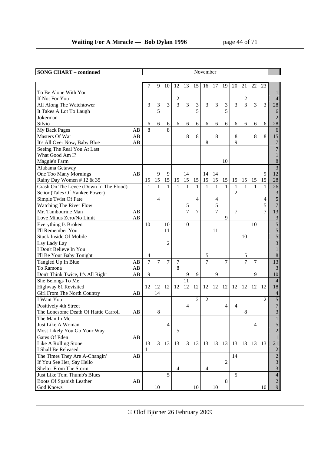| SONG CHART - continued                 |    |                |                |                |                |              |                | November       |                |                |                |                |                |                |                         |
|----------------------------------------|----|----------------|----------------|----------------|----------------|--------------|----------------|----------------|----------------|----------------|----------------|----------------|----------------|----------------|-------------------------|
|                                        |    | 7              | 9              | 10             | 12             | 13           | 15             | 16             | 17             | 19             | 20             | 21             | 22             | 23             |                         |
| To Be Alone With You                   |    |                |                |                |                |              |                |                |                |                |                |                |                |                |                         |
| If Not For You                         |    |                |                |                | 2              |              |                |                |                |                |                | 2              |                |                | 4                       |
| All Along The Watchtower               |    | 3              | 3              | $\mathfrak{Z}$ | 3              | 3            | $\mathfrak{Z}$ | 3              | 3              | $\mathfrak{Z}$ | 3              | 3              | 3              | 3              | 28                      |
| It Takes A Lot To Laugh                |    |                | 5              |                |                |              | 5              |                |                | 5              |                |                |                |                | 6                       |
| Jokerman                               |    |                |                |                |                |              |                |                |                |                |                |                |                |                | $\overline{c}$          |
| Silvio                                 |    | 6              | 6              | 6              | 6              | 6            | 6              | 6              | 6              | 6              | 6              | 6              | 6              | 6              | 28                      |
| My Back Pages                          | AB | 8              |                | $\mathbf{8}$   |                |              |                |                |                |                |                |                |                |                | 6                       |
| Masters Of War                         | AB |                |                |                |                | 8            | 8              |                | 8              |                | 8              |                | $8\,$          | 8              | 15                      |
| It's All Over Now, Baby Blue           | AB |                |                |                |                |              |                | 8              |                |                | 9              |                |                |                | $\overline{7}$          |
| Seeing The Real You At Last            |    |                |                |                |                |              |                |                |                |                |                |                |                |                | 7                       |
| What Good Am I?                        |    |                |                |                |                |              |                |                |                |                |                |                |                |                |                         |
| Maggie's Farm                          |    |                |                |                |                |              |                |                |                | 10             |                |                |                |                | 8                       |
| Alabama Getaway                        |    |                |                |                |                |              |                |                |                |                |                |                |                |                | $\overline{3}$          |
| One Too Many Mornings                  | AB |                | 9              | 9              |                | 14           |                | 14             | 14             |                |                |                |                | 9              | 12                      |
| Rainy Day Women #12 & 35               |    | 15             | 15             | 15             | 15             | 15           | 15             | 15             | 15             | 15             | 15             | 15             | 15             | 15             | 28                      |
| Crash On The Levee (Down In The Flood) |    | $\mathbf{1}$   | $\mathbf{1}$   | $\mathbf{1}$   | $\mathbf{1}$   | $\mathbf{1}$ | $\mathbf{1}$   | $\mathbf{1}$   | $\mathbf{1}$   | $\mathbf{1}$   | $\mathbf{1}$   |                | $\mathbf{1}$   | 1              | 26                      |
| Señor (Tales Of Yankee Power)          |    |                |                |                |                |              |                |                |                |                | $\overline{c}$ |                |                |                | $\mathfrak{Z}$          |
| Simple Twist Of Fate                   |    |                | 4              |                |                |              | 4              |                | 4              |                |                |                |                | 4              | 5                       |
| Watching The River Flow                |    |                |                |                |                | 5            |                |                | $\overline{5}$ |                |                |                |                | 5              | $\overline{7}$          |
| Mr. Tambourine Man                     | AB |                |                |                |                | 7            | 7              |                | $\overline{7}$ |                | 7              |                |                | 7              | 13                      |
| Love Minus Zero/No Limit               | AB |                |                |                |                |              |                |                |                | 9              |                |                |                |                | 3                       |
| Everything Is Broken                   |    | 10             |                | 10             |                | 10           |                |                |                |                |                |                | 10             |                | 5                       |
| I'll Remember You                      |    |                |                | 11             |                |              |                |                | 11             |                |                |                |                |                | 5                       |
| <b>Stuck Inside Of Mobile</b>          |    |                |                |                |                |              |                |                |                |                |                | 10             |                |                | 5                       |
| Lay Lady Lay                           |    |                |                | $\overline{2}$ |                |              |                |                |                |                |                |                |                |                | $\overline{\mathbf{3}}$ |
| I Don't Believe In You                 |    |                |                |                |                |              |                |                |                |                |                |                |                |                |                         |
| I'll Be Your Baby Tonight              |    | 4              |                |                |                |              |                | 5              |                |                |                | 5              |                |                | 8                       |
| Tangled Up In Blue                     | AB | $\overline{7}$ | $\overline{7}$ | $\overline{7}$ | $\overline{7}$ |              |                | $\overline{7}$ |                | $\overline{7}$ |                | $\overline{7}$ | $\overline{7}$ |                | 13                      |
| To Ramona                              | AB |                |                |                | 8              |              |                |                |                |                |                |                |                |                | $\mathfrak{Z}$          |
| Don't Think Twice, It's All Right      | AB | 9              |                |                |                | 9            | 9              |                | 9              |                |                |                | 9              |                | 10                      |
| She Belongs To Me                      |    |                |                |                |                | 11           |                |                |                |                |                |                |                |                | $\overline{4}$          |
| Highway 61 Revisited                   |    | 12             | 12             | 12             | 12             | 12           | 12             | 12             | 12             | 12             | 12             | 12             | 12             | 12             | 18                      |
| Girl From The North Country            | AB |                | 14             |                |                |              |                |                |                |                |                |                |                |                | 4                       |
| I Want You                             |    |                |                |                |                |              | $\overline{2}$ | 2              |                |                |                |                |                | $\overline{c}$ | 5                       |
| Positively 4th Street                  |    |                |                |                |                | 4            |                |                |                | 4              | 4              |                |                |                | 7                       |
| The Lonesome Death Of Hattie Carroll   | AB |                | 8              |                |                |              |                |                |                |                |                | 8              |                |                | $\mathfrak{Z}$          |
| The Man In Me                          |    |                |                |                |                |              |                |                |                |                |                |                |                |                | $\mathbf{1}$            |
| Just Like A Woman                      |    |                |                | 4              |                |              |                |                |                |                |                |                | 4              |                | 5                       |
| Most Likely You Go Your Way            |    |                |                |                | 5              |              |                |                |                |                |                |                |                |                | $\overline{c}$          |
| Gates Of Eden                          | AB |                |                |                |                |              |                |                |                |                |                |                |                |                | 1                       |
| Like A Rolling Stone                   |    | 13             | 13             | 13             | 13             | 13           | 13             | 13             | 13             | 13             | 13             | 13             | 13             | 13             | 21                      |
| I Shall Be Released                    |    | 11             |                |                |                |              |                |                |                |                |                |                |                |                | $\overline{c}$          |
| The Times They Are A-Changin'          | AB |                |                |                |                |              |                |                |                |                | 14             |                |                |                | $\overline{c}$          |
| If You See Her, Say Hello              |    |                |                |                |                |              |                |                |                | $\overline{c}$ |                |                |                |                | 3                       |
| Shelter From The Storm                 |    |                |                |                | 4              |              |                | 4              |                |                |                |                |                |                | 3                       |
| Just Like Tom Thumb's Blues            |    |                |                | 5              |                |              |                |                |                |                | 5              |                |                |                | $\overline{4}$          |
| Boots Of Spanish Leather               | AB |                |                |                |                |              |                |                |                | 8              |                |                |                |                | $\overline{c}$          |
| God Knows                              |    |                | 10             |                |                |              | 10             |                | 10             |                |                |                |                | 10             | 9 <sup>1</sup>          |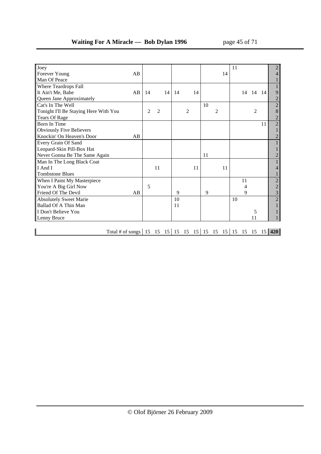## **Waiting For A Miracle — Bob Dylan 1996** page 45 of 71

| Joey                                                                  |    |                |    |    |                |    |    |                |    | 11 |    |                |     | $\overline{2}$ |
|-----------------------------------------------------------------------|----|----------------|----|----|----------------|----|----|----------------|----|----|----|----------------|-----|----------------|
| Forever Young<br>AB                                                   |    |                |    |    |                |    |    |                | 14 |    |    |                |     |                |
| Man Of Peace                                                          |    |                |    |    |                |    |    |                |    |    |    |                |     |                |
| Where Teardrops Fall                                                  |    |                |    |    |                |    |    |                |    |    |    |                |     |                |
| It Ain't Me, Babe<br>AB                                               | 14 |                | 14 | 14 |                | 14 |    |                |    |    | 14 | 14             | -14 | 9              |
| Queen Jane Approximately                                              |    |                |    |    |                |    |    |                |    |    |    |                |     |                |
| Cat's In The Well                                                     |    |                |    |    |                |    | 10 |                |    |    |    |                |     | $\overline{2}$ |
| Tonight I'll Be Staying Here With You                                 | 2  | $\overline{2}$ |    |    | $\overline{c}$ |    |    | $\overline{c}$ |    |    |    | $\overline{c}$ |     | 8              |
| Tears Of Rage                                                         |    |                |    |    |                |    |    |                |    |    |    |                |     | $\overline{2}$ |
| <b>Born In Time</b>                                                   |    |                |    |    |                |    |    |                |    |    |    |                | 11  | $\overline{2}$ |
| <b>Obviously Five Believers</b>                                       |    |                |    |    |                |    |    |                |    |    |    |                |     |                |
| Knockin' On Heaven's Door<br>AB                                       |    |                |    |    |                |    |    |                |    |    |    |                |     |                |
| Every Grain Of Sand                                                   |    |                |    |    |                |    |    |                |    |    |    |                |     |                |
| Leopard-Skin Pill-Box Hat                                             |    |                |    |    |                |    |    |                |    |    |    |                |     |                |
| Never Gonna Be The Same Again                                         |    |                |    |    |                |    | 11 |                |    |    |    |                |     |                |
| Man In The Long Black Coat                                            |    |                |    |    |                |    |    |                |    |    |    |                |     |                |
| I And I                                                               |    | 11             |    |    |                | 11 |    |                | 11 |    |    |                |     |                |
| <b>Tombstone Blues</b>                                                |    |                |    |    |                |    |    |                |    |    |    |                |     |                |
| When I Paint My Masterpiece                                           |    |                |    |    |                |    |    |                |    |    | 11 |                |     | $\overline{c}$ |
| You're A Big Girl Now                                                 | 5  |                |    |    |                |    |    |                |    |    | 4  |                |     | $\overline{c}$ |
| Friend Of The Devil<br>AB                                             |    |                |    | 9  |                |    | 9  |                |    |    | 9  |                |     | $\overline{3}$ |
| <b>Absolutely Sweet Marie</b>                                         |    |                |    | 10 |                |    |    |                |    | 10 |    |                |     | $\overline{2}$ |
| Ballad Of A Thin Man                                                  |    |                |    | 11 |                |    |    |                |    |    |    |                |     |                |
| <b>I Don't Believe You</b>                                            |    |                |    |    |                |    |    |                |    |    |    | 5              |     |                |
| Lenny Bruce                                                           |    |                |    |    |                |    |    |                |    |    |    | 11             |     |                |
|                                                                       |    |                |    |    |                |    |    |                |    |    |    |                |     |                |
| Total # of songs   15 15 15   15 15 15   15 15 15   15 15 15 15   420 |    |                |    |    |                |    |    |                |    |    |    |                |     |                |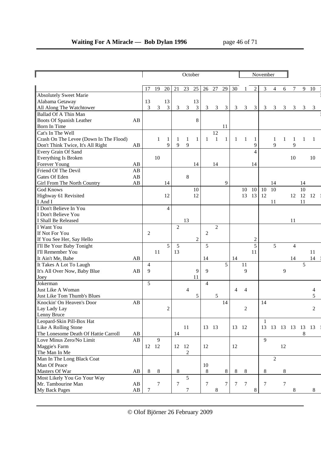|                                        |                        |                |       |                      |                | October        |                      |                  |                    |                  |                |                 |                         | November     |                   |                  |                |                |    |
|----------------------------------------|------------------------|----------------|-------|----------------------|----------------|----------------|----------------------|------------------|--------------------|------------------|----------------|-----------------|-------------------------|--------------|-------------------|------------------|----------------|----------------|----|
|                                        |                        |                |       |                      |                |                |                      |                  |                    |                  |                |                 |                         |              |                   |                  |                |                |    |
|                                        |                        | 17             | 19    | 20                   | 21             | 23             | 25                   | 26               | 27                 | 29               | 30             |                 | 2                       | 3            | 4                 | 6                | 7              | 9              | 10 |
| <b>Absolutely Sweet Marie</b>          |                        |                |       |                      |                |                |                      |                  |                    |                  |                |                 |                         |              |                   |                  |                |                |    |
| Alabama Getaway                        |                        | 13<br>3        | 3     | 13<br>$\mathfrak{Z}$ | 3              | 3              | 13<br>$\mathfrak{Z}$ | $\mathfrak{Z}$   | $\mathfrak{Z}$     | $\mathfrak{Z}$   | $\mathfrak{Z}$ | 3               |                         |              |                   |                  |                |                |    |
| All Along The Watchtower               |                        |                |       |                      |                |                |                      |                  |                    |                  |                |                 | 3                       | 3            | 3                 | 3                | 3              | 3              | 3  |
| Ballad Of A Thin Man                   |                        |                |       |                      |                |                |                      |                  |                    |                  |                |                 |                         |              |                   |                  |                |                |    |
| Boots Of Spanish Leather               | AB                     |                |       |                      |                |                | $8\,$                |                  |                    |                  |                |                 |                         |              |                   |                  |                |                |    |
| Born In Time<br>Cat's In The Well      |                        |                |       |                      |                |                |                      |                  |                    | 11               |                |                 |                         |              |                   |                  |                |                |    |
| Crash On The Levee (Down In The Flood) |                        |                | 1     |                      |                |                |                      |                  | 12<br>$\mathbf{1}$ | $\mathbf{1}$     | $\mathbf{1}$   | -1              |                         |              |                   |                  |                | 1              |    |
|                                        | AB                     |                |       | 1<br>9               | 1<br>9         | 1<br>9         | $\mathbf{1}$         | 1                |                    |                  |                |                 | 1<br>9                  |              | $\mathbf{1}$<br>9 | 1                | 1<br>9         |                | 1  |
| Don't Think Twice, It's All Right      |                        |                |       |                      |                |                |                      |                  |                    |                  |                |                 |                         |              |                   |                  |                |                |    |
| Every Grain Of Sand                    |                        |                |       |                      |                |                |                      |                  |                    |                  |                |                 | 4                       |              |                   |                  |                |                |    |
| Everything Is Broken                   |                        |                | 10    |                      |                |                |                      |                  |                    |                  |                |                 |                         |              |                   |                  | 10             |                | 10 |
| Forever Young                          | AB                     |                |       |                      |                |                | 14                   |                  | 14                 |                  |                |                 | 14                      |              |                   |                  |                |                |    |
| Friend Of The Devil                    | AB                     |                |       |                      |                |                |                      |                  |                    |                  |                |                 |                         |              |                   |                  |                |                |    |
| Gates Of Eden                          | $\mathbf{A}\mathbf{B}$ |                |       |                      |                | $8\,$          |                      |                  |                    |                  |                |                 |                         |              |                   |                  |                |                |    |
| Girl From The North Country            | AB                     |                |       | 14                   |                |                |                      |                  |                    | 9                |                |                 |                         |              | 14                |                  |                | 14             |    |
| <b>God Knows</b>                       |                        |                |       |                      |                |                | 10                   |                  |                    |                  |                | 10              | 10                      | 10           | 10                |                  |                | 10             |    |
| Highway 61 Revisited                   |                        |                |       | 12                   |                |                | 12                   |                  |                    |                  |                | 13              | 13                      | 12           |                   |                  | 12             | 12 12          |    |
| I And I                                |                        |                |       |                      |                |                |                      |                  |                    |                  |                |                 |                         |              | 11                |                  |                | 11             |    |
| I Don't Believe In You                 |                        |                |       | $\overline{4}$       |                |                |                      |                  |                    |                  |                |                 |                         |              |                   |                  |                |                |    |
| I Don't Believe You                    |                        |                |       |                      |                |                |                      |                  |                    |                  |                |                 |                         |              |                   |                  |                |                |    |
| I Shall Be Released                    |                        |                |       |                      |                | 13             |                      |                  |                    |                  |                |                 |                         |              |                   |                  | 11             |                |    |
| I Want You                             |                        |                |       |                      | $\overline{2}$ |                |                      |                  | $\overline{2}$     |                  |                |                 |                         |              |                   |                  |                |                |    |
| If Not For You                         |                        | $\overline{c}$ |       |                      |                |                |                      | $\overline{c}$   |                    |                  |                |                 |                         |              |                   |                  |                |                |    |
| If You See Her, Say Hello              |                        |                |       |                      |                |                | $\overline{c}$       |                  |                    |                  |                |                 | $\overline{\mathbf{c}}$ |              |                   |                  |                |                |    |
| I'll Be Your Baby Tonight              |                        |                |       | 5                    | 5              |                |                      | 5                |                    |                  |                |                 | 5                       |              | 5                 |                  | $\overline{4}$ |                |    |
| I'll Remember You                      |                        |                | 11    |                      | 13             |                |                      |                  |                    |                  |                |                 | 11                      |              |                   |                  |                |                | 11 |
| It Ain't Me, Babe                      | AB                     |                |       |                      |                |                |                      | 14               |                    |                  | 14             |                 |                         |              |                   |                  | 14             |                | 14 |
| It Takes A Lot To Laugh                |                        | 4              |       |                      |                |                |                      |                  |                    | 5                |                | 11              |                         |              |                   |                  |                | 5              |    |
| It's All Over Now, Baby Blue           | AB                     | 9              |       |                      |                |                | 9                    | 9                |                    |                  |                | 9               |                         |              |                   | 9                |                |                |    |
| Joey                                   |                        |                |       |                      |                |                | 11                   |                  |                    |                  |                |                 |                         |              |                   |                  |                |                |    |
| Jokerman                               |                        | 5              |       |                      |                |                |                      | $\overline{4}$   |                    |                  |                |                 |                         |              |                   |                  |                |                |    |
| Just Like A Woman                      |                        |                |       |                      |                | $\overline{4}$ |                      |                  |                    |                  | 4              | $\overline{4}$  |                         |              |                   |                  |                |                | 4  |
| Just Like Tom Thumb's Blues            |                        |                |       |                      |                |                | 5                    |                  | 5                  |                  |                |                 |                         |              |                   |                  |                |                | 5  |
| Knockin' On Heaven's Door              | AB                     |                |       |                      |                |                |                      |                  |                    | 14               |                |                 |                         | 14           |                   |                  |                |                |    |
| Lay Lady Lay                           |                        |                |       | 2                    |                |                |                      |                  |                    |                  |                | 2               |                         |              |                   |                  |                |                | 2  |
| Lenny Bruce                            |                        |                |       |                      |                |                |                      |                  |                    |                  |                |                 |                         |              |                   |                  |                |                |    |
| Leopard-Skin Pill-Box Hat              |                        |                |       |                      |                |                |                      |                  |                    |                  |                |                 |                         | $\mathbf{1}$ |                   |                  |                |                |    |
| Like A Rolling Stone                   |                        |                |       |                      |                | 11             |                      | 13 13            |                    |                  | 13 12          |                 |                         | 13           |                   |                  |                | 13 13 13 13 13 |    |
| The Lonesome Death Of Hattie Carroll   | AB                     |                |       |                      | 14             |                |                      |                  |                    |                  |                |                 |                         |              |                   |                  |                | $8\,$          |    |
| Love Minus Zero/No Limit               | AB                     |                | 9     |                      |                |                |                      |                  |                    |                  |                |                 |                         | 9            |                   |                  |                |                |    |
| Maggie's Farm                          |                        | 12 12          |       |                      | 12             | 12             |                      | 12               |                    |                  | 12             |                 |                         |              |                   | 12               |                |                |    |
| The Man In Me                          |                        |                |       |                      |                | 2              |                      |                  |                    |                  |                |                 |                         |              |                   |                  |                |                |    |
| Man In The Long Black Coat             |                        |                |       |                      |                |                |                      |                  |                    |                  |                |                 |                         |              | $\overline{2}$    |                  |                |                |    |
| Man Of Peace                           |                        |                |       |                      |                |                |                      | 10               |                    |                  |                |                 |                         |              |                   |                  |                |                |    |
| Masters Of War                         | AB                     | 8              | $8\,$ |                      | 8              |                |                      | $\,8\,$          |                    | 8                | 8              | 8               |                         | 8            |                   | 8                |                |                |    |
| Most Likely You Go Your Way            |                        |                |       |                      |                | 5              |                      |                  |                    |                  |                |                 |                         |              |                   |                  |                |                |    |
| Mr. Tambourine Man                     | AB                     |                | 7     |                      | 7              |                |                      | $\boldsymbol{7}$ |                    | $\boldsymbol{7}$ | $\tau$         | $7\phantom{.0}$ |                         | $\tau$       |                   | $\boldsymbol{7}$ |                |                |    |
| My Back Pages                          | AB                     | 7              |       |                      |                | 7              |                      |                  | $\,8\,$            |                  |                |                 | $8\,$                   |              |                   |                  | 8              |                | 8  |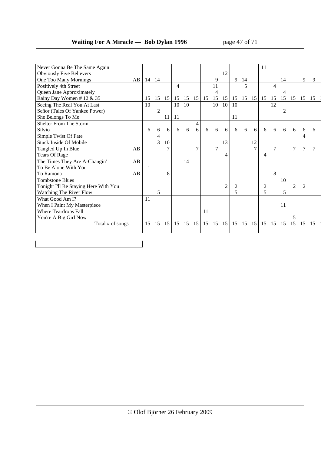## **Waiting For A Miracle — Bob Dylan 1996** page 47 of 71

| Never Gonna Be The Same Again         |              |                |    |    |    |                |    |                |                |                |    |    | 11 |    |    |                |                |    |
|---------------------------------------|--------------|----------------|----|----|----|----------------|----|----------------|----------------|----------------|----|----|----|----|----|----------------|----------------|----|
| <b>Obviously Five Believers</b>       |              |                |    |    |    |                |    |                | 12             |                |    |    |    |    |    |                |                |    |
| One Too Many Mornings<br>AB           |              | 14 14          |    |    |    |                |    | 9              |                | 9              | 14 |    |    |    | 14 |                | 9              | 9  |
| Positively 4th Street                 |              |                |    | 4  |    |                |    | 11             |                |                | 5  |    |    | 4  |    |                |                |    |
| Queen Jane Approximately              |              |                |    |    |    |                |    | 4              |                |                |    |    |    |    |    |                |                |    |
| Rainy Day Women #12 & 35              | 15           | 15             | 15 | 15 | 15 | 15             | 15 | 15             | 15             | 15             | 15 | 15 | 15 | 15 | 15 | 15             | 15             | 15 |
| Seeing The Real You At Last           | 10           |                |    | 10 | 10 |                |    | 10             | 10             | 10             |    |    |    | 12 |    |                |                |    |
| Señor (Tales Of Yankee Power)         |              | $\overline{c}$ |    |    |    |                |    |                |                |                |    |    |    |    | 2  |                |                |    |
| She Belongs To Me                     |              |                | 11 | 11 |    |                |    |                |                | 11             |    |    |    |    |    |                |                |    |
| Shelter From The Storm                |              |                |    |    |    | $\overline{4}$ |    |                |                |                |    |    |    |    |    |                |                |    |
| Silvio                                | 6            | 6              | 6  | 6  | 6  | 6              | 6  | 6              | 6              | 6              | 6  | 6  | 6  | 6  | 6  | 6              | 6              | 6  |
| Simple Twist Of Fate                  |              | 4              |    |    |    |                |    |                |                |                |    |    |    |    |    |                | 4              |    |
| <b>Stuck Inside Of Mobile</b>         |              | 13             | 10 |    |    |                |    |                | 13             |                |    | 12 |    |    |    |                |                |    |
| Tangled Up In Blue<br>AB              |              |                | 7  |    |    | $\overline{7}$ |    | $\overline{7}$ |                |                |    | 7  |    | 7  |    | 7              | 7              |    |
| Tears Of Rage                         |              |                |    |    |    |                |    |                | $\overline{4}$ |                |    |    | 4  |    |    |                |                |    |
| The Times They Are A-Changin'<br>AB   |              |                |    |    | 14 |                |    |                |                |                |    |    |    |    |    |                |                |    |
| To Be Alone With You                  | $\mathbf{1}$ |                |    |    |    |                |    |                |                |                |    |    |    |    |    |                |                |    |
| AB<br>To Ramona                       |              |                | 8  |    |    |                |    |                |                |                |    |    |    | 8  |    |                |                |    |
| <b>Tombstone Blues</b>                |              |                |    |    |    |                |    |                |                |                |    |    |    |    | 10 |                |                |    |
| Tonight I'll Be Staying Here With You |              |                |    |    |    |                |    |                | $\overline{c}$ | $\mathfrak{2}$ |    |    | 2  |    |    | $\mathfrak{D}$ | $\overline{c}$ |    |
| Watching The River Flow               |              | 5              |    |    |    |                |    |                |                | 5              |    |    | 5  |    | 5  |                |                |    |
| What Good Am I?                       | 11           |                |    |    |    |                |    |                |                |                |    |    |    |    |    |                |                |    |
| When I Paint My Masterpiece           |              |                |    |    |    |                |    |                |                |                |    |    |    |    | 11 |                |                |    |
| Where Teardrops Fall                  |              |                |    |    |    |                | 11 |                |                |                |    |    |    |    |    |                |                |    |
| You're A Big Girl Now                 |              |                |    |    |    |                |    |                |                |                |    |    |    |    |    | 5              |                |    |
| Total # of songs                      | 15           | 15             | 15 | 15 | 15 | 15             | 15 | 15             | 15             | 15 15          |    | 15 | 15 | 15 | 15 | 15             | 15             | 15 |
|                                       |              |                |    |    |    |                |    |                |                |                |    |    |    |    |    |                |                |    |
|                                       |              |                |    |    |    |                |    |                |                |                |    |    |    |    |    |                |                |    |
|                                       |              |                |    |    |    |                |    |                |                |                |    |    |    |    |    |                |                |    |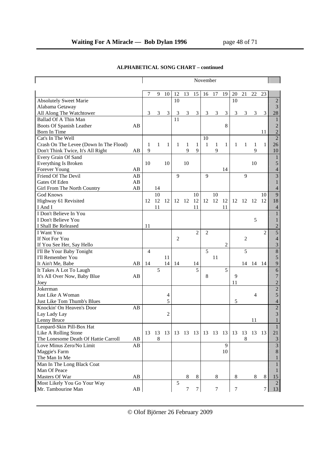|                                        |                        |                |    |                |                |               |                | November       |        |              |                  |    |          |              |                |
|----------------------------------------|------------------------|----------------|----|----------------|----------------|---------------|----------------|----------------|--------|--------------|------------------|----|----------|--------------|----------------|
|                                        |                        | 7              |    |                |                |               |                |                |        |              |                  |    |          |              |                |
| <b>Absolutely Sweet Marie</b>          |                        |                | 9  | 10             | 12<br>10       | 13            | 15             | 16             | 17     | 19           | 20<br>10         | 21 | 22       | 23           | $\overline{2}$ |
| Alabama Getaway                        |                        |                |    |                |                |               |                |                |        |              |                  |    |          |              | 3              |
| All Along The Watchtower               |                        | 3              | 3  | $\mathfrak{Z}$ | 3              | 3             | 3              | 3              | 3      | 3            | 3                | 3  | 3        | 3            | 28             |
| Ballad Of A Thin Man                   |                        |                |    |                | 11             |               |                |                |        |              |                  |    |          |              | 1              |
| Boots Of Spanish Leather               | AB                     |                |    |                |                |               |                |                |        | 8            |                  |    |          |              | 2              |
| Born In Time                           |                        |                |    |                |                |               |                |                |        |              |                  |    |          | 11           | $\overline{c}$ |
| Cat's In The Well                      |                        |                |    |                |                |               |                | 10             |        |              |                  |    |          |              | $\overline{2}$ |
| Crash On The Levee (Down In The Flood) |                        | 1              | 1  | 1              | 1              | $\mathbf{1}$  | 1              | $\mathbf{1}$   | 1      | $\mathbf{1}$ | 1                | 1  | 1        | $\mathbf{1}$ | 26             |
| Don't Think Twice, It's All Right      | AB                     | 9              |    |                |                | 9             | 9              |                | 9      |              |                  |    | 9        |              | 10             |
| Every Grain Of Sand                    |                        |                |    |                |                |               |                |                |        |              |                  |    |          |              | 1              |
| Everything Is Broken                   |                        | 10             |    | 10             |                | 10            |                |                |        |              |                  |    | 10       |              | 5              |
| Forever Young                          | AB                     |                |    |                |                |               |                |                |        | 14           |                  |    |          |              | $\overline{4}$ |
| Friend Of The Devil                    | AB                     |                |    |                | 9              |               |                | 9              |        |              |                  | 9  |          |              | 3              |
| Gates Of Eden                          | AB                     |                |    |                |                |               |                |                |        |              |                  |    |          |              | 1              |
| Girl From The North Country            | AB                     |                | 14 |                |                |               |                |                |        |              |                  |    |          |              | 4              |
| <b>God Knows</b>                       |                        |                | 10 |                |                |               | 10             |                | 10     |              |                  |    |          | 10           | 9              |
| Highway 61 Revisited                   |                        | 12             | 12 | 12             | 12             | <sup>12</sup> | 12             | 12             | 12     | 12           | 12               | 12 | -12      | 12           | 18             |
| I And I                                |                        |                | 11 |                |                |               | 11             |                |        | 11           |                  |    |          |              | $\overline{4}$ |
| I Don't Believe In You                 |                        |                |    |                |                |               |                |                |        |              |                  |    |          |              | 1              |
| I Don't Believe You                    |                        |                |    |                |                |               |                |                |        |              |                  |    | 5        |              | 1              |
| I Shall Be Released                    |                        | 11             |    |                |                |               |                |                |        |              |                  |    |          |              | 2              |
| I Want You                             |                        |                |    |                |                |               | $\overline{c}$ | $\mathfrak{2}$ |        |              |                  |    |          | 2            | 5              |
| If Not For You                         |                        |                |    |                | $\mathfrak{2}$ |               |                |                |        |              |                  | 2  |          |              | 4              |
| If You See Her, Say Hello              |                        |                |    |                |                |               |                |                |        | 2            |                  |    |          |              | 3              |
| I'll Be Your Baby Tonight              |                        | $\overline{4}$ |    |                |                |               |                | 5              |        |              |                  | 5  |          |              | $\,8\,$        |
| I'll Remember You                      |                        |                |    | 11             |                |               |                |                | 11     |              |                  |    |          |              | 5              |
| It Ain't Me, Babe                      | AВ                     | 14             |    | 14             | 14             |               | 14             |                |        |              |                  |    | 14 14 14 |              | 9              |
| It Takes A Lot To Laugh                |                        |                | 5  |                |                |               | 5              |                |        | 5            |                  |    |          |              | 6              |
| It's All Over Now, Baby Blue           | AB                     |                |    |                |                |               |                | 8              |        |              | 9                |    |          |              | 7              |
| Joey                                   |                        |                |    |                |                |               |                |                |        |              | 11               |    |          |              | $\overline{2}$ |
| Jokerman                               |                        |                |    |                |                |               |                |                |        |              |                  |    |          |              | $\overline{2}$ |
| Just Like A Woman                      |                        |                |    | 4              |                |               |                |                |        |              |                  |    | 4        |              | 5              |
| Just Like Tom Thumb's Blues            |                        |                |    | 5              |                |               |                |                |        |              | 5                |    |          |              | 4              |
| Knockin' On Heaven's Door              | AB                     |                |    |                |                |               |                |                |        |              |                  |    |          |              | $\overline{c}$ |
| Lay Lady Lay                           |                        |                |    | $\overline{2}$ |                |               |                |                |        |              |                  |    |          |              | 3              |
| Lenny Bruce                            |                        |                |    |                |                |               |                |                |        |              |                  |    | 11       |              |                |
| Leopard-Skin Pill-Box Hat              |                        |                |    |                |                |               |                |                |        |              |                  |    |          |              | $\mathbf{1}$   |
| Like A Rolling Stone                   |                        | 13             | 13 | 13             | 13             | 13            | 13             | 13             | 13     | 13           | 13               | 13 | 13       | 13           | 21             |
| The Lonesome Death Of Hattie Carroll   | AB                     |                | 8  |                |                |               |                |                |        |              |                  | 8  |          |              | $\mathfrak{Z}$ |
| Love Minus Zero/No Limit               | $\mathbf{A}\mathbf{B}$ |                |    |                |                |               |                |                |        | 9            |                  |    |          |              | 3              |
| Maggie's Farm                          |                        |                |    |                |                |               |                |                |        | 10           |                  |    |          |              | 8              |
| The Man In Me                          |                        |                |    |                |                |               |                |                |        |              |                  |    |          |              | 1              |
| Man In The Long Black Coat             |                        |                |    |                |                |               |                |                |        |              |                  |    |          |              | 1              |
| Man Of Peace                           |                        |                |    |                |                |               |                |                |        |              |                  |    |          |              |                |
| Masters Of War                         | AВ                     |                |    |                |                | $\,8\,$       | 8              |                | 8      |              | 8                |    | 8        | $8\,$        | 15             |
| Most Likely You Go Your Way            |                        |                |    |                | 5              |               |                |                |        |              |                  |    |          |              | $\overline{2}$ |
| Mr. Tambourine Man                     | AB                     |                |    |                |                | $\tau$        | 7              |                | $\tau$ |              | $\boldsymbol{7}$ |    |          | 7            | 13             |

#### **ALPHABETICAL SONG CHART – continued**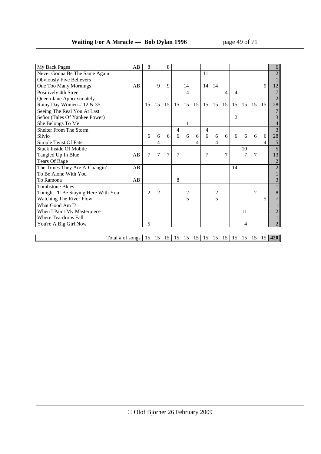## **Waiting For A Miracle — Bob Dylan 1996** page 49 of 71

| My Back Pages                                                | AB | 8              |                | 8              |        |             |   |                |                |   |                |    |                |   | 6                     |
|--------------------------------------------------------------|----|----------------|----------------|----------------|--------|-------------|---|----------------|----------------|---|----------------|----|----------------|---|-----------------------|
| Never Gonna Be The Same Again                                |    |                |                |                |        |             |   | 11             |                |   |                |    |                |   | $\mathfrak{D}$        |
| <b>Obviously Five Believers</b>                              |    |                |                |                |        |             |   |                |                |   |                |    |                |   |                       |
| One Too Many Mornings                                        | AB |                | 9              | 9              |        | 14          |   |                | 14 14          |   |                |    |                | 9 | 12                    |
| Positively 4th Street                                        |    |                |                |                |        | 4           |   |                |                | 4 | $\overline{4}$ |    |                |   |                       |
| Queen Jane Approximately                                     |    |                |                |                |        |             |   |                |                |   |                |    |                |   | 2                     |
| Rainy Day Women #12 & 35                                     |    | 15             |                | 15 15          | 15     |             |   | 15 15 15 15 15 |                |   | 15             |    | 15 15 15       |   | 28                    |
| Seeing The Real You At Last                                  |    |                |                |                |        |             |   |                |                |   |                |    |                |   |                       |
| Señor (Tales Of Yankee Power)                                |    |                |                |                |        |             |   |                |                |   | $\overline{c}$ |    |                |   | 3                     |
| She Belongs To Me                                            |    |                |                |                |        | 11          |   |                |                |   |                |    |                |   |                       |
| <b>Shelter From The Storm</b>                                |    |                |                |                | 4      |             |   | $\overline{4}$ |                |   |                |    |                |   | 3                     |
| Silvio                                                       |    | 6              | 6              | 6              | 6      | 6           | 6 | 6              | 6              | 6 | 6              | 6  | 6              | 6 | 28                    |
| Simple Twist Of Fate                                         |    |                | 4              |                |        |             | 4 |                | 4              |   |                |    |                | 4 | 5                     |
| <b>Stuck Inside Of Mobile</b>                                |    |                |                |                |        |             |   |                |                |   |                | 10 |                |   | 5                     |
| Tangled Up In Blue                                           | AB | 7              | 7              | $\overline{7}$ | $\tau$ |             |   | 7              |                | 7 |                | 7  | 7              |   | 13                    |
| <b>Tears Of Rage</b>                                         |    |                |                |                |        |             |   |                |                |   |                |    |                |   | $\overline{2}$        |
| The Times They Are A-Changin'                                | AB |                |                |                |        |             |   |                |                |   | 14             |    |                |   | $\overline{2}$        |
| To Be Alone With You                                         |    |                |                |                |        |             |   |                |                |   |                |    |                |   |                       |
| To Ramona                                                    | AB |                |                |                | 8      |             |   |                |                |   |                |    |                |   | 3                     |
| <b>Tombstone Blues</b>                                       |    |                |                |                |        |             |   |                |                |   |                |    |                |   |                       |
| Tonight I'll Be Staying Here With You                        |    | $\overline{c}$ | $\overline{c}$ |                |        | $rac{2}{5}$ |   |                | $\overline{c}$ |   |                |    | $\overline{2}$ |   | 8                     |
| Watching The River Flow                                      |    |                |                |                |        |             |   |                | 5              |   |                |    |                | 5 |                       |
| What Good Am I?                                              |    |                |                |                |        |             |   |                |                |   |                |    |                |   |                       |
| When I Paint My Masterpiece                                  |    |                |                |                |        |             |   |                |                |   |                | 11 |                |   |                       |
| Where Teardrops Fall                                         |    |                |                |                |        |             |   |                |                |   |                |    |                |   |                       |
| You're A Big Girl Now                                        |    | 5              |                |                |        |             |   |                |                |   |                | 4  |                |   |                       |
|                                                              |    |                |                |                |        |             |   |                |                |   |                |    |                |   |                       |
| Total # of songs   15 15 15   15 15 15   15 15 15   15 15 15 |    |                |                |                |        |             |   |                |                |   |                |    |                |   | $15 \,   \, 420 \,  $ |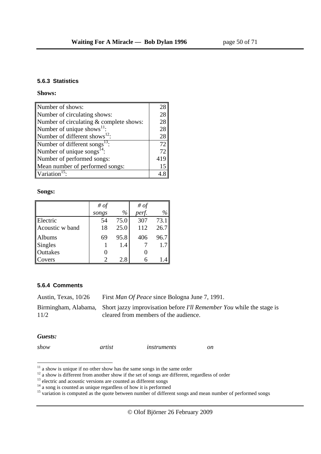#### **5.6.3 Statistics**

#### **Shows:**

| Number of shows:                          | 28  |
|-------------------------------------------|-----|
| Number of circulating shows:              | 28  |
| Number of circulating & complete shows:   | 28  |
| Number of unique shows <sup>11</sup>      | 28  |
| Number of different shows <sup>12</sup> : | 28  |
| Number of different songs <sup>13</sup> : | 72  |
| Number of unique songs $^{14}$ :          | 72  |
| Number of performed songs:                | 419 |
| Mean number of performed songs:           | 15  |
| Variation <sup>15</sup>                   |     |

#### **Songs:**

|                 | # of  |      | # of  |      |
|-----------------|-------|------|-------|------|
|                 | songs | $\%$ | perf. | $\%$ |
| Electric        | 54    | 75.0 | 307   | 73.1 |
| Acoustic w band | 18    | 25.0 | 112   | 26.7 |
| Albums          | 69    | 95.8 | 406   | 96.7 |
| <b>Singles</b>  |       | 1.4  |       | 1.7  |
| Outtakes        |       |      |       |      |
| Covers          |       | 2.8  |       |      |

#### **5.6.4 Comments**

Austin, Texas, 10/26 First *Man Of Peace* since Bologna June 7, 1991. Birmingham, Alabama, 11/2 Short jazzy improvisation before *I'll Remember You* while the stage is cleared from members of the audience.

#### *Guests:*

*show artist instruments on* 

 $12$  a show is different from another show if the set of songs are different, regardless of order

 $11$ <sup>11</sup> a show is unique if no other show has the same songs in the same order

 $13$  electric and acoustic versions are counted as different songs

 $14$  a song is counted as unique regardless of how it is performed

<sup>&</sup>lt;sup>15</sup> variation is computed as the quote between number of different songs and mean number of performed songs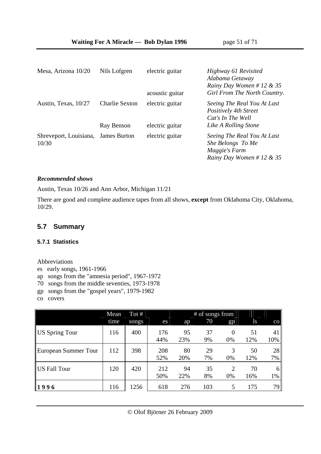| Mesa, Arizona 10/20             | Nils Lofgren          | electric guitar | Highway 61 Revisited<br>Alabama Getaway<br>Rainy Day Women # 12 & 35                           |
|---------------------------------|-----------------------|-----------------|------------------------------------------------------------------------------------------------|
|                                 |                       | acoustic guitar | Girl From The North Country.                                                                   |
| Austin, Texas, 10/27            | <b>Charlie Sexton</b> | electric guitar | Seeing The Real You At Last<br>Positively 4th Street<br>Cat's In The Well                      |
|                                 | Ray Benson            | electric guitar | Like A Rolling Stone                                                                           |
| Shreveport, Louisiana,<br>10/30 | <b>James Burton</b>   | electric guitar | Seeing The Real You At Last<br>She Belongs To Me<br>Maggie's Farm<br>Rainy Day Women # 12 & 35 |

#### *Recommended shows*

Austin, Texas 10/26 and Ann Arbor, Michigan 11/21

There are good and complete audience tapes from all shows, **except** from Oklahoma City, Oklahoma, 10/29.

## **5.7 Summary**

### **5.7.1 Statistics**

Abbreviations

es early songs, 1961-1966

ap songs from the "amnesia period", 1967-1972

70 songs from the middle seventies, 1973-1978

gp songs from the "gospel years", 1979-1982

co covers

|                       | Mean | Tot $#$ |     |     | # of songs from |          |       |                 |
|-----------------------|------|---------|-----|-----|-----------------|----------|-------|-----------------|
|                       | time | songs   | es  | ap  | 70              | gp       | $\lg$ | $\rm{co}$       |
| <b>US Spring Tour</b> | 116  | 400     | 176 | 95  | 37              | $\Omega$ | 51    | 41 <sup>1</sup> |
|                       |      |         | 44% | 23% | 9%              | 0%       | 12%   | 10%             |
| European Summer Tour  | 112  | 398     | 208 | 80  | 29              | 3        | 50    | 28              |
|                       |      |         | 52% | 20% | 7%              | 0%       | 12%   | $7\%$           |
| <b>US Fall Tour</b>   | 120  | 420     | 212 | 94  | 35              | 2        | 70    | 6 <sup>1</sup>  |
|                       |      |         | 50% | 22% | 8%              | 0%       | 16%   | $1\%$           |
| 1996                  | 116  | 1256    | 618 | 276 | 103             | 5        | 175   | 79              |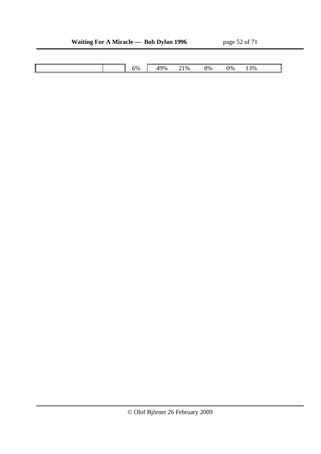| Waiting For A Miracle — Bob Dylan 1996 |    |     |      |    |    | page 52 of 71 |  |
|----------------------------------------|----|-----|------|----|----|---------------|--|
|                                        |    |     |      |    |    |               |  |
|                                        | 6% | 49% | 21\% | 8% | 0% | .3%           |  |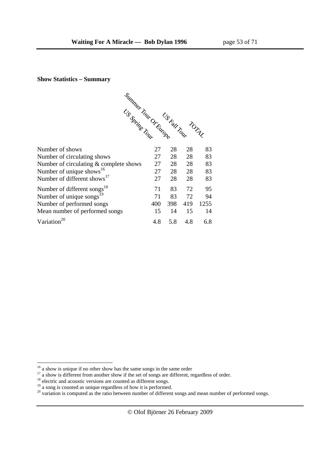#### **Show Statistics – Summary**



| Number of shows                         | 27  | 28  | 28  | 83   |
|-----------------------------------------|-----|-----|-----|------|
| Number of circulating shows             | 27  | 28  | 28  | 83   |
| Number of circulating & complete shows  | 27  | 28  | 28  | 83   |
| Number of unique shows <sup>16</sup>    | 27  | 28  | 28  | 83   |
| Number of different shows <sup>17</sup> | 27  | 28  | 28  | 83   |
| Number of different songs <sup>18</sup> | 71  | 83  | 72  | 95   |
| Number of unique songs <sup>19</sup>    | 71  | 83  | 72  | 94   |
| Number of performed songs               | 400 | 398 | 419 | 1255 |
| Mean number of performed songs          | 15  | 14  | 15  | 14   |
| Variation <sup>20</sup>                 | 4.8 | 5.8 | 4.8 | 68   |

 $16$  a show is unique if no other show has the same songs in the same order

 $17$  a show is different from another show if the set of songs are different, regardless of order.  $18$  electric and acoustic versions are counted as different songs.

<sup>&</sup>lt;sup>19</sup> a song is counted as unique regardless of how it is performed.

<sup>&</sup>lt;sup>20</sup> variation is computed as the ratio between number of different songs and mean number of performed songs.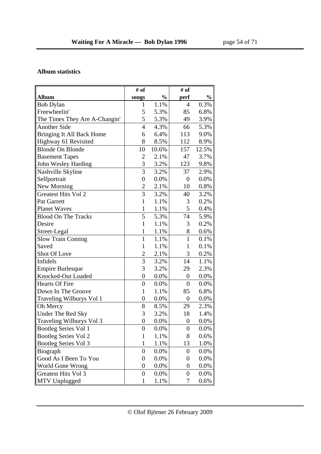## **Album statistics**

|                               | # of             |               | # of             |               |
|-------------------------------|------------------|---------------|------------------|---------------|
| <b>Album</b>                  | songs            | $\frac{0}{0}$ | perf             | $\frac{1}{2}$ |
| <b>Bob Dylan</b>              | $\mathbf{1}$     | 1.1%          | 4                | 0.3%          |
| Freewheelin'                  | 5                | 5.3%          | 85               | 6.8%          |
| The Times They Are A-Changin' | 5                | 5.3%          | 49               | 3.9%          |
| <b>Another Side</b>           | $\overline{4}$   | 4.3%          | 66               | 5.3%          |
| Bringing It All Back Home     | 6                | 6.4%          | 113              | 9.0%          |
| Highway 61 Revisited          | 8                | 8.5%          | 112              | 8.9%          |
| <b>Blonde On Blonde</b>       | 10               | 10.6%         | 157              | 12.5%         |
| <b>Basement Tapes</b>         | $\overline{2}$   | 2.1%          | 47               | 3.7%          |
| John Wesley Harding           | 3                | 3.2%          | 123              | 9.8%          |
| Nashville Skyline             | $\overline{3}$   | 3.2%          | 37               | 2.9%          |
| Selfportrait                  | $\boldsymbol{0}$ | 0.0%          | $\overline{0}$   | 0.0%          |
| New Morning                   | $\overline{2}$   | 2.1%          | 10               | 0.8%          |
| <b>Greatest Hits Vol 2</b>    | 3                | 3.2%          | 40               | 3.2%          |
| Pat Garrett                   | $\mathbf{1}$     | 1.1%          | 3                | 0.2%          |
| <b>Planet Waves</b>           | $\mathbf{1}$     | 1.1%          | 5                | 0.4%          |
| <b>Blood On The Tracks</b>    | $\overline{5}$   | 5.3%          | 74               | 5.9%          |
| Desire                        | $\mathbf{1}$     | 1.1%          | 3                | 0.2%          |
| Street-Legal                  | $\mathbf{1}$     | 1.1%          | 8                | 0.6%          |
| <b>Slow Train Coming</b>      | $\mathbf{1}$     | 1.1%          | $\mathbf{1}$     | 0.1%          |
| Saved                         | $\mathbf{1}$     | 1.1%          | $\mathbf{1}$     | 0.1%          |
| Shot Of Love                  | $\overline{c}$   | 2.1%          | 3                | 0.2%          |
| Infidels                      | 3                | 3.2%          | 14               | 1.1%          |
| <b>Empire Burlesque</b>       | 3                | 3.2%          | 29               | 2.3%          |
| Knocked-Out Loaded            | $\mathbf{0}$     | 0.0%          | $\boldsymbol{0}$ | 0.0%          |
| <b>Hearts Of Fire</b>         | $\overline{0}$   | 0.0%          | $\boldsymbol{0}$ | 0.0%          |
| Down In The Groove            | $\mathbf{1}$     | 1.1%          | 85               | 6.8%          |
| Traveling Wilburys Vol 1      | $\overline{0}$   | 0.0%          | $\boldsymbol{0}$ | 0.0%          |
| Oh Mercy                      | 8                | 8.5%          | 29               | 2.3%          |
| <b>Under The Red Sky</b>      | 3                | 3.2%          | 18               | 1.4%          |
| Traveling Wilburys Vol 3      | $\boldsymbol{0}$ | 0.0%          | $\boldsymbol{0}$ | 0.0%          |
| <b>Bootleg Series Vol 1</b>   | $\boldsymbol{0}$ | $0.0\%$       | $\boldsymbol{0}$ | 0.0%          |
| Bootleg Series Vol 2          | $\mathbf{1}$     | 1.1%          | 8                | 0.6%          |
| Bootleg Series Vol 3          | $\mathbf{1}$     | 1.1%          | 13               | 1.0%          |
| Biograph                      | $\boldsymbol{0}$ | 0.0%          | 0                | 0.0%          |
| Good As I Been To You         | $\boldsymbol{0}$ | 0.0%          | $\boldsymbol{0}$ | 0.0%          |
| World Gone Wrong              | $\overline{0}$   | 0.0%          | $\boldsymbol{0}$ | 0.0%          |
| <b>Greatest Hits Vol 3</b>    | $\boldsymbol{0}$ | 0.0%          | $\boldsymbol{0}$ | 0.0%          |
| MTV Unplugged                 | 1                | 1.1%          | 7                | 0.6%          |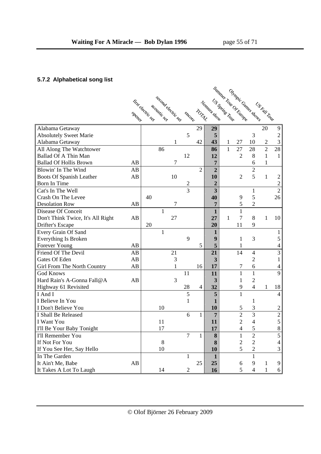## **5.7.2 Alphabetical song list**

| Applian change in the control     |         |                  |              |                   |                |                          |                  |                       |                |                    |                |                  |
|-----------------------------------|---------|------------------|--------------|-------------------|----------------|--------------------------|------------------|-----------------------|----------------|--------------------|----------------|------------------|
|                                   |         |                  |              |                   |                |                          |                  | Summer Tour Or Europe |                | Olympic Cemessions |                |                  |
|                                   |         |                  |              |                   |                |                          |                  |                       |                |                    |                |                  |
|                                   |         |                  |              |                   |                |                          |                  |                       |                |                    |                |                  |
|                                   |         |                  |              |                   |                |                          |                  |                       |                |                    |                |                  |
|                                   | opency. | Erst clechic sex | acoustic sex | scond cleanic sex | encore         | TOTAL                    | Nomura show      |                       |                |                    | US Fall Town   |                  |
| Alabama Getaway                   |         |                  |              |                   |                | 29                       | 29               |                       |                |                    | 20             | 9                |
| <b>Absolutely Sweet Marie</b>     |         |                  |              |                   | 5              |                          | 5                |                       |                | 3                  |                | $\overline{c}$   |
| Alabama Getaway                   |         |                  |              | 1                 |                | 42                       | 43               | $\mathbf{1}$          | 27             | 10                 | $\overline{2}$ | 3                |
| All Along The Watchtower          |         |                  | 86           |                   |                |                          | 86               | $\mathbf{1}$          | 27             | 28                 | $\overline{2}$ | 28               |
| Ballad Of A Thin Man              |         |                  |              |                   | 12             |                          | 12               |                       | $\overline{2}$ | 8                  | $\mathbf{1}$   | 1                |
| <b>Ballad Of Hollis Brown</b>     | AB      |                  |              | 7                 |                |                          | 7                |                       |                | 6                  | 1              |                  |
| Blowin' In The Wind               | AB      |                  |              |                   |                | $\overline{2}$           | $\overline{2}$   |                       |                | $\sqrt{2}$         |                |                  |
| Boots Of Spanish Leather          | AB      |                  |              | 10                |                |                          | 10               |                       | $\overline{2}$ | 5                  | $\mathbf{1}$   | 2                |
| Born In Time                      |         |                  |              |                   | 2              |                          | $\overline{2}$   |                       |                |                    |                | $\overline{2}$   |
| Cat's In The Well                 |         |                  |              |                   | $\overline{3}$ |                          | 3                |                       |                | $\mathbf{1}$       |                | $\overline{2}$   |
| Crash On The Levee                |         | 40               |              |                   |                |                          | 40               |                       | 9              | 5                  |                | 26               |
| <b>Desolation Row</b>             | AB      |                  |              | 7                 |                |                          | 7                |                       | 5              | $\overline{c}$     |                |                  |
| Disease Of Conceit                |         |                  | $\mathbf{1}$ |                   |                |                          | $\mathbf{1}$     |                       | $\mathbf{1}$   |                    |                |                  |
| Don't Think Twice, It's All Right | AB      |                  |              | 27                |                |                          | 27               | 1                     | 7              | 8                  | $\mathbf{1}$   | 10               |
| Drifter's Escape                  |         | 20               |              |                   |                |                          | 20               |                       | 11             | 9                  |                |                  |
| Every Grain Of Sand               |         |                  | $\mathbf{1}$ |                   |                |                          | $\mathbf{1}$     |                       |                |                    |                | 1                |
| Everything Is Broken              |         |                  |              |                   | 9              |                          | $\boldsymbol{9}$ |                       | 1              | 3                  |                | 5                |
| Forever Young                     | AB      |                  |              |                   |                | 5                        | 5                |                       | $\mathbf{1}$   |                    |                | 4                |
| Friend Of The Devil               | AB      |                  |              | 21                |                |                          | 21               |                       | 14             | $\overline{4}$     |                | $\overline{3}$   |
| Gates Of Eden                     | AB      |                  |              | 3                 |                |                          | 3                |                       |                | $\overline{2}$     |                | 1                |
| Girl From The North Country       | AB      |                  |              | 1                 |                | 16                       | 17               |                       | 7              | 6                  |                | 4                |
| <b>God Knows</b>                  |         |                  |              |                   | 11             |                          | 11               |                       | $\mathbf{1}$   | $\overline{1}$     |                | 9                |
| Hard Rain's A-Gonna Fall@A        | AB      |                  |              | 3                 |                |                          | 3                |                       | $\mathbf{1}$   | $\overline{c}$     |                |                  |
| Highway 61 Revisited              |         |                  |              |                   | 28             | $\overline{\mathcal{A}}$ | 32               |                       | 9              | $\overline{4}$     | $\mathbf{1}$   | 18               |
| I And I                           |         |                  |              |                   | 5              |                          | 5                |                       | $\mathbf{1}$   |                    |                | 4                |
| I Believe In You                  |         |                  |              |                   | $\mathbf{1}$   |                          | 1                |                       |                | $\mathbf{1}$       |                |                  |
| I Don't Believe You               |         |                  | 10           |                   |                |                          | 10               |                       | 5              | 3                  |                | $\overline{2}$   |
| I Shall Be Released               |         |                  |              |                   | 6              | $\mathbf 1$              | $\overline{7}$   |                       | $\overline{2}$ | $\overline{3}$     |                | $\overline{c}$   |
| I Want You                        |         |                  | 11           |                   |                |                          | 11               |                       | $\overline{2}$ | $\overline{4}$     |                | 5                |
| I'll Be Your Baby Tonight         |         |                  | 17           |                   |                |                          | 17               |                       | $\overline{4}$ | 5                  |                | $\,$ $\,$        |
| I'll Remember You                 |         |                  |              |                   | $\overline{7}$ | 1                        | $\bf{8}$         |                       | $\mathbf{1}$   | $\overline{c}$     |                | 5                |
| If Not For You                    |         |                  | $\,8\,$      |                   |                |                          | 8                |                       | $\sqrt{2}$     | $\overline{c}$     |                | 4                |
| If You See Her, Say Hello         |         |                  | 10           |                   |                |                          | 10               |                       | 5              | $\overline{c}$     |                | $\mathfrak{Z}$   |
| In The Garden                     |         |                  |              |                   | $\mathbf{1}$   |                          | $\mathbf{1}$     |                       |                | $\mathbf{1}$       |                |                  |
| It Ain't Me, Babe                 | AB      |                  |              |                   |                | 25                       | 25               |                       | 6              | 9                  | $\mathbf{1}$   | 9                |
| It Takes A Lot To Laugh           |         |                  | 14           |                   | $\mathbf{2}$   |                          | 16               |                       | $\mathfrak s$  | $\overline{4}$     | $\mathbf{1}$   | $6 \overline{6}$ |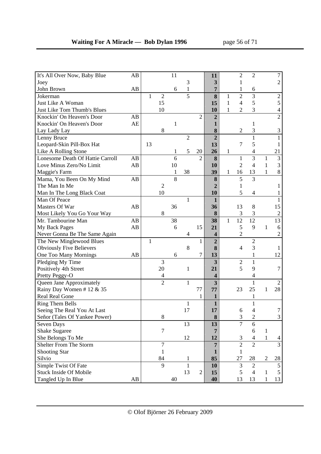| It's All Over Now, Baby Blue     | AB |              |                  | 11           |                          |                  | 11                      |              | $\overline{2}$ | $\overline{2}$           |              | $\overline{7}$   |
|----------------------------------|----|--------------|------------------|--------------|--------------------------|------------------|-------------------------|--------------|----------------|--------------------------|--------------|------------------|
| Joey                             |    |              |                  |              | 3                        |                  | 3                       |              | $\mathbf{1}$   |                          |              | $\overline{2}$   |
| John Brown                       | AB |              |                  | 6            | 1                        |                  | $\overline{7}$          |              | 1              | 6                        |              |                  |
| Jokerman                         |    | $\mathbf{1}$ | $\overline{2}$   |              | 5                        |                  | 8                       | $\mathbf{1}$ | $\overline{2}$ | $\overline{3}$           |              | $\overline{c}$   |
| Just Like A Woman                |    |              | 15               |              |                          |                  | 15                      | 1            | $\overline{4}$ | 5                        |              | 5                |
| Just Like Tom Thumb's Blues      |    |              | 10               |              |                          |                  | 10                      | 1            | $\overline{2}$ | 3                        |              | 4                |
| Knockin' On Heaven's Door        | AB |              |                  |              |                          | $\overline{2}$   | $\overline{2}$          |              |                |                          |              | $\overline{2}$   |
| Knockin' On Heaven's Door        | AE |              |                  | $\mathbf{1}$ |                          |                  | 1                       |              |                | 1                        |              |                  |
| Lay Lady Lay                     |    |              | 8                |              |                          |                  | 8                       |              | $\overline{2}$ | 3                        |              | 3                |
| Lenny Bruce                      |    |              |                  |              | $\mathfrak{2}$           |                  | $\overline{2}$          |              |                | $\mathbf{1}$             |              |                  |
| Leopard-Skin Pill-Box Hat        |    | 13           |                  |              |                          |                  | 13                      |              | 7              | 5                        |              | 1                |
| Like A Rolling Stone             |    |              |                  | 1            | 5                        | 20               | 26                      | 1            |                | 4                        |              | 21               |
| Lonesome Death Of Hattie Carroll | AB |              |                  | 6            |                          | $\overline{2}$   | 8                       |              | 1              | $\overline{3}$           | 1            | $\overline{3}$   |
| Love Minus Zero/No Limit         | AB |              |                  | 10           |                          |                  | 10                      |              | $\overline{2}$ | $\overline{4}$           | 1            | 3                |
| Maggie's Farm                    |    |              |                  | 1            | 38                       |                  | 39                      | $\mathbf{1}$ | 16             | 13                       | 1            | 8                |
| Mama, You Been On My Mind        | AB |              |                  | 8            |                          |                  | 8                       |              | 5              | $\overline{3}$           |              |                  |
| The Man In Me                    |    |              | $\overline{2}$   |              |                          |                  | $\overline{2}$          |              | 1              |                          |              | 1                |
| Man In The Long Black Coat       |    |              | 10               |              |                          |                  | 10                      |              | 5              | $\overline{\mathcal{A}}$ |              | 1                |
| Man Of Peace                     |    |              |                  |              | 1                        |                  | $\mathbf{1}$            |              |                |                          |              | 1                |
| Masters Of War                   | AB |              |                  | 36           |                          |                  | 36                      |              | 13             | 8                        |              | 15               |
| Most Likely You Go Your Way      |    |              | 8                |              |                          |                  | 8                       |              | 3              | 3                        |              | $\overline{2}$   |
| Mr. Tambourine Man               | AB |              |                  | 38           |                          |                  | 38                      | $\mathbf{1}$ | 12             | 12                       |              | 13               |
| My Back Pages                    | AB |              |                  | 6            |                          | 15               | 21                      |              | 5              | 9                        | 1            | $\boldsymbol{6}$ |
| Never Gonna Be The Same Again    |    |              |                  |              | $\overline{\mathcal{A}}$ |                  | $\overline{\mathbf{4}}$ |              | $\overline{2}$ |                          |              | $\overline{2}$   |
| The New Minglewood Blues         |    | $\mathbf{1}$ |                  |              |                          | $\mathbf{1}$     | $\overline{2}$          |              |                | $\overline{2}$           |              |                  |
| <b>Obviously Five Believers</b>  |    |              |                  |              | 8                        |                  | 8                       |              | $\overline{4}$ | 3                        |              | 1                |
| One Too Many Mornings            | AB |              |                  | 6            |                          | $\tau$           | 13                      |              |                | $\mathbf{1}$             |              | 12               |
| Pledging My Time                 |    |              | 3                |              |                          |                  | 3                       |              | $\overline{2}$ | $\mathbf{1}$             |              |                  |
| Positively 4th Street            |    |              | 20               |              | $\mathbf{1}$             |                  | 21                      |              | 5              | 9                        |              | 7                |
| Pretty Peggy-O                   |    |              | 4                |              |                          |                  | 4                       |              |                | 4                        |              |                  |
| Queen Jane Approximately         |    |              | $\overline{2}$   |              | $\mathbf{1}$             |                  | 3                       |              |                | $\mathbf{1}$             |              | $\overline{2}$   |
| Rainy Day Women #12 & 35         |    |              |                  |              |                          | 77               | 77                      |              | 23             | 25                       | 1            | 28               |
| Real Real Gone                   |    |              |                  |              |                          | 1                | 1                       |              |                |                          |              |                  |
| <b>Ring Them Bells</b>           |    |              |                  |              | 1                        |                  | $\mathbf{1}$            |              |                | 1                        |              |                  |
| Seeing The Real You At Last      |    |              |                  |              | 17                       |                  | 17                      |              | 6              | 4                        |              | 7                |
| Señor (Tales Of Yankee Power)    |    |              | $8\,$            |              |                          |                  | 8                       |              | $\mathfrak{Z}$ | $\overline{2}$           |              | 3                |
| Seven Days                       |    |              |                  |              | 13                       |                  | 13                      |              | $\overline{7}$ | 6                        |              |                  |
| <b>Shake Sugaree</b>             |    |              | $\tau$           |              |                          |                  | 7                       |              |                | 6                        | $\mathbf{1}$ |                  |
| She Belongs To Me                |    |              |                  |              | 12                       |                  | 12                      |              | 3              | $\overline{4}$           | $\mathbf{1}$ | 4                |
| <b>Shelter From The Storm</b>    |    |              | $\boldsymbol{7}$ |              |                          |                  | $\overline{7}$          |              | $\overline{2}$ | $\overline{2}$           |              | $\overline{3}$   |
| <b>Shooting Star</b>             |    |              | $\mathbf 1$      |              |                          |                  | $\mathbf{1}$            |              | $\mathbf{1}$   |                          |              |                  |
| Silvio                           |    |              | 84               |              | 1                        |                  | 85                      |              | 27             | 28                       | $\mathbf{2}$ | $28\,$           |
| Simple Twist Of Fate             |    |              | 9                |              | $\mathbf{1}$             |                  | 10                      |              | 3              | $\overline{2}$           |              | $\overline{5}$   |
| <b>Stuck Inside Of Mobile</b>    |    |              |                  |              | 13                       | $\boldsymbol{2}$ | 15                      |              | 5              | $\overline{4}$           | 1            | $\mathfrak s$    |
| Tangled Up In Blue               | AB |              |                  | 40           |                          |                  | 40                      |              | 13             | 13                       | $\mathbf{1}$ | 13               |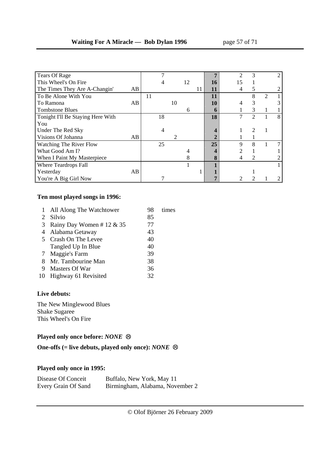| Tears Of Rage                     |    |    |    |    |    |    | 5  |    |                             |                             |   |
|-----------------------------------|----|----|----|----|----|----|----|----|-----------------------------|-----------------------------|---|
| This Wheel's On Fire              |    |    |    |    | 12 |    | 16 | 15 |                             |                             |   |
| The Times They Are A-Changin'     | AB |    |    |    |    | 11 | 11 | 4  | 5                           |                             |   |
| To Be Alone With You              |    | 11 |    |    |    |    | 11 |    | 8                           | $\mathcal{D}_{\mathcal{L}}$ |   |
| To Ramona                         | AB |    |    | 10 |    |    | 10 |    |                             |                             |   |
| Tombstone Blues                   |    |    |    |    | 6  |    | 6  |    | 3                           |                             |   |
| Tonight I'll Be Staying Here With |    |    | 18 |    |    |    | 18 | 7  | $\mathfrak{D}$              |                             | 8 |
| You                               |    |    |    |    |    |    |    |    |                             |                             |   |
| Under The Red Sky                 |    |    | 4  |    |    |    | 4  |    | $\mathcal{D}_{\mathcal{L}}$ |                             |   |
| Visions Of Johanna                | AB |    |    | 2  |    |    | 7  |    |                             |                             |   |
| Watching The River Flow           |    |    | 25 |    |    |    | 25 |    | 8                           |                             |   |
| What Good Am I?                   |    |    |    |    |    |    | 4  |    |                             |                             |   |
| When I Paint My Masterpiece       |    |    |    |    | 8  |    | 8  |    | 2                           |                             |   |
| Where Teardrops Fall              |    |    |    |    |    |    |    |    |                             |                             |   |
| Yesterday                         | AB |    |    |    |    |    |    |    |                             |                             |   |
| You're A Big Girl Now             |    |    |    |    |    |    |    |    |                             |                             |   |

### **Ten most played songs in 1996:**

|    | 1 All Along The Watchtower  | 98 | times |
|----|-----------------------------|----|-------|
|    | 2 Silvio                    | 85 |       |
|    | 3 Rainy Day Women # 12 & 35 | 77 |       |
|    | 4 Alabama Getaway           | 43 |       |
|    | 5 Crash On The Levee        | 40 |       |
|    | Tangled Up In Blue          | 40 |       |
|    | 7 Maggie's Farm             | 39 |       |
| 8  | Mr. Tambourine Man          | 38 |       |
| 9  | Masters Of War              | 36 |       |
| 10 | Highway 61 Revisited        | 32 |       |
|    |                             |    |       |

#### **Live debuts:**

The New Minglewood Blues Shake Sugaree This Wheel's On Fire

#### **Played only once before:** *NONE*

**One-offs (= live debuts, played only once):** *NONE*

#### **Played only once in 1995:**

| Disease Of Conceit  | Buffalo, New York, May 11       |
|---------------------|---------------------------------|
| Every Grain Of Sand | Birmingham, Alabama, November 2 |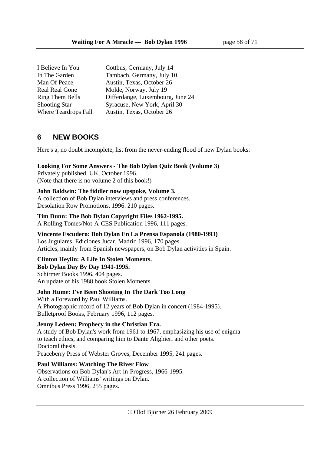| I Believe In You           |
|----------------------------|
| In The Garden              |
| Man Of Peace               |
| <b>Real Real Gone</b>      |
| <b>Ring Them Bells</b>     |
| <b>Shooting Star</b>       |
| <b>Where Teardrops Fal</b> |
|                            |

Cottbus, Germany, July 14 Tambach, Germany, July 10 Austin, Texas, October 26 Molde, Norway, July 19 Differdange, Luxembourg, June 24 Syracuse, New York, April 30 11 Austin, Texas, October 26

# **6 NEW BOOKS**

Here's a, no doubt incomplete, list from the never-ending flood of new Dylan books:

### **Looking For Some Answers - The Bob Dylan Quiz Book (Volume 3)**

Privately published, UK, October 1996. (Note that there is no volume 2 of this book!)

### **John Baldwin: The fiddler now upspoke, Volume 3.**

A collection of Bob Dylan interviews and press conferences. Desolation Row Promotions, 1996. 210 pages.

## **Tim Dunn: The Bob Dylan Copyright Files 1962-1995.**

A Rolling Tomes/Not-A-CES Publication 1996, 111 pages.

## **Vincente Escudero: Bob Dylan En La Prensa Espanola (1980-1993)** Los Jugulares, Ediciones Jucar, Madrid 1996, 170 pages.

Articles, mainly from Spanish newspapers, on Bob Dylan activities in Spain.

## **Clinton Heylin: A Life In Stolen Moments.**

**Bob Dylan Day By Day 1941-1995.** Schirmer Books 1996, 404 pages. An update of his 1988 book Stolen Moments.

## **John Hume: I've Been Shooting In The Dark Too Long**

With a Foreword by Paul Williams. A Photographic record of 12 years of Bob Dylan in concert (1984-1995). Bulletproof Books, February 1996, 112 pages.

## **Jenny Ledeen: Prophecy in the Christian Era.**

A study of Bob Dylan's work from 1961 to 1967, emphasizing his use of enigma to teach ethics, and comparing him to Dante Alighieri and other poets. Doctoral thesis.

Peaceberry Press of Webster Groves, December 1995, 241 pages.

## **Paul Williams: Watching The River Flow**

Observations on Bob Dylan's Art-in-Progress, 1966-1995. A collection of Williams' writings on Dylan. Omnibus Press 1996, 255 pages.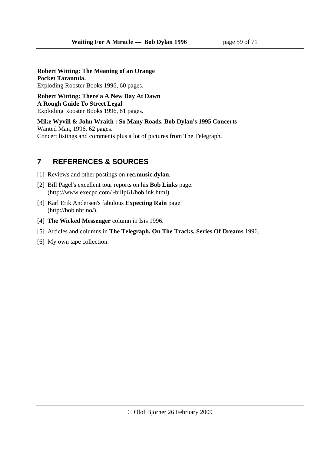**Robert Witting: The Meaning of an Orange Pocket Tarantula.** Exploding Rooster Books 1996, 60 pages.

**Robert Witting: There'a A New Day At Dawn A Rough Guide To Street Legal** Exploding Rooster Books 1996, 81 pages.

**Mike Wyvill & John Wraith : So Many Roads. Bob Dylan's 1995 Concerts** Wanted Man, 1996. 62 pages. Concert listings and comments plus a lot of pictures from The Telegraph.

## **7 REFERENCES & SOURCES**

- [1] Reviews and other postings on **rec.music.dylan**.
- [2] Bill Pagel's excellent tour reports on his **Bob Links** page. (http://www.execpc.com/~billp61/boblink.html).
- [3] Karl Erik Andersen's fabulous **Expecting Rain** page. (http://bob.nbr.no/).
- [4] **The Wicked Messenger** column in Isis 1996.
- [5] Articles and columns in **The Telegraph, On The Tracks, Series Of Dreams** 1996.
- [6] My own tape collection.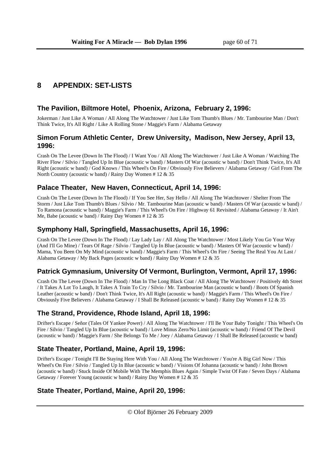## **8 APPENDIX: SET-LISTS**

## **The Pavilion, Biltmore Hotel, Phoenix, Arizona, February 2, 1996:**

Jokerman / Just Like A Woman / All Along The Watchtower / Just Like Tom Thumb's Blues / Mr. Tambourine Man / Don't Think Twice, It's All Right / Like A Rolling Stone / Maggie's Farm / Alabama Getaway

### **Simon Forum Athletic Center, Drew University, Madison, New Jersey, April 13, 1996:**

Crash On The Levee (Down In The Flood) / I Want You / All Along The Watchtower / Just Like A Woman / Watching The River Flow / Silvio / Tangled Up In Blue (acoustic w band) / Masters Of War (acoustic w band) / Don't Think Twice, It's All Right (acoustic w band) / God Knows / This Wheel's On Fire / Obviously Five Believers / Alabama Getaway / Girl From The North Country (acoustic w band) / Rainy Day Women # 12 & 35

## **Palace Theater, New Haven, Connecticut, April 14, 1996:**

Crash On The Levee (Down In The Flood) / If You See Her, Say Hello / All Along The Watchtower / Shelter From The Storm / Just Like Tom Thumb's Blues / Silvio / Mr. Tambourine Man (acoustic w band) / Masters Of War (acoustic w band) / To Ramona (acoustic w band) / Maggie's Farm / This Wheel's On Fire / Highway 61 Revisited / Alabama Getaway / It Ain't Me, Babe (acoustic w band) / Rainy Day Women  $# 12 \& 35$ 

## **Symphony Hall, Springfield, Massachusetts, April 16, 1996:**

Crash On The Levee (Down In The Flood) / Lay Lady Lay / All Along The Watchtower / Most Likely You Go Your Way (And I'll Go Mine) / Tears Of Rage / Silvio / Tangled Up In Blue (acoustic w band) / Masters Of War (acoustic w band) / Mama, You Been On My Mind (acoustic w band) / Maggie's Farm / This Wheel's On Fire / Seeing The Real You At Last / Alabama Getaway / My Back Pages (acoustic w band) / Rainy Day Women # 12 & 35

## **Patrick Gymnasium, University Of Vermont, Burlington, Vermont, April 17, 1996:**

Crash On The Levee (Down In The Flood) / Man In The Long Black Coat / All Along The Watchtower / Positively 4th Street / It Takes A Lot To Laugh, It Takes A Train To Cry / Silvio / Mr. Tambourine Man (acoustic w band) / Boots Of Spanish Leather (acoustic w band) / Don't Think Twice, It's All Right (acoustic w band) / Maggie's Farm / This Wheel's On Fire / Obviously Five Believers / Alabama Getaway / I Shall Be Released (acoustic w band) / Rainy Day Women # 12 & 35

## **The Strand, Providence, Rhode Island, April 18, 1996:**

Drifter's Escape / Señor (Tales Of Yankee Power) / All Along The Watchtower / I'll Be Your Baby Tonight / This Wheel's On Fire / Silvio / Tangled Up In Blue (acoustic w band) / Love Minus Zero/No Limit (acoustic w band) / Friend Of The Devil (acoustic w band) / Maggie's Farm / She Belongs To Me / Joey / Alabama Getaway / I Shall Be Released (acoustic w band)

## **State Theater, Portland, Maine, April 19, 1996:**

Drifter's Escape / Tonight I'll Be Staying Here With You / All Along The Watchtower / You're A Big Girl Now / This Wheel's On Fire / Silvio / Tangled Up In Blue (acoustic w band) / Visions Of Johanna (acoustic w band) / John Brown (acoustic w band) / Stuck Inside Of Mobile With The Memphis Blues Again / Simple Twist Of Fate / Seven Days / Alabama Getaway / Forever Young (acoustic w band) / Rainy Day Women # 12 & 35

## **State Theater, Portland, Maine, April 20, 1996:**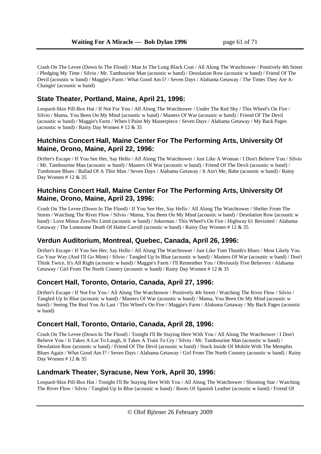Crash On The Levee (Down In The Flood) / Man In The Long Black Coat / All Along The Watchtower / Positively 4th Street / Pledging My Time / Silvio / Mr. Tambourine Man (acoustic w band) / Desolation Row (acoustic w band) / Friend Of The Devil (acoustic w band) / Maggie's Farm / What Good Am I? / Seven Days / Alabama Getaway / The Times They Are A-Changin' (acoustic w band)

## **State Theater, Portland, Maine, April 21, 1996:**

Leopard-Skin Pill-Box Hat / If Not For You / All Along The Watchtower / Under The Red Sky / This Wheel's On Fire / Silvio / Mama, You Been On My Mind (acoustic w band) / Masters Of War (acoustic w band) / Friend Of The Devil (acoustic w band) / Maggie's Farm / When I Paint My Masterpiece / Seven Days / Alabama Getaway / My Back Pages (acoustic w band) / Rainy Day Women  $# 12 \& 35$ 

## **Hutchins Concert Hall, Maine Center For The Performing Arts, University Of Maine, Orono, Maine, April 22, 1996:**

Drifter's Escape / If You See Her, Say Hello / All Along The Watchtower / Just Like A Woman / I Don't Believe You / Silvio / Mr. Tambourine Man (acoustic w band) / Masters Of War (acoustic w band) / Friend Of The Devil (acoustic w band) / Tombstone Blues / Ballad Of A Thin Man / Seven Days / Alabama Getaway / It Ain't Me, Babe (acoustic w band) / Rainy Day Women # 12 & 35

## **Hutchins Concert Hall, Maine Center For The Performing Arts, University Of Maine, Orono, Maine, April 23, 1996:**

Crash On The Levee (Down In The Flood) / If You See Her, Say Hello / All Along The Watchtower / Shelter From The Storm / Watching The River Flow / Silvio / Mama, You Been On My Mind (acoustic w band) / Desolation Row (acoustic w band) / Love Minus Zero/No Limit (acoustic w band) / Jokerman / This Wheel's On Fire / Highway 61 Revisited / Alabama Getaway / The Lonesome Death Of Hattie Carroll (acoustic w band) / Rainy Day Women # 12 & 35

## **Verdun Auditorium, Montreal, Quebec, Canada, April 26, 1996:**

Drifter's Escape / If You See Her, Say Hello / All Along The Watchtower / Just Like Tom Thumb's Blues / Most Likely You Go Your Way (And I'll Go Mine) / Silvio / Tangled Up In Blue (acoustic w band) / Masters Of War (acoustic w band) / Don't Think Twice, It's All Right (acoustic w band) / Maggie's Farm / I'll Remember You / Obviously Five Believers / Alabama Getaway / Girl From The North Country (acoustic w band) / Rainy Day Women # 12 & 35

## **Concert Hall, Toronto, Ontario, Canada, April 27, 1996:**

Drifter's Escape / If Not For You / All Along The Watchtower / Positively 4th Street / Watching The River Flow / Silvio / Tangled Up In Blue (acoustic w band) / Masters Of War (acoustic w band) / Mama, You Been On My Mind (acoustic w band) / Seeing The Real You At Last / This Wheel's On Fire / Maggie's Farm / Alabama Getaway / My Back Pages (acoustic w band)

## **Concert Hall, Toronto, Ontario, Canada, April 28, 1996:**

Crash On The Levee (Down In The Flood) / Tonight I'll Be Staying Here With You / All Along The Watchtower / I Don't Believe You / It Takes A Lot To Laugh, It Takes A Train To Cry / Silvio / Mr. Tambourine Man (acoustic w band) / Desolation Row (acoustic w band) / Friend Of The Devil (acoustic w band) / Stuck Inside Of Mobile With The Memphis Blues Again / What Good Am I? / Seven Days / Alabama Getaway / Girl From The North Country (acoustic w band) / Rainy Day Women # 12 & 35

## **Landmark Theater, Syracuse, New York, April 30, 1996:**

Leopard-Skin Pill-Box Hat / Tonight I'll Be Staying Here With You / All Along The Watchtower / Shooting Star / Watching The River Flow / Silvio / Tangled Up In Blue (acoustic w band) / Boots Of Spanish Leather (acoustic w band) / Friend Of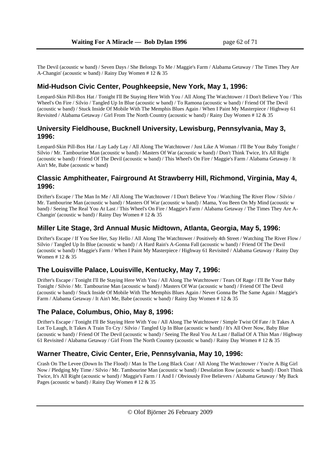The Devil (acoustic w band) / Seven Days / She Belongs To Me / Maggie's Farm / Alabama Getaway / The Times They Are A-Changin' (acoustic w band) / Rainy Day Women # 12 & 35

## **Mid-Hudson Civic Center, Poughkeepsie, New York, May 1, 1996:**

Leopard-Skin Pill-Box Hat / Tonight I'll Be Staying Here With You / All Along The Watchtower / I Don't Believe You / This Wheel's On Fire / Silvio / Tangled Up In Blue (acoustic w band) / To Ramona (acoustic w band) / Friend Of The Devil (acoustic w band) / Stuck Inside Of Mobile With The Memphis Blues Again / When I Paint My Masterpiece / Highway 61 Revisited / Alabama Getaway / Girl From The North Country (acoustic w band) / Rainy Day Women # 12 & 35

### **University Fieldhouse, Bucknell University, Lewisburg, Pennsylvania, May 3, 1996:**

Leopard-Skin Pill-Box Hat / Lay Lady Lay / All Along The Watchtower / Just Like A Woman / I'll Be Your Baby Tonight / Silvio / Mr. Tambourine Man (acoustic w band) / Masters Of War (acoustic w band) / Don't Think Twice, It's All Right (acoustic w band) / Friend Of The Devil (acoustic w band) / This Wheel's On Fire / Maggie's Farm / Alabama Getaway / It Ain't Me, Babe (acoustic w band)

### **Classic Amphitheater, Fairground At Strawberry Hill, Richmond, Virginia, May 4, 1996:**

Drifter's Escape / The Man In Me / All Along The Watchtower / I Don't Believe You / Watching The River Flow / Silvio / Mr. Tambourine Man (acoustic w band) / Masters Of War (acoustic w band) / Mama, You Been On My Mind (acoustic w band) / Seeing The Real You At Last / This Wheel's On Fire / Maggie's Farm / Alabama Getaway / The Times They Are A-Changin' (acoustic w band) / Rainy Day Women # 12 & 35

### **Miller Lite Stage, 3rd Annual Music Midtown, Atlanta, Georgia, May 5, 1996:**

Drifter's Escape / If You See Her, Say Hello / All Along The Watchtower / Positively 4th Street / Watching The River Flow / Silvio / Tangled Up In Blue (acoustic w band) / A Hard Rain's A-Gonna Fall (acoustic w band) / Friend Of The Devil (acoustic w band) / Maggie's Farm / When I Paint My Masterpiece / Highway 61 Revisited / Alabama Getaway / Rainy Day Women # 12 & 35

## **The Louisville Palace, Louisville, Kentucky, May 7, 1996:**

Drifter's Escape / Tonight I'll Be Staying Here With You / All Along The Watchtower / Tears Of Rage / I'll Be Your Baby Tonight / Silvio / Mr. Tambourine Man (acoustic w band) / Masters Of War (acoustic w band) / Friend Of The Devil (acoustic w band) / Stuck Inside Of Mobile With The Memphis Blues Again / Never Gonna Be The Same Again / Maggie's Farm / Alabama Getaway / It Ain't Me, Babe (acoustic w band) / Rainy Day Women # 12 & 35

## **The Palace, Columbus, Ohio, May 8, 1996:**

Drifter's Escape / Tonight I'll Be Staying Here With You / All Along The Watchtower / Simple Twist Of Fate / It Takes A Lot To Laugh, It Takes A Train To Cry / Silvio / Tangled Up In Blue (acoustic w band) / It's All Over Now, Baby Blue (acoustic w band) / Friend Of The Devil (acoustic w band) / Seeing The Real You At Last / Ballad Of A Thin Man / Highway 61 Revisited / Alabama Getaway / Girl From The North Country (acoustic w band) / Rainy Day Women # 12 & 35

## **Warner Theatre, Civic Center, Erie, Pennsylvania, May 10, 1996:**

Crash On The Levee (Down In The Flood) / Man In The Long Black Coat / All Along The Watchtower / You're A Big Girl Now / Pledging My Time / Silvio / Mr. Tambourine Man (acoustic w band) / Desolation Row (acoustic w band) / Don't Think Twice, It's All Right (acoustic w band) / Maggie's Farm / I And I / Obviously Five Believers / Alabama Getaway / My Back Pages (acoustic w band) / Rainy Day Women # 12 & 35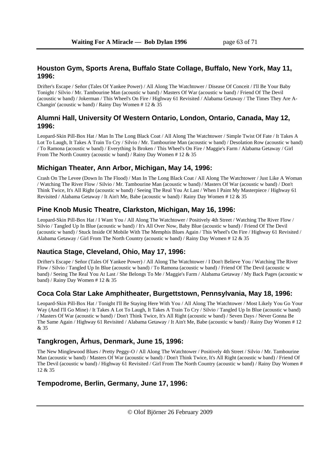### **Houston Gym, Sports Arena, Buffalo State Collage, Buffalo, New York, May 11, 1996:**

Drifter's Escape / Señor (Tales Of Yankee Power) / All Along The Watchtower / Disease Of Conceit / I'll Be Your Baby Tonight / Silvio / Mr. Tambourine Man (acoustic w band) / Masters Of War (acoustic w band) / Friend Of The Devil (acoustic w band) / Jokerman / This Wheel's On Fire / Highway 61 Revisited / Alabama Getaway / The Times They Are A-Changin' (acoustic w band) / Rainy Day Women # 12 & 35

### **Alumni Hall, University Of Western Ontario, London, Ontario, Canada, May 12, 1996:**

Leopard-Skin Pill-Box Hat / Man In The Long Black Coat / All Along The Watchtower / Simple Twist Of Fate / It Takes A Lot To Laugh, It Takes A Train To Cry / Silvio / Mr. Tambourine Man (acoustic w band) / Desolation Row (acoustic w band) / To Ramona (acoustic w band) / Everything Is Broken / This Wheel's On Fire / Maggie's Farm / Alabama Getaway / Girl From The North Country (acoustic w band) / Rainy Day Women # 12 & 35

## **Michigan Theater, Ann Arbor, Michigan, May 14, 1996:**

Crash On The Levee (Down In The Flood) / Man In The Long Black Coat / All Along The Watchtower / Just Like A Woman / Watching The River Flow / Silvio / Mr. Tambourine Man (acoustic w band) / Masters Of War (acoustic w band) / Don't Think Twice, It's All Right (acoustic w band) / Seeing The Real You At Last / When I Paint My Masterpiece / Highway 61 Revisited / Alabama Getaway / It Ain't Me, Babe (acoustic w band) / Rainy Day Women # 12 & 35

### **Pine Knob Music Theatre, Clarkston, Michigan, May 16, 1996:**

Leopard-Skin Pill-Box Hat / I Want You / All Along The Watchtower / Positively 4th Street / Watching The River Flow / Silvio / Tangled Up In Blue (acoustic w band) / It's All Over Now, Baby Blue (acoustic w band) / Friend Of The Devil (acoustic w band) / Stuck Inside Of Mobile With The Memphis Blues Again / This Wheel's On Fire / Highway 61 Revisited / Alabama Getaway / Girl From The North Country (acoustic w band) / Rainy Day Women # 12 & 35

## **Nautica Stage, Cleveland, Ohio, May 17, 1996:**

Drifter's Escape / Señor (Tales Of Yankee Power) / All Along The Watchtower / I Don't Believe You / Watching The River Flow / Silvio / Tangled Up In Blue (acoustic w band) / To Ramona (acoustic w band) / Friend Of The Devil (acoustic w band) / Seeing The Real You At Last / She Belongs To Me / Maggie's Farm / Alabama Getaway / My Back Pages (acoustic w band) / Rainy Day Women # 12 & 35

## **Coca Cola Star Lake Amphitheater, Burgettstown, Pennsylvania, May 18, 1996:**

Leopard-Skin Pill-Box Hat / Tonight I'll Be Staying Here With You / All Along The Watchtower / Most Likely You Go Your Way (And I'll Go Mine) / It Takes A Lot To Laugh, It Takes A Train To Cry / Silvio / Tangled Up In Blue (acoustic w band) / Masters Of War (acoustic w band) / Don't Think Twice, It's All Right (acoustic w band) / Seven Days / Never Gonna Be The Same Again / Highway 61 Revisited / Alabama Getaway / It Ain't Me, Babe (acoustic w band) / Rainy Day Women # 12 & 35

## **Tangkrogen, Århus, Denmark, June 15, 1996:**

The New Minglewood Blues / Pretty Peggy-O / All Along The Watchtower / Positively 4th Street / Silvio / Mr. Tambourine Man (acoustic w band) / Masters Of War (acoustic w band) / Don't Think Twice, It's All Right (acoustic w band) / Friend Of The Devil (acoustic w band) / Highway 61 Revisited / Girl From The North Country (acoustic w band) / Rainy Day Women # 12 & 35

### **Tempodrome, Berlin, Germany, June 17, 1996:**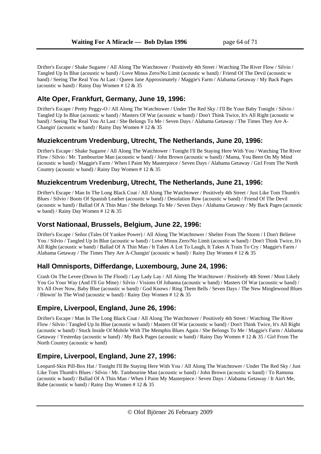Drifter's Escape / Shake Sugaree / All Along The Watchtower / Positively 4th Street / Watching The River Flow / Silvio / Tangled Up In Blue (acoustic w band) / Love Minus Zero/No Limit (acoustic w band) / Friend Of The Devil (acoustic w band) / Seeing The Real You At Last / Queen Jane Approximately / Maggie's Farm / Alabama Getaway / My Back Pages (acoustic w band) / Rainy Day Women # 12 & 35

## **Alte Oper, Frankfurt, Germany, June 19, 1996:**

Drifter's Escape / Pretty Peggy-O / All Along The Watchtower / Under The Red Sky / I'll Be Your Baby Tonight / Silvio / Tangled Up In Blue (acoustic w band) / Masters Of War (acoustic w band) / Don't Think Twice, It's All Right (acoustic w band) / Seeing The Real You At Last / She Belongs To Me / Seven Days / Alabama Getaway / The Times They Are A-Changin' (acoustic w band) / Rainy Day Women # 12 & 35

## **Muziekcentrum Vredenburg, Utrecht, The Netherlands, June 20, 1996:**

Drifter's Escape / Shake Sugaree / All Along The Watchtower / Tonight I'll Be Staying Here With You / Watching The River Flow / Silvio / Mr. Tambourine Man (acoustic w band) / John Brown (acoustic w band) / Mama, You Been On My Mind (acoustic w band) / Maggie's Farm / When I Paint My Masterpiece / Seven Days / Alabama Getaway / Girl From The North Country (acoustic w band) / Rainy Day Women # 12 & 35

## **Muziekcentrum Vredenburg, Utrecht, The Netherlands, June 21, 1996:**

Drifter's Escape / Man In The Long Black Coat / All Along The Watchtower / Positively 4th Street / Just Like Tom Thumb's Blues / Silvio / Boots Of Spanish Leather (acoustic w band) / Desolation Row (acoustic w band) / Friend Of The Devil (acoustic w band) / Ballad Of A Thin Man / She Belongs To Me / Seven Days / Alabama Getaway / My Back Pages (acoustic w band) / Rainy Day Women # 12 & 35

## **Vorst Nationaal, Brussels, Belgium, June 22, 1996:**

Drifter's Escape / Señor (Tales Of Yankee Power) / All Along The Watchtower / Shelter From The Storm / I Don't Believe You / Silvio / Tangled Up In Blue (acoustic w band) / Love Minus Zero/No Limit (acoustic w band) / Don't Think Twice, It's All Right (acoustic w band) / Ballad Of A Thin Man / It Takes A Lot To Laugh, It Takes A Train To Cry / Maggie's Farm / Alabama Getaway / The Times They Are A-Changin' (acoustic w band) / Rainy Day Women # 12 & 35

## **Hall Omnisports, Differdange, Luxembourg, June 24, 1996:**

Crash On The Levee (Down In The Flood) / Lay Lady Lay / All Along The Watchtower / Positively 4th Street / Most Likely You Go Your Way (And I'll Go Mine) / Silvio / Visions Of Johanna (acoustic w band) / Masters Of War (acoustic w band) / It's All Over Now, Baby Blue (acoustic w band) / God Knows / Ring Them Bells / Seven Days / The New Minglewood Blues / Blowin' In The Wind (acoustic w band) / Rainy Day Women # 12 & 35

## **Empire, Liverpool, England, June 26, 1996:**

Drifter's Escape / Man In The Long Black Coat / All Along The Watchtower / Positively 4th Street / Watching The River Flow / Silvio / Tangled Up In Blue (acoustic w band) / Masters Of War (acoustic w band) / Don't Think Twice, It's All Right (acoustic w band) / Stuck Inside Of Mobile With The Memphis Blues Again / She Belongs To Me / Maggie's Farm / Alabama Getaway / Yesterday (acoustic w band) / My Back Pages (acoustic w band) / Rainy Day Women # 12 & 35 / Girl From The North Country (acoustic w band)

## **Empire, Liverpool, England, June 27, 1996:**

Leopard-Skin Pill-Box Hat / Tonight I'll Be Staying Here With You / All Along The Watchtower / Under The Red Sky / Just Like Tom Thumb's Blues / Silvio / Mr. Tambourine Man (acoustic w band) / John Brown (acoustic w band) / To Ramona (acoustic w band) / Ballad Of A Thin Man / When I Paint My Masterpiece / Seven Days / Alabama Getaway / It Ain't Me, Babe (acoustic w band) / Rainy Day Women # 12 & 35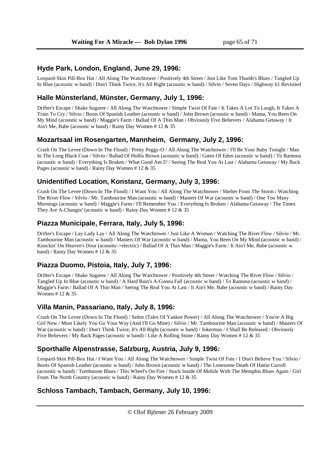## **Hyde Park, London, England, June 29, 1996:**

Leopard-Skin Pill-Box Hat / All Along The Watchtower / Positively 4th Street / Just Like Tom Thumb's Blues / Tangled Up In Blue (acoustic w band) / Don't Think Twice, It's All Right (acoustic w band) / Silvio / Seven Days / Highway 61 Revisited

## **Halle Münsterland, Münster, Germany, July 1, 1996:**

Drifter's Escape / Shake Sugaree / All Along The Watchtower / Simple Twist Of Fate / It Takes A Lot To Laugh, It Takes A Train To Cry / Silvio / Boots Of Spanish Leather (acoustic w band) / John Brown (acoustic w band) / Mama, You Been On My Mind (acoustic w band) / Maggie's Farm / Ballad Of A Thin Man / Obviously Five Believers / Alabama Getaway / It Ain't Me, Babe (acoustic w band) / Rainy Day Women # 12 & 35

## **Mozartsaal im Rosengarten, Mannheim, Germany, July 2, 1996:**

Crash On The Levee (Down In The Flood) / Pretty Peggy-O / All Along The Watchtower / I'll Be Your Baby Tonight / Man In The Long Black Coat / Silvio / Ballad Of Hollis Brown (acoustic w band) / Gates Of Eden (acoustic w band) / To Ramona (acoustic w band) / Everything Is Broken / What Good Am I? / Seeing The Real You At Last / Alabama Getaway / My Back Pages (acoustic w band) / Rainy Day Women # 12 & 35

## **Unidentified Location, Konstanz, Germany, July 3, 1996:**

Crash On The Levee (Down In The Flood) / I Want You / All Along The Watchtower / Shelter From The Storm / Watching The River Flow / Silvio / Mr. Tambourine Man (acoustic w band) / Masters Of War (acoustic w band) / One Too Many Mornings (acoustic w band) / Maggie's Farm / I'll Remember You / Everything Is Broken / Alabama Getaway / The Times They Are A-Changin' (acoustic w band) / Rainy Day Women # 12 & 35

## **Piazza Municipale, Ferrara, Italy, July 5, 1996:**

Drifter's Escape / Lay Lady Lay / All Along The Watchtower / Just Like A Woman / Watching The River Flow / Silvio / Mr. Tambourine Man (acoustic w band) / Masters Of War (acoustic w band) / Mama, You Been On My Mind (acoustic w band) / Knockin' On Heaven's Door (acoustic->electric) / Ballad Of A Thin Man / Maggie's Farm / It Ain't Me, Babe (acoustic w band) / Rainy Day Women # 12 & 35

## **Piazza Duomo, Pistoia, Italy, July 7, 1996:**

Drifter's Escape / Shake Sugaree / All Along The Watchtower / Positively 4th Street / Watching The River Flow / Silvio / Tangled Up In Blue (acoustic w band) / A Hard Rain's A-Gonna Fall (acoustic w band) / To Ramona (acoustic w band) / Maggie's Farm / Ballad Of A Thin Man / Seeing The Real You At Last / It Ain't Me, Babe (acoustic w band) / Rainy Day Women # 12 & 35

## **Villa Manin, Passariano, Italy, July 8, 1996:**

Crash On The Levee (Down In The Flood) / Señor (Tales Of Yankee Power) / All Along The Watchtower / You're A Big Girl Now / Most Likely You Go Your Way (And I'll Go Mine) / Silvio / Mr. Tambourine Man (acoustic w band) / Masters Of War (acoustic w band) / Don't Think Twice, It's All Right (acoustic w band) / Jokerman / I Shall Be Released / Obviously Five Believers / My Back Pages (acoustic w band) / Like A Rolling Stone / Rainy Day Women # 12 & 35

## **Sporthalle Alpenstrasse, Salzburg, Austria, July 9, 1996:**

Leopard-Skin Pill-Box Hat / I Want You / All Along The Watchtower / Simple Twist Of Fate / I Don't Believe You / Silvio / Boots Of Spanish Leather (acoustic w band) / John Brown (acoustic w band) / The Lonesome Death Of Hattie Carroll (acoustic w band) / Tombstone Blues / This Wheel's On Fire / Stuck Inside Of Mobile With The Memphis Blues Again / Girl From The North Country (acoustic w band) / Rainy Day Women # 12 & 35

## **Schloss Tambach, Tambach, Germany, July 10, 1996:**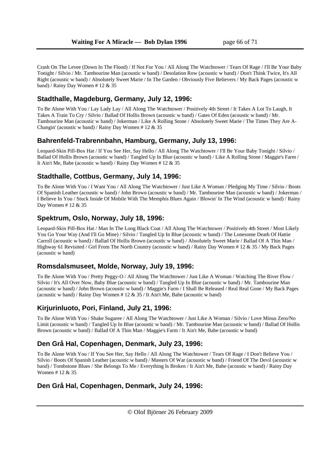Crash On The Levee (Down In The Flood) / If Not For You / All Along The Watchtower / Tears Of Rage / I'll Be Your Baby Tonight / Silvio / Mr. Tambourine Man (acoustic w band) / Desolation Row (acoustic w band) / Don't Think Twice, It's All Right (acoustic w band) / Absolutely Sweet Marie / In The Garden / Obviously Five Believers / My Back Pages (acoustic w band) / Rainy Day Women # 12 & 35

## **Stadthalle, Magdeburg, Germany, July 12, 1996:**

To Be Alone With You / Lay Lady Lay / All Along The Watchtower / Positively 4th Street / It Takes A Lot To Laugh, It Takes A Train To Cry / Silvio / Ballad Of Hollis Brown (acoustic w band) / Gates Of Eden (acoustic w band) / Mr. Tambourine Man (acoustic w band) / Jokerman / Like A Rolling Stone / Absolutely Sweet Marie / The Times They Are A-Changin' (acoustic w band) / Rainy Day Women # 12 & 35

## **Bahrenfeld-Trabrennbahn, Hamburg, Germany, July 13, 1996:**

Leopard-Skin Pill-Box Hat / If You See Her, Say Hello / All Along The Watchtower / I'll Be Your Baby Tonight / Silvio / Ballad Of Hollis Brown (acoustic w band) / Tangled Up In Blue (acoustic w band) / Like A Rolling Stone / Maggie's Farm / It Ain't Me, Babe (acoustic w band) / Rainy Day Women # 12 & 35

## **Stadthalle, Cottbus, Germany, July 14, 1996:**

To Be Alone With You / I Want You / All Along The Watchtower / Just Like A Woman / Pledging My Time / Silvio / Boots Of Spanish Leather (acoustic w band) / John Brown (acoustic w band) / Mr. Tambourine Man (acoustic w band) / Jokerman / I Believe In You / Stuck Inside Of Mobile With The Memphis Blues Again / Blowin' In The Wind (acoustic w band) / Rainy Day Women # 12 & 35

### **Spektrum, Oslo, Norway, July 18, 1996:**

Leopard-Skin Pill-Box Hat / Man In The Long Black Coat / All Along The Watchtower / Positively 4th Street / Most Likely You Go Your Way (And I'll Go Mine) / Silvio / Tangled Up In Blue (acoustic w band) / The Lonesome Death Of Hattie Carroll (acoustic w band) / Ballad Of Hollis Brown (acoustic w band) / Absolutely Sweet Marie / Ballad Of A Thin Man / Highway 61 Revisited / Girl From The North Country (acoustic w band) / Rainy Day Women # 12 & 35 / My Back Pages (acoustic w band)

### **Romsdalsmuseet, Molde, Norway, July 19, 1996:**

To Be Alone With You / Pretty Peggy-O / All Along The Watchtower / Just Like A Woman / Watching The River Flow / Silvio / It's All Over Now, Baby Blue (acoustic w band) / Tangled Up In Blue (acoustic w band) / Mr. Tambourine Man (acoustic w band) / John Brown (acoustic w band) / Maggie's Farm / I Shall Be Released / Real Real Gone / My Back Pages (acoustic w band) / Rainy Day Women # 12 & 35 / It Ain't Me, Babe (acoustic w band)

## **Kirjurinluoto, Pori, Finland, July 21, 1996:**

To Be Alone With You / Shake Sugaree / All Along The Watchtower / Just Like A Woman / Silvio / Love Minus Zero/No Limit (acoustic w band) / Tangled Up In Blue (acoustic w band) / Mr. Tambourine Man (acoustic w band) / Ballad Of Hollis Brown (acoustic w band) / Ballad Of A Thin Man / Maggie's Farm / It Ain't Me, Babe (acoustic w band)

## **Den Grå Hal, Copenhagen, Denmark, July 23, 1996:**

To Be Alone With You / If You See Her, Say Hello / All Along The Watchtower / Tears Of Rage / I Don't Believe You / Silvio / Boots Of Spanish Leather (acoustic w band) / Masters Of War (acoustic w band) / Friend Of The Devil (acoustic w band) / Tombstone Blues / She Belongs To Me / Everything Is Broken / It Ain't Me, Babe (acoustic w band) / Rainy Day Women # 12 & 35

## **Den Grå Hal, Copenhagen, Denmark, July 24, 1996:**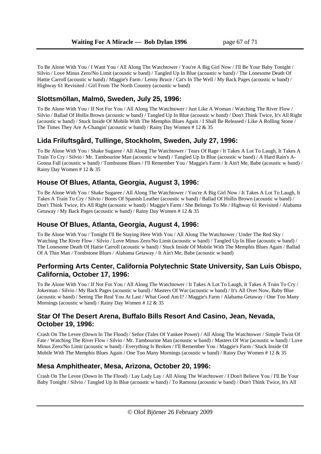To Be Alone With You / I Want You / All Along The Watchtower / You're A Big Girl Now / I'll Be Your Baby Tonight / Silvio / Love Minus Zero/No Limit (acoustic w band) / Tangled Up In Blue (acoustic w band) / The Lonesome Death Of Hattie Carroll (acoustic w band) / Maggie's Farm / Lenny Bruce / Cat's In The Well / My Back Pages (acoustic w band) / Highway 61 Revisited / Girl From The North Country (acoustic w band)

## **Slottsmöllan, Malmö, Sweden, July 25, 1996:**

To Be Alone With You / If Not For You / All Along The Watchtower / Just Like A Woman / Watching The River Flow / Silvio / Ballad Of Hollis Brown (acoustic w band) / Tangled Up In Blue (acoustic w band) / Don't Think Twice, It's All Right (acoustic w band) / Stuck Inside Of Mobile With The Memphis Blues Again / I Shall Be Released / Like A Rolling Stone / The Times They Are A-Changin' (acoustic w band) / Rainy Day Women # 12 & 35

## **Lida Friluftsgård, Tullinge, Stockholm, Sweden, July 27, 1996:**

To Be Alone With You / Shake Sugaree / All Along The Watchtower / Tears Of Rage / It Takes A Lot To Laugh, It Takes A Train To Cry / Silvio / Mr. Tambourine Man (acoustic w band) / Tangled Up In Blue (acoustic w band) / A Hard Rain's A-Gonna Fall (acoustic w band) / Tombstone Blues / I'll Remember You / Maggie's Farm / It Ain't Me, Babe (acoustic w band) / Rainy Day Women # 12 & 35

## **House Of Blues, Atlanta, Georgia, August 3, 1996:**

To Be Alone With You / Shake Sugaree / All Along The Watchtower / You're A Big Girl Now / It Takes A Lot To Laugh, It Takes A Train To Cry / Silvio / Boots Of Spanish Leather (acoustic w band) / Ballad Of Hollis Brown (acoustic w band) / Don't Think Twice, It's All Right (acoustic w band) / Maggie's Farm / She Belongs To Me / Highway 61 Revisited / Alabama Getaway / My Back Pages (acoustic w band) / Rainy Day Women # 12 & 35

## **House Of Blues, Atlanta, Georgia, August 4, 1996:**

To Be Alone With You / Tonight I'll Be Staying Here With You / All Along The Watchtower / Under The Red Sky / Watching The River Flow / Silvio / Love Minus Zero/No Limit (acoustic w band) / Tangled Up In Blue (acoustic w band) / The Lonesome Death Of Hattie Carroll (acoustic w band) / Stuck Inside Of Mobile With The Memphis Blues Again / Ballad Of A Thin Man / Tombstone Blues / Alabama Getaway / It Ain't Me, Babe (acoustic w band)

## **Performing Arts Center, California Polytechnic State University, San Luis Obispo, California, October 17, 1996:**

To Be Alone With You / If Not For You / All Along The Watchtower / It Takes A Lot To Laugh, It Takes A Train To Cry / Jokerman / Silvio / My Back Pages (acoustic w band) / Masters Of War (acoustic w band) / It's All Over Now, Baby Blue (acoustic w band) / Seeing The Real You At Last / What Good Am I? / Maggie's Farm / Alabama Getaway / One Too Many Mornings (acoustic w band) / Rainy Day Women # 12 & 35

## **Star Of The Desert Arena, Buffalo Bills Resort And Casino, Jean, Nevada, October 19, 1996:**

Crash On The Levee (Down In The Flood) / Señor (Tales Of Yankee Power) / All Along The Watchtower / Simple Twist Of Fate / Watching The River Flow / Silvio / Mr. Tambourine Man (acoustic w band) / Masters Of War (acoustic w band) / Love Minus Zero/No Limit (acoustic w band) / Everything Is Broken / I'll Remember You / Maggie's Farm / Stuck Inside Of Mobile With The Memphis Blues Again / One Too Many Mornings (acoustic w band) / Rainy Day Women # 12 & 35

## **Mesa Amphitheater, Mesa, Arizona, October 20, 1996:**

Crash On The Levee (Down In The Flood) / Lay Lady Lay / All Along The Watchtower / I Don't Believe You / I'll Be Your Baby Tonight / Silvio / Tangled Up In Blue (acoustic w band) / To Ramona (acoustic w band) / Don't Think Twice, It's All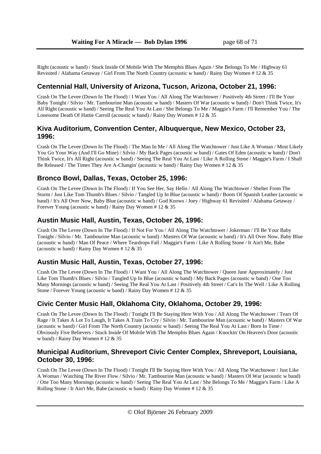Right (acoustic w band) / Stuck Inside Of Mobile With The Memphis Blues Again / She Belongs To Me / Highway 61 Revisited / Alabama Getaway / Girl From The North Country (acoustic w band) / Rainy Day Women # 12 & 35

## **Centennial Hall, University of Arizona, Tucson, Arizona, October 21, 1996:**

Crash On The Levee (Down In The Flood) / I Want You / All Along The Watchtower / Positively 4th Street / I'll Be Your Baby Tonight / Silvio / Mr. Tambourine Man (acoustic w band) / Masters Of War (acoustic w band) / Don't Think Twice, It's All Right (acoustic w band) / Seeing The Real You At Last / She Belongs To Me / Maggie's Farm / I'll Remember You / The Lonesome Death Of Hattie Carroll (acoustic w band) / Rainy Day Women # 12 & 35

### **Kiva Auditorium, Convention Center, Albuquerque, New Mexico, October 23, 1996:**

Crash On The Levee (Down In The Flood) / The Man In Me / All Along The Watchtower / Just Like A Woman / Most Likely You Go Your Way (And I'll Go Mine) / Silvio / My Back Pages (acoustic w band) / Gates Of Eden (acoustic w band) / Don't Think Twice, It's All Right (acoustic w band) / Seeing The Real You At Last / Like A Rolling Stone / Maggie's Farm / I Shall Be Released / The Times They Are A-Changin' (acoustic w band) / Rainy Day Women # 12 & 35

## **Bronco Bowl, Dallas, Texas, October 25, 1996:**

Crash On The Levee (Down In The Flood) / If You See Her, Say Hello / All Along The Watchtower / Shelter From The Storm / Just Like Tom Thumb's Blues / Silvio / Tangled Up In Blue (acoustic w band) / Boots Of Spanish Leather (acoustic w band) / It's All Over Now, Baby Blue (acoustic w band) / God Knows / Joey / Highway 61 Revisited / Alabama Getaway / Forever Young (acoustic w band) / Rainy Day Women # 12 & 35

### **Austin Music Hall, Austin, Texas, October 26, 1996:**

Crash On The Levee (Down In The Flood) / If Not For You / All Along The Watchtower / Jokerman / I'll Be Your Baby Tonight / Silvio / Mr. Tambourine Man (acoustic w band) / Masters Of War (acoustic w band) / It's All Over Now, Baby Blue (acoustic w band) / Man Of Peace / Where Teardrops Fall / Maggie's Farm / Like A Rolling Stone / It Ain't Me, Babe (acoustic w band) / Rainy Day Women # 12 & 35

## **Austin Music Hall, Austin, Texas, October 27, 1996:**

Crash On The Levee (Down In The Flood) / I Want You / All Along The Watchtower / Queen Jane Approximately / Just Like Tom Thumb's Blues / Silvio / Tangled Up In Blue (acoustic w band) / My Back Pages (acoustic w band) / One Too Many Mornings (acoustic w band) / Seeing The Real You At Last / Positively 4th Street / Cat's In The Well / Like A Rolling Stone / Forever Young (acoustic w band) / Rainy Day Women # 12 & 35

## **Civic Center Music Hall, Oklahoma City, Oklahoma, October 29, 1996:**

Crash On The Levee (Down In The Flood) / Tonight I'll Be Staying Here With You / All Along The Watchtower / Tears Of Rage / It Takes A Lot To Laugh, It Takes A Train To Cry / Silvio / Mr. Tambourine Man (acoustic w band) / Masters Of War (acoustic w band) / Girl From The North Country (acoustic w band) / Seeing The Real You At Last / Born In Time / Obviously Five Believers / Stuck Inside Of Mobile With The Memphis Blues Again / Knockin' On Heaven's Door (acoustic w band) / Rainy Day Women # 12 & 35

### **Municipal Auditorium, Shreveport Civic Center Complex, Shreveport, Louisiana, October 30, 1996:**

Crash On The Levee (Down In The Flood) / Tonight I'll Be Staying Here With You / All Along The Watchtower / Just Like A Woman / Watching The River Flow / Silvio / Mr. Tambourine Man (acoustic w band) / Masters Of War (acoustic w band) / One Too Many Mornings (acoustic w band) / Seeing The Real You At Last / She Belongs To Me / Maggie's Farm / Like A Rolling Stone / It Ain't Me, Babe (acoustic w band) / Rainy Day Women # 12 & 35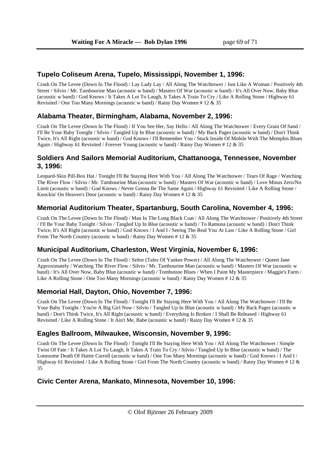## **Tupelo Coliseum Arena, Tupelo, Mississippi, November 1, 1996:**

Crash On The Levee (Down In The Flood) / Lay Lady Lay / All Along The Watchtower / Just Like A Woman / Positively 4th Street / Silvio / Mr. Tambourine Man (acoustic w band) / Masters Of War (acoustic w band) / It's All Over Now, Baby Blue (acoustic w band) / God Knows / It Takes A Lot To Laugh, It Takes A Train To Cry / Like A Rolling Stone / Highway 61 Revisited / One Too Many Mornings (acoustic w band) / Rainy Day Women # 12 & 35

## **Alabama Theater, Birmingham, Alabama, November 2, 1996:**

Crash On The Levee (Down In The Flood) / If You See Her, Say Hello / All Along The Watchtower / Every Grain Of Sand / I'll Be Your Baby Tonight / Silvio / Tangled Up In Blue (acoustic w band) / My Back Pages (acoustic w band) / Don't Think Twice, It's All Right (acoustic w band) / God Knows / I'll Remember You / Stuck Inside Of Mobile With The Memphis Blues Again / Highway 61 Revisited / Forever Young (acoustic w band) / Rainy Day Women # 12 & 35

### **Soldiers And Sailors Memorial Auditorium, Chattanooga, Tennessee, November 3, 1996:**

Leopard-Skin Pill-Box Hat / Tonight I'll Be Staying Here With You / All Along The Watchtower / Tears Of Rage / Watching The River Flow / Silvio / Mr. Tambourine Man (acoustic w band) / Masters Of War (acoustic w band) / Love Minus Zero/No Limit (acoustic w band) / God Knows / Never Gonna Be The Same Again / Highway 61 Revisited / Like A Rolling Stone / Knockin' On Heaven's Door (acoustic w band) / Rainy Day Women # 12 & 35

## **Memorial Auditorium Theater, Spartanburg, South Carolina, November 4, 1996:**

Crash On The Levee (Down In The Flood) / Man In The Long Black Coat / All Along The Watchtower / Positively 4th Street / I'll Be Your Baby Tonight / Silvio / Tangled Up In Blue (acoustic w band) / To Ramona (acoustic w band) / Don't Think Twice, It's All Right (acoustic w band) / God Knows / I And I / Seeing The Real You At Last / Like A Rolling Stone / Girl From The North Country (acoustic w band) / Rainy Day Women # 12 & 35

## **Municipal Auditorium, Charleston, West Virginia, November 6, 1996:**

Crash On The Levee (Down In The Flood) / Señor (Tales Of Yankee Power) / All Along The Watchtower / Queen Jane Approximately / Watching The River Flow / Silvio / Mr. Tambourine Man (acoustic w band) / Masters Of War (acoustic w band) / It's All Over Now, Baby Blue (acoustic w band) / Tombstone Blues / When I Paint My Masterpiece / Maggie's Farm / Like A Rolling Stone / One Too Many Mornings (acoustic w band) / Rainy Day Women # 12 & 35

## **Memorial Hall, Dayton, Ohio, November 7, 1996:**

Crash On The Levee (Down In The Flood) / Tonight I'll Be Staying Here With You / All Along The Watchtower / I'll Be Your Baby Tonight / You're A Big Girl Now / Silvio / Tangled Up In Blue (acoustic w band) / My Back Pages (acoustic w band) / Don't Think Twice, It's All Right (acoustic w band) / Everything Is Broken / I Shall Be Released / Highway 61 Revisited / Like A Rolling Stone / It Ain't Me, Babe (acoustic w band) / Rainy Day Women # 12 & 35

## **Eagles Ballroom, Milwaukee, Wisconsin, November 9, 1996:**

Crash On The Levee (Down In The Flood) / Tonight I'll Be Staying Here With You / All Along The Watchtower / Simple Twist Of Fate / It Takes A Lot To Laugh, It Takes A Train To Cry / Silvio / Tangled Up In Blue (acoustic w band) / The Lonesome Death Of Hattie Carroll (acoustic w band) / One Too Many Mornings (acoustic w band) / God Knows / I And I / Highway 61 Revisited / Like A Rolling Stone / Girl From The North Country (acoustic w band) / Rainy Day Women # 12 & 35

## **Civic Center Arena, Mankato, Minnesota, November 10, 1996:**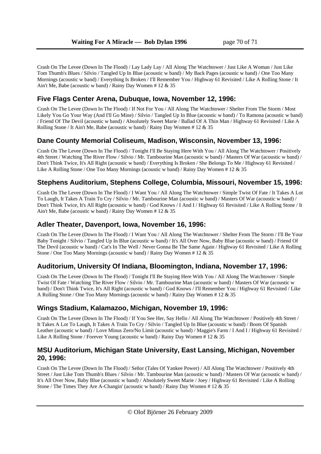Crash On The Levee (Down In The Flood) / Lay Lady Lay / All Along The Watchtower / Just Like A Woman / Just Like Tom Thumb's Blues / Silvio / Tangled Up In Blue (acoustic w band) / My Back Pages (acoustic w band) / One Too Many Mornings (acoustic w band) / Everything Is Broken / I'll Remember You / Highway 61 Revisited / Like A Rolling Stone / It Ain't Me, Babe (acoustic w band) / Rainy Day Women # 12 & 35

## **Five Flags Center Arena, Dubuque, Iowa, November 12, 1996:**

Crash On The Levee (Down In The Flood) / If Not For You / All Along The Watchtower / Shelter From The Storm / Most Likely You Go Your Way (And I'll Go Mine) / Silvio / Tangled Up In Blue (acoustic w band) / To Ramona (acoustic w band) / Friend Of The Devil (acoustic w band) / Absolutely Sweet Marie / Ballad Of A Thin Man / Highway 61 Revisited / Like A Rolling Stone / It Ain't Me, Babe (acoustic w band) / Rainy Day Women # 12 & 35

### **Dane County Memorial Coliseum, Madison, Wisconsin, November 13, 1996:**

Crash On The Levee (Down In The Flood) / Tonight I'll Be Staying Here With You / All Along The Watchtower / Positively 4th Street / Watching The River Flow / Silvio / Mr. Tambourine Man (acoustic w band) / Masters Of War (acoustic w band) / Don't Think Twice, It's All Right (acoustic w band) / Everything Is Broken / She Belongs To Me / Highway 61 Revisited / Like A Rolling Stone / One Too Many Mornings (acoustic w band) / Rainy Day Women # 12 & 35

## **Stephens Auditorium, Stephens College, Columbia, Missouri, November 15, 1996:**

Crash On The Levee (Down In The Flood) / I Want You / All Along The Watchtower / Simple Twist Of Fate / It Takes A Lot To Laugh, It Takes A Train To Cry / Silvio / Mr. Tambourine Man (acoustic w band) / Masters Of War (acoustic w band) / Don't Think Twice, It's All Right (acoustic w band) / God Knows / I And I / Highway 61 Revisited / Like A Rolling Stone / It Ain't Me, Babe (acoustic w band) / Rainy Day Women # 12 & 35

### **Adler Theater, Davenport, Iowa, November 16, 1996:**

Crash On The Levee (Down In The Flood) / I Want You / All Along The Watchtower / Shelter From The Storm / I'll Be Your Baby Tonight / Silvio / Tangled Up In Blue (acoustic w band) / It's All Over Now, Baby Blue (acoustic w band) / Friend Of The Devil (acoustic w band) / Cat's In The Well / Never Gonna Be The Same Again / Highway 61 Revisited / Like A Rolling Stone / One Too Many Mornings (acoustic w band) / Rainy Day Women # 12 & 35

### **Auditorium, University Of Indiana, Bloomington, Indiana, November 17, 1996:**

Crash On The Levee (Down In The Flood) / Tonight I'll Be Staying Here With You / All Along The Watchtower / Simple Twist Of Fate / Watching The River Flow / Silvio / Mr. Tambourine Man (acoustic w band) / Masters Of War (acoustic w band) / Don't Think Twice, It's All Right (acoustic w band) / God Knows / I'll Remember You / Highway 61 Revisited / Like A Rolling Stone / One Too Many Mornings (acoustic w band) / Rainy Day Women # 12 & 35

### **Wings Stadium, Kalamazoo, Michigan, November 19, 1996:**

Crash On The Levee (Down In The Flood) / If You See Her, Say Hello / All Along The Watchtower / Positively 4th Street / It Takes A Lot To Laugh, It Takes A Train To Cry / Silvio / Tangled Up In Blue (acoustic w band) / Boots Of Spanish Leather (acoustic w band) / Love Minus Zero/No Limit (acoustic w band) / Maggie's Farm / I And I / Highway 61 Revisited / Like A Rolling Stone / Forever Young (acoustic w band) / Rainy Day Women # 12 & 35

### **MSU Auditorium, Michigan State University, East Lansing, Michigan, November 20, 1996:**

Crash On The Levee (Down In The Flood) / Señor (Tales Of Yankee Power) / All Along The Watchtower / Positively 4th Street / Just Like Tom Thumb's Blues / Silvio / Mr. Tambourine Man (acoustic w band) / Masters Of War (acoustic w band) / It's All Over Now, Baby Blue (acoustic w band) / Absolutely Sweet Marie / Joey / Highway 61 Revisited / Like A Rolling Stone / The Times They Are A-Changin' (acoustic w band) / Rainy Day Women # 12 & 35